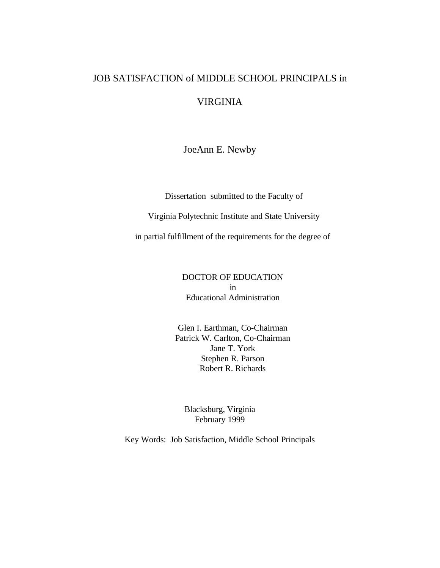# JOB SATISFACTION of MIDDLE SCHOOL PRINCIPALS in VIRGINIA

JoeAnn E. Newby

Dissertation submitted to the Faculty of

Virginia Polytechnic Institute and State University

in partial fulfillment of the requirements for the degree of

DOCTOR OF EDUCATION in Educational Administration

Glen I. Earthman, Co-Chairman Patrick W. Carlton, Co-Chairman Jane T. York Stephen R. Parson Robert R. Richards

Blacksburg, Virginia February 1999

Key Words: Job Satisfaction, Middle School Principals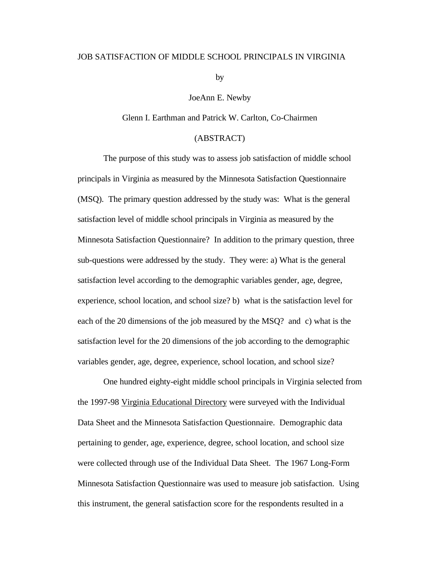### JOB SATISFACTION OF MIDDLE SCHOOL PRINCIPALS IN VIRGINIA

by

JoeAnn E. Newby

Glenn I. Earthman and Patrick W. Carlton, Co-Chairmen

# (ABSTRACT)

The purpose of this study was to assess job satisfaction of middle school principals in Virginia as measured by the Minnesota Satisfaction Questionnaire (MSQ). The primary question addressed by the study was: What is the general satisfaction level of middle school principals in Virginia as measured by the Minnesota Satisfaction Questionnaire? In addition to the primary question, three sub-questions were addressed by the study. They were: a) What is the general satisfaction level according to the demographic variables gender, age, degree, experience, school location, and school size? b) what is the satisfaction level for each of the 20 dimensions of the job measured by the MSQ? and c) what is the satisfaction level for the 20 dimensions of the job according to the demographic variables gender, age, degree, experience, school location, and school size?

One hundred eighty-eight middle school principals in Virginia selected from the 1997-98 Virginia Educational Directory were surveyed with the Individual Data Sheet and the Minnesota Satisfaction Questionnaire. Demographic data pertaining to gender, age, experience, degree, school location, and school size were collected through use of the Individual Data Sheet. The 1967 Long-Form Minnesota Satisfaction Questionnaire was used to measure job satisfaction. Using this instrument, the general satisfaction score for the respondents resulted in a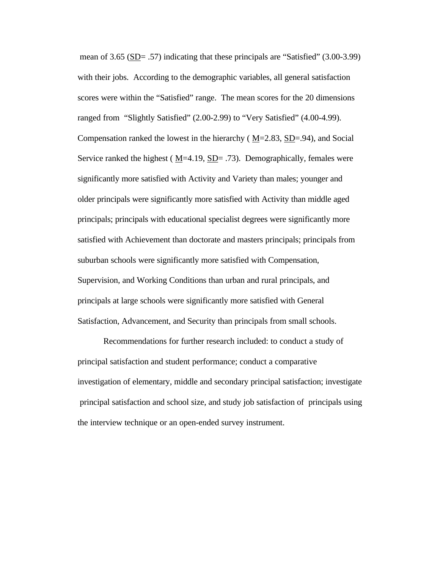mean of 3.65 ( $SD = .57$ ) indicating that these principals are "Satisfied" (3.00-3.99) with their jobs. According to the demographic variables, all general satisfaction scores were within the "Satisfied" range. The mean scores for the 20 dimensions ranged from "Slightly Satisfied" (2.00-2.99) to "Very Satisfied" (4.00-4.99). Compensation ranked the lowest in the hierarchy ( $M=2.83$ ,  $SD=.94$ ), and Social Service ranked the highest ( $M=4.19$ ,  $SD= .73$ ). Demographically, females were significantly more satisfied with Activity and Variety than males; younger and older principals were significantly more satisfied with Activity than middle aged principals; principals with educational specialist degrees were significantly more satisfied with Achievement than doctorate and masters principals; principals from suburban schools were significantly more satisfied with Compensation, Supervision, and Working Conditions than urban and rural principals, and principals at large schools were significantly more satisfied with General Satisfaction, Advancement, and Security than principals from small schools.

Recommendations for further research included: to conduct a study of principal satisfaction and student performance; conduct a comparative investigation of elementary, middle and secondary principal satisfaction; investigate principal satisfaction and school size, and study job satisfaction of principals using the interview technique or an open-ended survey instrument.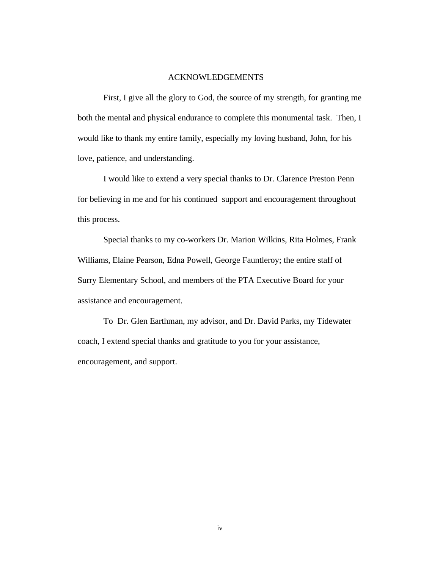#### ACKNOWLEDGEMENTS

First, I give all the glory to God, the source of my strength, for granting me both the mental and physical endurance to complete this monumental task. Then, I would like to thank my entire family, especially my loving husband, John, for his love, patience, and understanding.

I would like to extend a very special thanks to Dr. Clarence Preston Penn for believing in me and for his continued support and encouragement throughout this process.

Special thanks to my co-workers Dr. Marion Wilkins, Rita Holmes, Frank Williams, Elaine Pearson, Edna Powell, George Fauntleroy; the entire staff of Surry Elementary School, and members of the PTA Executive Board for your assistance and encouragement.

To Dr. Glen Earthman, my advisor, and Dr. David Parks, my Tidewater coach, I extend special thanks and gratitude to you for your assistance, encouragement, and support.

iv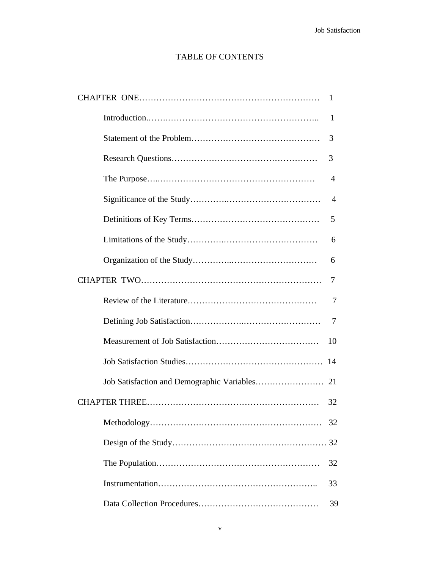# TABLE OF CONTENTS

| 1              |
|----------------|
| 1              |
| 3              |
| 3              |
| $\overline{4}$ |
| $\overline{4}$ |
| 5              |
| 6              |
| 6              |
| 7              |
| 7              |
| 7              |
| 10             |
| 14             |
|                |
| 32             |
| 32             |
|                |
| 32             |
| 33             |
| 39             |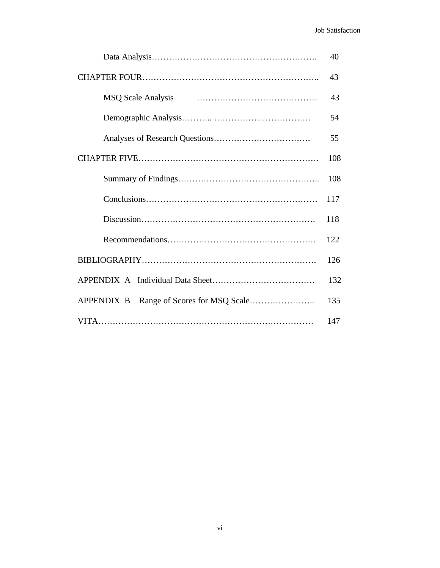|                           | 40  |
|---------------------------|-----|
|                           | 43  |
| <b>MSQ Scale Analysis</b> | 43  |
|                           | 54  |
|                           | 55  |
|                           | 108 |
|                           | 108 |
|                           | 117 |
|                           | 118 |
|                           | 122 |
|                           | 126 |
|                           | 132 |
|                           | 135 |
|                           | 147 |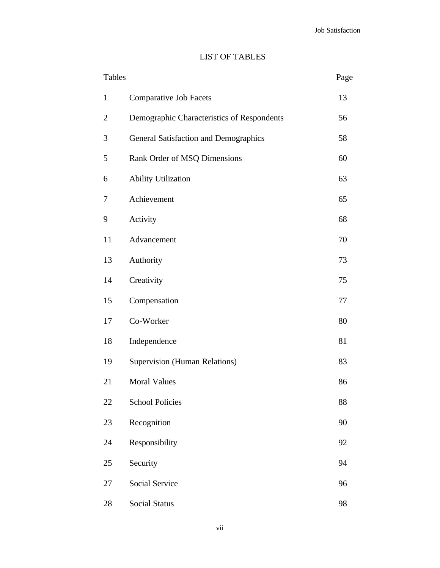# LIST OF TABLES

| <b>Tables</b> |                                            | Page |
|---------------|--------------------------------------------|------|
| $\mathbf{1}$  | <b>Comparative Job Facets</b>              | 13   |
| 2             | Demographic Characteristics of Respondents | 56   |
| 3             | General Satisfaction and Demographics      | 58   |
| 5             | Rank Order of MSQ Dimensions               | 60   |
| 6             | <b>Ability Utilization</b>                 | 63   |
| 7             | Achievement                                | 65   |
| 9             | Activity                                   | 68   |
| 11            | Advancement                                | 70   |
| 13            | Authority                                  | 73   |
| 14            | Creativity                                 | 75   |
| 15            | Compensation                               | 77   |
| 17            | Co-Worker                                  | 80   |
| 18            | Independence                               | 81   |
| 19            | Supervision (Human Relations)              | 83   |
| 21            | <b>Moral Values</b>                        | 86   |
| 22            | <b>School Policies</b>                     | 88   |
| 23            | Recognition                                | 90   |
| 24            | Responsibility                             | 92   |
| 25            | Security                                   | 94   |
| 27            | Social Service                             | 96   |
| 28            | Social Status                              | 98   |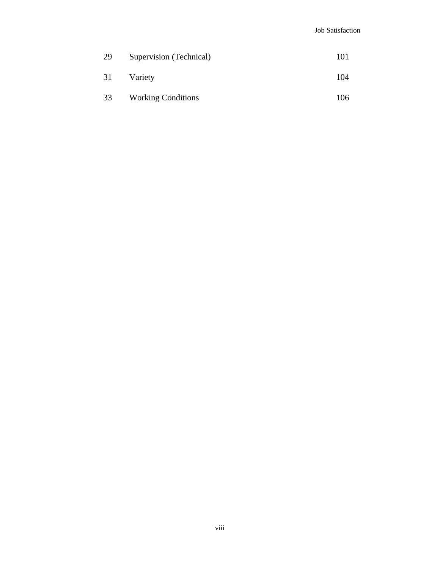| 29 | Supervision (Technical)   | 101 |
|----|---------------------------|-----|
| 31 | Variety                   | 104 |
| 33 | <b>Working Conditions</b> | 106 |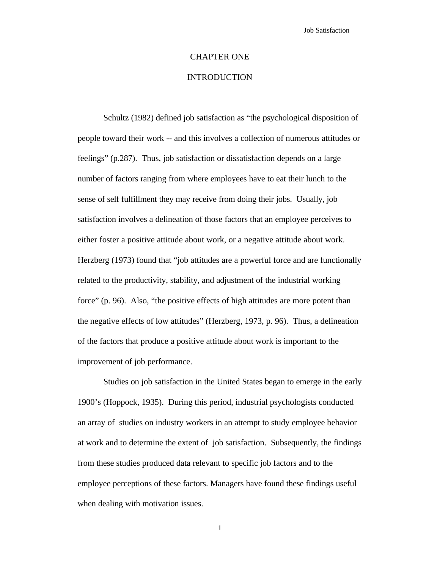# CHAPTER ONE

# INTRODUCTION

Schultz (1982) defined job satisfaction as "the psychological disposition of people toward their work -- and this involves a collection of numerous attitudes or feelings" (p.287). Thus, job satisfaction or dissatisfaction depends on a large number of factors ranging from where employees have to eat their lunch to the sense of self fulfillment they may receive from doing their jobs. Usually, job satisfaction involves a delineation of those factors that an employee perceives to either foster a positive attitude about work, or a negative attitude about work. Herzberg (1973) found that "job attitudes are a powerful force and are functionally related to the productivity, stability, and adjustment of the industrial working force" (p. 96). Also, "the positive effects of high attitudes are more potent than the negative effects of low attitudes" (Herzberg, 1973, p. 96). Thus, a delineation of the factors that produce a positive attitude about work is important to the improvement of job performance.

Studies on job satisfaction in the United States began to emerge in the early 1900's (Hoppock, 1935). During this period, industrial psychologists conducted an array of studies on industry workers in an attempt to study employee behavior at work and to determine the extent of job satisfaction. Subsequently, the findings from these studies produced data relevant to specific job factors and to the employee perceptions of these factors. Managers have found these findings useful when dealing with motivation issues.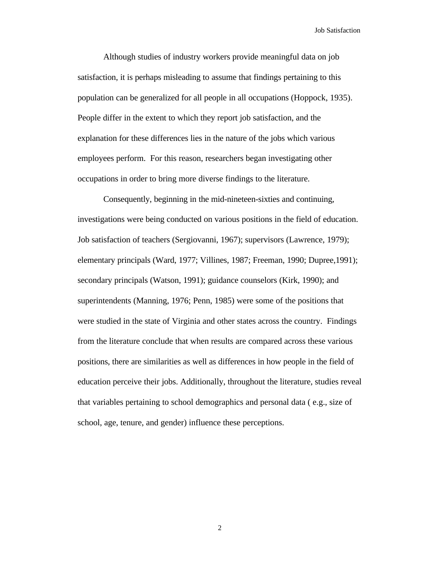Although studies of industry workers provide meaningful data on job satisfaction, it is perhaps misleading to assume that findings pertaining to this population can be generalized for all people in all occupations (Hoppock, 1935). People differ in the extent to which they report job satisfaction, and the explanation for these differences lies in the nature of the jobs which various employees perform. For this reason, researchers began investigating other occupations in order to bring more diverse findings to the literature.

Consequently, beginning in the mid-nineteen-sixties and continuing, investigations were being conducted on various positions in the field of education. Job satisfaction of teachers (Sergiovanni, 1967); supervisors (Lawrence, 1979); elementary principals (Ward, 1977; Villines, 1987; Freeman, 1990; Dupree,1991); secondary principals (Watson, 1991); guidance counselors (Kirk, 1990); and superintendents (Manning, 1976; Penn, 1985) were some of the positions that were studied in the state of Virginia and other states across the country. Findings from the literature conclude that when results are compared across these various positions, there are similarities as well as differences in how people in the field of education perceive their jobs. Additionally, throughout the literature, studies reveal that variables pertaining to school demographics and personal data ( e.g., size of school, age, tenure, and gender) influence these perceptions.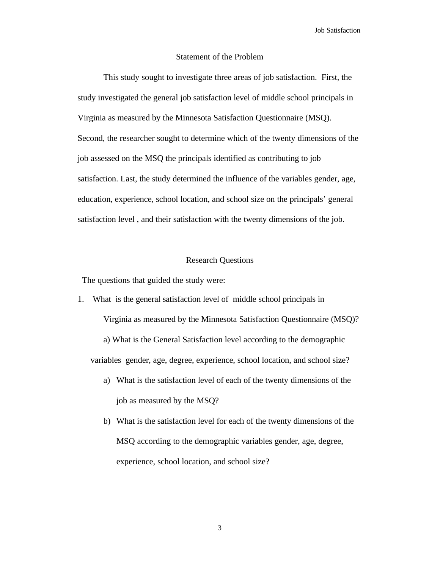# Statement of the Problem

This study sought to investigate three areas of job satisfaction. First, the study investigated the general job satisfaction level of middle school principals in Virginia as measured by the Minnesota Satisfaction Questionnaire (MSQ). Second, the researcher sought to determine which of the twenty dimensions of the job assessed on the MSQ the principals identified as contributing to job satisfaction. Last, the study determined the influence of the variables gender, age, education, experience, school location, and school size on the principals' general satisfaction level , and their satisfaction with the twenty dimensions of the job.

# Research Questions

The questions that guided the study were:

1. What is the general satisfaction level of middle school principals in

Virginia as measured by the Minnesota Satisfaction Questionnaire (MSQ)?

a) What is the General Satisfaction level according to the demographic variables gender, age, degree, experience, school location, and school size?

- a) What is the satisfaction level of each of the twenty dimensions of the job as measured by the MSQ?
- b) What is the satisfaction level for each of the twenty dimensions of the MSQ according to the demographic variables gender, age, degree, experience, school location, and school size?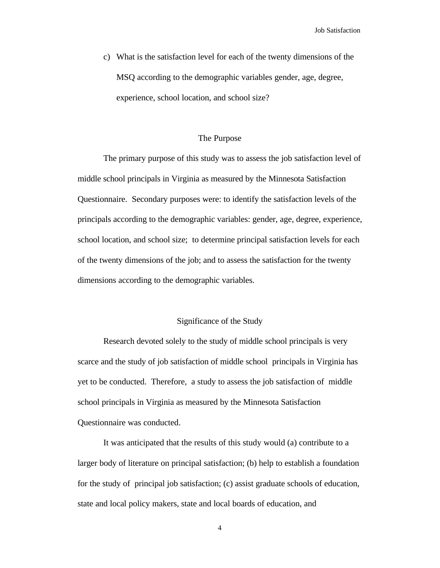c) What is the satisfaction level for each of the twenty dimensions of the MSQ according to the demographic variables gender, age, degree, experience, school location, and school size?

# The Purpose

The primary purpose of this study was to assess the job satisfaction level of middle school principals in Virginia as measured by the Minnesota Satisfaction Questionnaire. Secondary purposes were: to identify the satisfaction levels of the principals according to the demographic variables: gender, age, degree, experience, school location, and school size; to determine principal satisfaction levels for each of the twenty dimensions of the job; and to assess the satisfaction for the twenty dimensions according to the demographic variables.

# Significance of the Study

Research devoted solely to the study of middle school principals is very scarce and the study of job satisfaction of middle school principals in Virginia has yet to be conducted. Therefore, a study to assess the job satisfaction of middle school principals in Virginia as measured by the Minnesota Satisfaction Questionnaire was conducted.

It was anticipated that the results of this study would (a) contribute to a larger body of literature on principal satisfaction; (b) help to establish a foundation for the study of principal job satisfaction; (c) assist graduate schools of education, state and local policy makers, state and local boards of education, and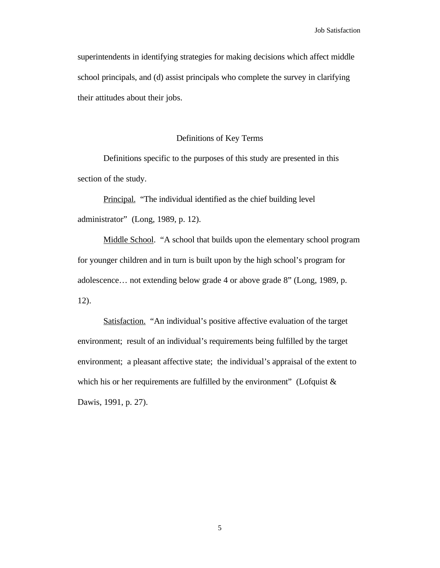superintendents in identifying strategies for making decisions which affect middle school principals, and (d) assist principals who complete the survey in clarifying their attitudes about their jobs.

#### Definitions of Key Terms

Definitions specific to the purposes of this study are presented in this section of the study.

Principal. "The individual identified as the chief building level administrator" (Long, 1989, p. 12).

Middle School. "A school that builds upon the elementary school program for younger children and in turn is built upon by the high school's program for adolescence… not extending below grade 4 or above grade 8" (Long, 1989, p. 12).

Satisfaction. "An individual's positive affective evaluation of the target environment; result of an individual's requirements being fulfilled by the target environment; a pleasant affective state; the individual's appraisal of the extent to which his or her requirements are fulfilled by the environment" (Lofquist  $\&$ Dawis, 1991, p. 27).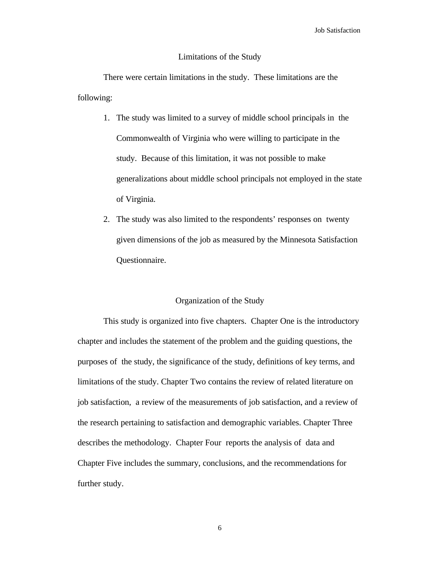# Limitations of the Study

There were certain limitations in the study. These limitations are the following:

- 1. The study was limited to a survey of middle school principals in the Commonwealth of Virginia who were willing to participate in the study. Because of this limitation, it was not possible to make generalizations about middle school principals not employed in the state of Virginia.
- 2. The study was also limited to the respondents' responses on twenty given dimensions of the job as measured by the Minnesota Satisfaction Questionnaire.

# Organization of the Study

This study is organized into five chapters. Chapter One is the introductory chapter and includes the statement of the problem and the guiding questions, the purposes of the study, the significance of the study, definitions of key terms, and limitations of the study. Chapter Two contains the review of related literature on job satisfaction, a review of the measurements of job satisfaction, and a review of the research pertaining to satisfaction and demographic variables. Chapter Three describes the methodology. Chapter Four reports the analysis of data and Chapter Five includes the summary, conclusions, and the recommendations for further study.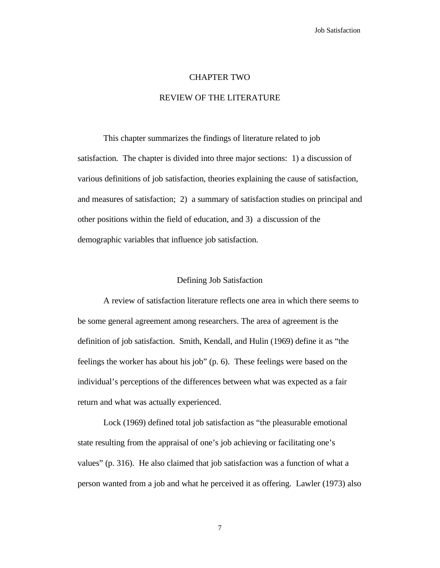#### CHAPTER TWO

# REVIEW OF THE LITERATURE

This chapter summarizes the findings of literature related to job satisfaction. The chapter is divided into three major sections: 1) a discussion of various definitions of job satisfaction, theories explaining the cause of satisfaction, and measures of satisfaction; 2) a summary of satisfaction studies on principal and other positions within the field of education, and 3) a discussion of the demographic variables that influence job satisfaction.

#### Defining Job Satisfaction

A review of satisfaction literature reflects one area in which there seems to be some general agreement among researchers. The area of agreement is the definition of job satisfaction. Smith, Kendall, and Hulin (1969) define it as "the feelings the worker has about his job" (p. 6). These feelings were based on the individual's perceptions of the differences between what was expected as a fair return and what was actually experienced.

Lock (1969) defined total job satisfaction as "the pleasurable emotional state resulting from the appraisal of one's job achieving or facilitating one's values" (p. 316). He also claimed that job satisfaction was a function of what a person wanted from a job and what he perceived it as offering. Lawler (1973) also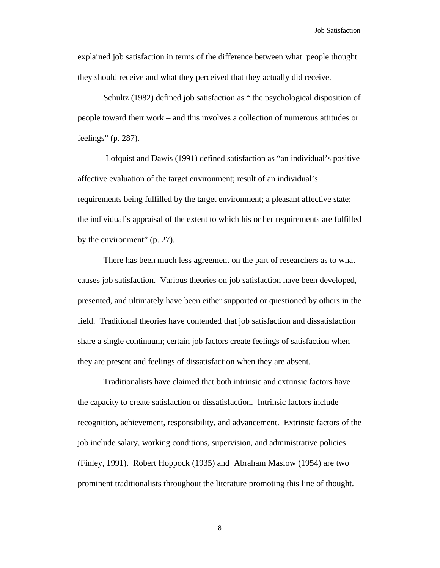explained job satisfaction in terms of the difference between what people thought they should receive and what they perceived that they actually did receive.

Schultz (1982) defined job satisfaction as " the psychological disposition of people toward their work – and this involves a collection of numerous attitudes or feelings" (p. 287).

Lofquist and Dawis (1991) defined satisfaction as "an individual's positive affective evaluation of the target environment; result of an individual's requirements being fulfilled by the target environment; a pleasant affective state; the individual's appraisal of the extent to which his or her requirements are fulfilled by the environment" (p. 27).

 There has been much less agreement on the part of researchers as to what causes job satisfaction. Various theories on job satisfaction have been developed, presented, and ultimately have been either supported or questioned by others in the field. Traditional theories have contended that job satisfaction and dissatisfaction share a single continuum; certain job factors create feelings of satisfaction when they are present and feelings of dissatisfaction when they are absent.

Traditionalists have claimed that both intrinsic and extrinsic factors have the capacity to create satisfaction or dissatisfaction. Intrinsic factors include recognition, achievement, responsibility, and advancement. Extrinsic factors of the job include salary, working conditions, supervision, and administrative policies (Finley, 1991). Robert Hoppock (1935) and Abraham Maslow (1954) are two prominent traditionalists throughout the literature promoting this line of thought.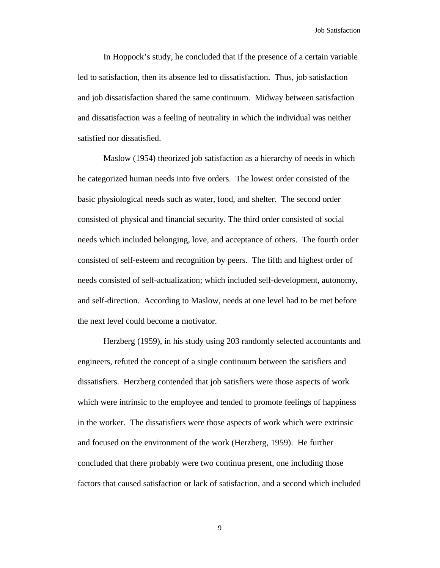In Hoppock's study, he concluded that if the presence of a certain variable led to satisfaction, then its absence led to dissatisfaction. Thus, job satisfaction and job dissatisfaction shared the same continuum. Midway between satisfaction and dissatisfaction was a feeling of neutrality in which the individual was neither satisfied nor dissatisfied.

Maslow (1954) theorized job satisfaction as a hierarchy of needs in which he categorized human needs into five orders. The lowest order consisted of the basic physiological needs such as water, food, and shelter. The second order consisted of physical and financial security. The third order consisted of social needs which included belonging, love, and acceptance of others. The fourth order consisted of self-esteem and recognition by peers. The fifth and highest order of needs consisted of self-actualization; which included self-development, autonomy, and self-direction. According to Maslow, needs at one level had to be met before the next level could become a motivator.

Herzberg (1959), in his study using 203 randomly selected accountants and engineers, refuted the concept of a single continuum between the satisfiers and dissatisfiers. Herzberg contended that job satisfiers were those aspects of work which were intrinsic to the employee and tended to promote feelings of happiness in the worker. The dissatisfiers were those aspects of work which were extrinsic and focused on the environment of the work (Herzberg, 1959). He further concluded that there probably were two continua present, one including those factors that caused satisfaction or lack of satisfaction, and a second which included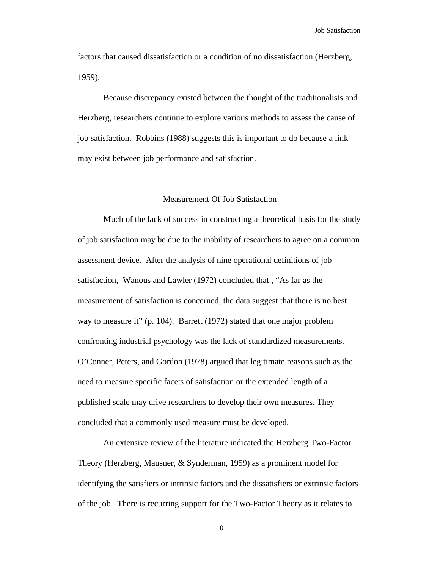factors that caused dissatisfaction or a condition of no dissatisfaction (Herzberg, 1959).

Because discrepancy existed between the thought of the traditionalists and Herzberg, researchers continue to explore various methods to assess the cause of job satisfaction. Robbins (1988) suggests this is important to do because a link may exist between job performance and satisfaction.

# Measurement Of Job Satisfaction

Much of the lack of success in constructing a theoretical basis for the study of job satisfaction may be due to the inability of researchers to agree on a common assessment device. After the analysis of nine operational definitions of job satisfaction, Wanous and Lawler (1972) concluded that , "As far as the measurement of satisfaction is concerned, the data suggest that there is no best way to measure it" (p. 104). Barrett (1972) stated that one major problem confronting industrial psychology was the lack of standardized measurements. O'Conner, Peters, and Gordon (1978) argued that legitimate reasons such as the need to measure specific facets of satisfaction or the extended length of a published scale may drive researchers to develop their own measures. They concluded that a commonly used measure must be developed.

An extensive review of the literature indicated the Herzberg Two-Factor Theory (Herzberg, Mausner, & Synderman, 1959) as a prominent model for identifying the satisfiers or intrinsic factors and the dissatisfiers or extrinsic factors of the job. There is recurring support for the Two-Factor Theory as it relates to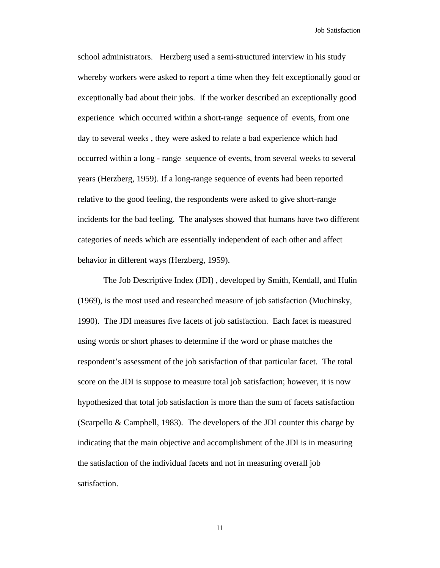school administrators. Herzberg used a semi-structured interview in his study whereby workers were asked to report a time when they felt exceptionally good or exceptionally bad about their jobs. If the worker described an exceptionally good experience which occurred within a short-range sequence of events, from one day to several weeks , they were asked to relate a bad experience which had occurred within a long - range sequence of events, from several weeks to several years (Herzberg, 1959). If a long-range sequence of events had been reported relative to the good feeling, the respondents were asked to give short-range incidents for the bad feeling. The analyses showed that humans have two different categories of needs which are essentially independent of each other and affect behavior in different ways (Herzberg, 1959).

The Job Descriptive Index (JDI) , developed by Smith, Kendall, and Hulin (1969), is the most used and researched measure of job satisfaction (Muchinsky, 1990). The JDI measures five facets of job satisfaction. Each facet is measured using words or short phases to determine if the word or phase matches the respondent's assessment of the job satisfaction of that particular facet. The total score on the JDI is suppose to measure total job satisfaction; however, it is now hypothesized that total job satisfaction is more than the sum of facets satisfaction (Scarpello & Campbell, 1983). The developers of the JDI counter this charge by indicating that the main objective and accomplishment of the JDI is in measuring the satisfaction of the individual facets and not in measuring overall job satisfaction.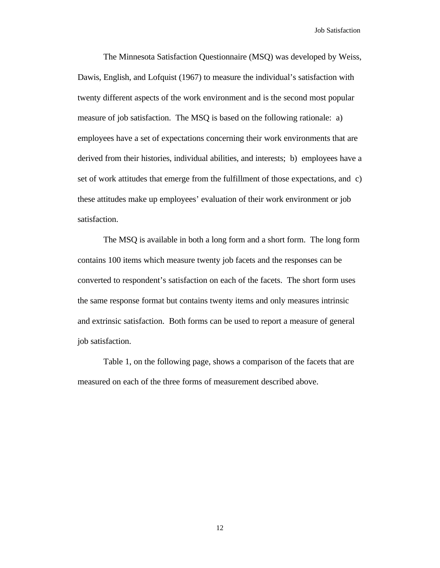The Minnesota Satisfaction Questionnaire (MSQ) was developed by Weiss, Dawis, English, and Lofquist (1967) to measure the individual's satisfaction with twenty different aspects of the work environment and is the second most popular measure of job satisfaction. The MSQ is based on the following rationale: a) employees have a set of expectations concerning their work environments that are derived from their histories, individual abilities, and interests; b) employees have a set of work attitudes that emerge from the fulfillment of those expectations, and c) these attitudes make up employees' evaluation of their work environment or job satisfaction.

The MSQ is available in both a long form and a short form. The long form contains 100 items which measure twenty job facets and the responses can be converted to respondent's satisfaction on each of the facets. The short form uses the same response format but contains twenty items and only measures intrinsic and extrinsic satisfaction. Both forms can be used to report a measure of general job satisfaction.

Table 1, on the following page, shows a comparison of the facets that are measured on each of the three forms of measurement described above.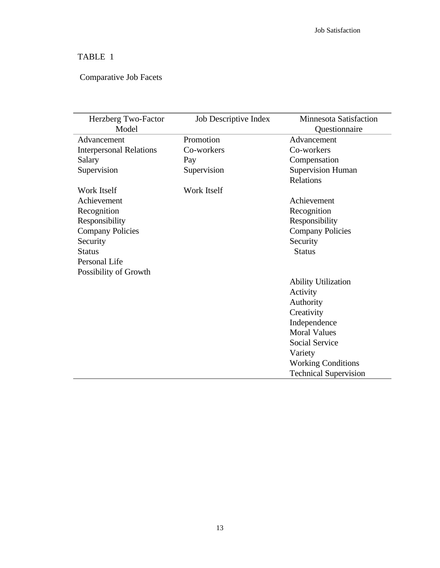# TABLE 1

# Comparative Job Facets

| Herzberg Two-Factor            | Job Descriptive Index | <b>Minnesota Satisfaction</b> |
|--------------------------------|-----------------------|-------------------------------|
| Model                          |                       | Questionnaire                 |
| Advancement                    | Promotion             | Advancement                   |
| <b>Interpersonal Relations</b> | Co-workers            | Co-workers                    |
| Salary                         | Pay                   | Compensation                  |
| Supervision                    | Supervision           | <b>Supervision Human</b>      |
|                                |                       | <b>Relations</b>              |
| <b>Work Itself</b>             | <b>Work Itself</b>    |                               |
| Achievement                    |                       | Achievement                   |
| Recognition                    |                       | Recognition                   |
| Responsibility                 |                       | Responsibility                |
| <b>Company Policies</b>        |                       | <b>Company Policies</b>       |
| Security                       |                       | Security                      |
| <b>Status</b>                  |                       | <b>Status</b>                 |
| Personal Life                  |                       |                               |
| Possibility of Growth          |                       |                               |
|                                |                       | <b>Ability Utilization</b>    |
|                                |                       | Activity                      |
|                                |                       | Authority                     |
|                                |                       | Creativity                    |
|                                |                       | Independence                  |
|                                |                       | <b>Moral Values</b>           |
|                                |                       | <b>Social Service</b>         |
|                                |                       | Variety                       |
|                                |                       | <b>Working Conditions</b>     |
|                                |                       | <b>Technical Supervision</b>  |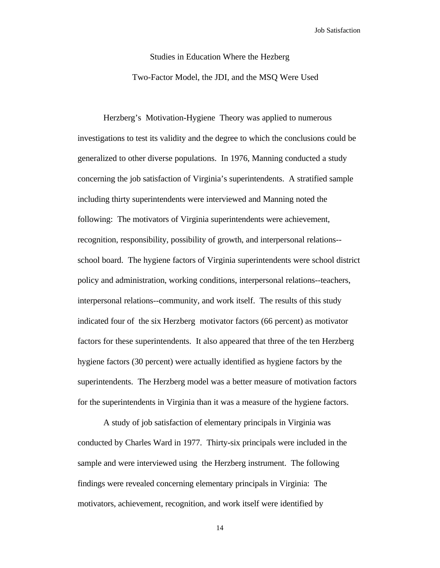# Studies in Education Where the Hezberg

Two-Factor Model, the JDI, and the MSQ Were Used

Herzberg's Motivation-Hygiene Theory was applied to numerous investigations to test its validity and the degree to which the conclusions could be generalized to other diverse populations. In 1976, Manning conducted a study concerning the job satisfaction of Virginia's superintendents. A stratified sample including thirty superintendents were interviewed and Manning noted the following: The motivators of Virginia superintendents were achievement, recognition, responsibility, possibility of growth, and interpersonal relations- school board. The hygiene factors of Virginia superintendents were school district policy and administration, working conditions, interpersonal relations--teachers, interpersonal relations--community, and work itself. The results of this study indicated four of the six Herzberg motivator factors (66 percent) as motivator factors for these superintendents. It also appeared that three of the ten Herzberg hygiene factors (30 percent) were actually identified as hygiene factors by the superintendents. The Herzberg model was a better measure of motivation factors for the superintendents in Virginia than it was a measure of the hygiene factors.

A study of job satisfaction of elementary principals in Virginia was conducted by Charles Ward in 1977. Thirty-six principals were included in the sample and were interviewed using the Herzberg instrument. The following findings were revealed concerning elementary principals in Virginia: The motivators, achievement, recognition, and work itself were identified by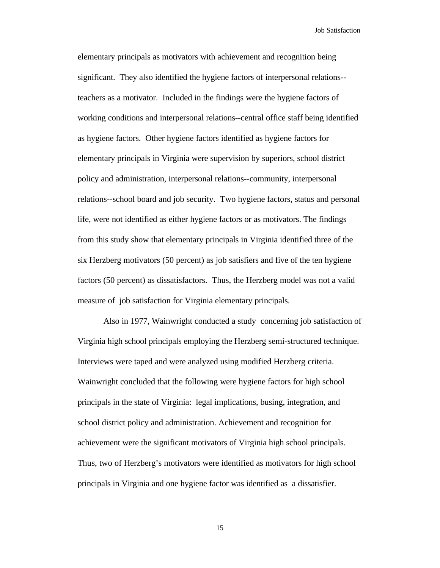elementary principals as motivators with achievement and recognition being significant. They also identified the hygiene factors of interpersonal relations- teachers as a motivator. Included in the findings were the hygiene factors of working conditions and interpersonal relations--central office staff being identified as hygiene factors. Other hygiene factors identified as hygiene factors for elementary principals in Virginia were supervision by superiors, school district policy and administration, interpersonal relations--community, interpersonal relations--school board and job security. Two hygiene factors, status and personal life, were not identified as either hygiene factors or as motivators. The findings from this study show that elementary principals in Virginia identified three of the six Herzberg motivators (50 percent) as job satisfiers and five of the ten hygiene factors (50 percent) as dissatisfactors. Thus, the Herzberg model was not a valid measure of job satisfaction for Virginia elementary principals.

Also in 1977, Wainwright conducted a study concerning job satisfaction of Virginia high school principals employing the Herzberg semi-structured technique. Interviews were taped and were analyzed using modified Herzberg criteria. Wainwright concluded that the following were hygiene factors for high school principals in the state of Virginia: legal implications, busing, integration, and school district policy and administration. Achievement and recognition for achievement were the significant motivators of Virginia high school principals. Thus, two of Herzberg's motivators were identified as motivators for high school principals in Virginia and one hygiene factor was identified as a dissatisfier.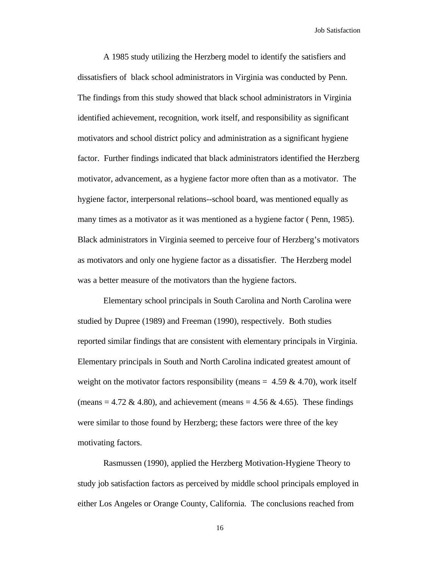A 1985 study utilizing the Herzberg model to identify the satisfiers and dissatisfiers of black school administrators in Virginia was conducted by Penn. The findings from this study showed that black school administrators in Virginia identified achievement, recognition, work itself, and responsibility as significant motivators and school district policy and administration as a significant hygiene factor. Further findings indicated that black administrators identified the Herzberg motivator, advancement, as a hygiene factor more often than as a motivator. The hygiene factor, interpersonal relations--school board, was mentioned equally as many times as a motivator as it was mentioned as a hygiene factor ( Penn, 1985). Black administrators in Virginia seemed to perceive four of Herzberg's motivators as motivators and only one hygiene factor as a dissatisfier. The Herzberg model was a better measure of the motivators than the hygiene factors.

Elementary school principals in South Carolina and North Carolina were studied by Dupree (1989) and Freeman (1990), respectively. Both studies reported similar findings that are consistent with elementary principals in Virginia. Elementary principals in South and North Carolina indicated greatest amount of weight on the motivator factors responsibility (means =  $4.59 \& 4.70$ ), work itself (means = 4.72 & 4.80), and achievement (means = 4.56 & 4.65). These findings were similar to those found by Herzberg; these factors were three of the key motivating factors.

Rasmussen (1990), applied the Herzberg Motivation-Hygiene Theory to study job satisfaction factors as perceived by middle school principals employed in either Los Angeles or Orange County, California. The conclusions reached from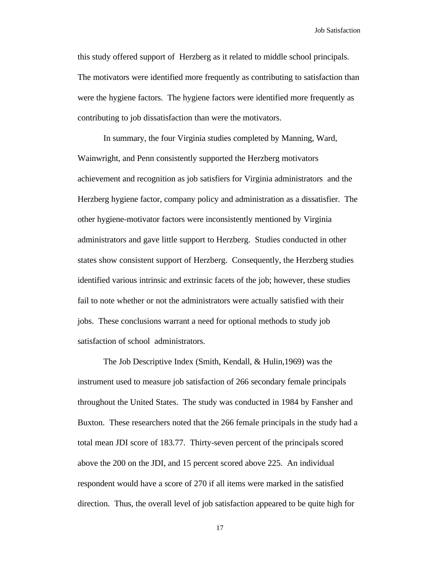this study offered support of Herzberg as it related to middle school principals. The motivators were identified more frequently as contributing to satisfaction than were the hygiene factors. The hygiene factors were identified more frequently as contributing to job dissatisfaction than were the motivators.

In summary, the four Virginia studies completed by Manning, Ward, Wainwright, and Penn consistently supported the Herzberg motivators achievement and recognition as job satisfiers for Virginia administrators and the Herzberg hygiene factor, company policy and administration as a dissatisfier. The other hygiene-motivator factors were inconsistently mentioned by Virginia administrators and gave little support to Herzberg. Studies conducted in other states show consistent support of Herzberg. Consequently, the Herzberg studies identified various intrinsic and extrinsic facets of the job; however, these studies fail to note whether or not the administrators were actually satisfied with their jobs. These conclusions warrant a need for optional methods to study job satisfaction of school administrators.

The Job Descriptive Index (Smith, Kendall, & Hulin,1969) was the instrument used to measure job satisfaction of 266 secondary female principals throughout the United States. The study was conducted in 1984 by Fansher and Buxton. These researchers noted that the 266 female principals in the study had a total mean JDI score of 183.77. Thirty-seven percent of the principals scored above the 200 on the JDI, and 15 percent scored above 225. An individual respondent would have a score of 270 if all items were marked in the satisfied direction. Thus, the overall level of job satisfaction appeared to be quite high for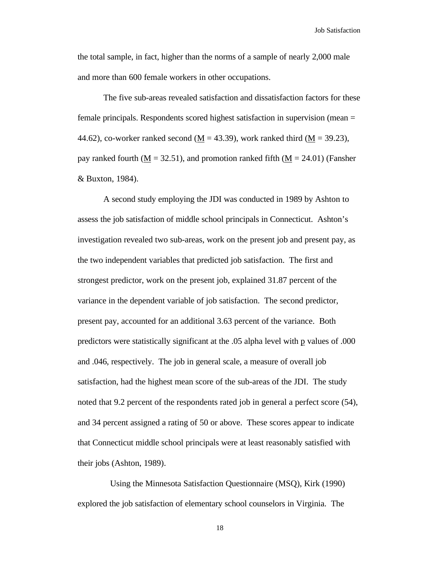the total sample, in fact, higher than the norms of a sample of nearly 2,000 male and more than 600 female workers in other occupations.

The five sub-areas revealed satisfaction and dissatisfaction factors for these female principals. Respondents scored highest satisfaction in supervision (mean = 44.62), co-worker ranked second ( $\underline{M}$  = 43.39), work ranked third ( $\underline{M}$  = 39.23), pay ranked fourth  $(M = 32.51)$ , and promotion ranked fifth  $(M = 24.01)$  (Fansher & Buxton, 1984).

A second study employing the JDI was conducted in 1989 by Ashton to assess the job satisfaction of middle school principals in Connecticut. Ashton's investigation revealed two sub-areas, work on the present job and present pay, as the two independent variables that predicted job satisfaction. The first and strongest predictor, work on the present job, explained 31.87 percent of the variance in the dependent variable of job satisfaction. The second predictor, present pay, accounted for an additional 3.63 percent of the variance. Both predictors were statistically significant at the .05 alpha level with p values of .000 and .046, respectively. The job in general scale, a measure of overall job satisfaction, had the highest mean score of the sub-areas of the JDI. The study noted that 9.2 percent of the respondents rated job in general a perfect score (54), and 34 percent assigned a rating of 50 or above. These scores appear to indicate that Connecticut middle school principals were at least reasonably satisfied with their jobs (Ashton, 1989).

 Using the Minnesota Satisfaction Questionnaire (MSQ), Kirk (1990) explored the job satisfaction of elementary school counselors in Virginia. The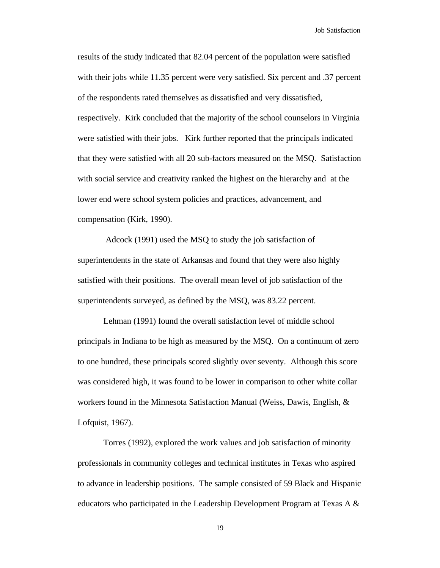results of the study indicated that 82.04 percent of the population were satisfied with their jobs while 11.35 percent were very satisfied. Six percent and .37 percent of the respondents rated themselves as dissatisfied and very dissatisfied, respectively. Kirk concluded that the majority of the school counselors in Virginia were satisfied with their jobs. Kirk further reported that the principals indicated that they were satisfied with all 20 sub-factors measured on the MSQ. Satisfaction with social service and creativity ranked the highest on the hierarchy and at the lower end were school system policies and practices, advancement, and compensation (Kirk, 1990).

Adcock (1991) used the MSQ to study the job satisfaction of superintendents in the state of Arkansas and found that they were also highly satisfied with their positions. The overall mean level of job satisfaction of the superintendents surveyed, as defined by the MSQ, was 83.22 percent.

Lehman (1991) found the overall satisfaction level of middle school principals in Indiana to be high as measured by the MSQ. On a continuum of zero to one hundred, these principals scored slightly over seventy. Although this score was considered high, it was found to be lower in comparison to other white collar workers found in the Minnesota Satisfaction Manual (Weiss, Dawis, English, & Lofquist, 1967).

Torres (1992), explored the work values and job satisfaction of minority professionals in community colleges and technical institutes in Texas who aspired to advance in leadership positions. The sample consisted of 59 Black and Hispanic educators who participated in the Leadership Development Program at Texas A  $\&$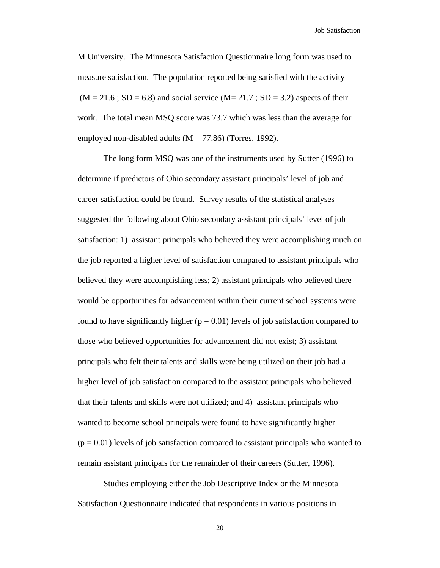M University. The Minnesota Satisfaction Questionnaire long form was used to measure satisfaction. The population reported being satisfied with the activity  $(M = 21.6$ ; SD = 6.8) and social service  $(M = 21.7$ ; SD = 3.2) aspects of their work. The total mean MSQ score was 73.7 which was less than the average for employed non-disabled adults  $(M = 77.86)$  (Torres, 1992).

The long form MSQ was one of the instruments used by Sutter (1996) to determine if predictors of Ohio secondary assistant principals' level of job and career satisfaction could be found. Survey results of the statistical analyses suggested the following about Ohio secondary assistant principals' level of job satisfaction: 1) assistant principals who believed they were accomplishing much on the job reported a higher level of satisfaction compared to assistant principals who believed they were accomplishing less; 2) assistant principals who believed there would be opportunities for advancement within their current school systems were found to have significantly higher ( $p = 0.01$ ) levels of job satisfaction compared to those who believed opportunities for advancement did not exist; 3) assistant principals who felt their talents and skills were being utilized on their job had a higher level of job satisfaction compared to the assistant principals who believed that their talents and skills were not utilized; and 4) assistant principals who wanted to become school principals were found to have significantly higher  $(p = 0.01)$  levels of job satisfaction compared to assistant principals who wanted to remain assistant principals for the remainder of their careers (Sutter, 1996).

Studies employing either the Job Descriptive Index or the Minnesota Satisfaction Questionnaire indicated that respondents in various positions in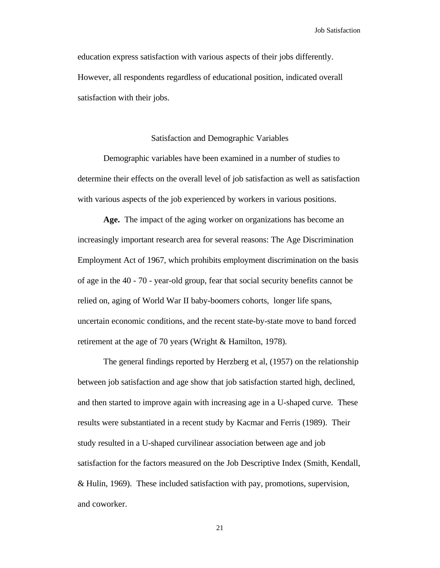education express satisfaction with various aspects of their jobs differently. However, all respondents regardless of educational position, indicated overall satisfaction with their jobs.

#### Satisfaction and Demographic Variables

Demographic variables have been examined in a number of studies to determine their effects on the overall level of job satisfaction as well as satisfaction with various aspects of the job experienced by workers in various positions.

**Age.** The impact of the aging worker on organizations has become an increasingly important research area for several reasons: The Age Discrimination Employment Act of 1967, which prohibits employment discrimination on the basis of age in the 40 - 70 - year-old group, fear that social security benefits cannot be relied on, aging of World War II baby-boomers cohorts, longer life spans, uncertain economic conditions, and the recent state-by-state move to band forced retirement at the age of 70 years (Wright & Hamilton, 1978).

The general findings reported by Herzberg et al, (1957) on the relationship between job satisfaction and age show that job satisfaction started high, declined, and then started to improve again with increasing age in a U-shaped curve. These results were substantiated in a recent study by Kacmar and Ferris (1989). Their study resulted in a U-shaped curvilinear association between age and job satisfaction for the factors measured on the Job Descriptive Index (Smith, Kendall, & Hulin, 1969). These included satisfaction with pay, promotions, supervision, and coworker.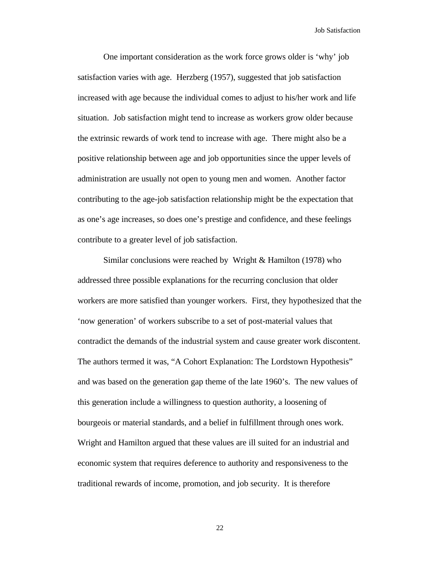One important consideration as the work force grows older is 'why' job satisfaction varies with age. Herzberg (1957), suggested that job satisfaction increased with age because the individual comes to adjust to his/her work and life situation. Job satisfaction might tend to increase as workers grow older because the extrinsic rewards of work tend to increase with age. There might also be a positive relationship between age and job opportunities since the upper levels of administration are usually not open to young men and women. Another factor contributing to the age-job satisfaction relationship might be the expectation that as one's age increases, so does one's prestige and confidence, and these feelings contribute to a greater level of job satisfaction.

Similar conclusions were reached by Wright & Hamilton (1978) who addressed three possible explanations for the recurring conclusion that older workers are more satisfied than younger workers. First, they hypothesized that the 'now generation' of workers subscribe to a set of post-material values that contradict the demands of the industrial system and cause greater work discontent. The authors termed it was, "A Cohort Explanation: The Lordstown Hypothesis" and was based on the generation gap theme of the late 1960's. The new values of this generation include a willingness to question authority, a loosening of bourgeois or material standards, and a belief in fulfillment through ones work. Wright and Hamilton argued that these values are ill suited for an industrial and economic system that requires deference to authority and responsiveness to the traditional rewards of income, promotion, and job security. It is therefore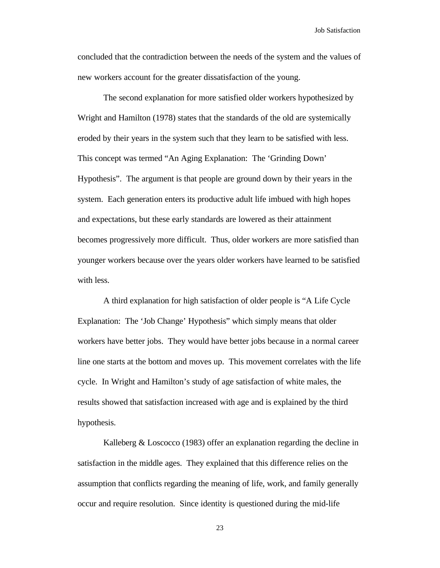concluded that the contradiction between the needs of the system and the values of new workers account for the greater dissatisfaction of the young.

The second explanation for more satisfied older workers hypothesized by Wright and Hamilton (1978) states that the standards of the old are systemically eroded by their years in the system such that they learn to be satisfied with less. This concept was termed "An Aging Explanation: The 'Grinding Down' Hypothesis". The argument is that people are ground down by their years in the system. Each generation enters its productive adult life imbued with high hopes and expectations, but these early standards are lowered as their attainment becomes progressively more difficult. Thus, older workers are more satisfied than younger workers because over the years older workers have learned to be satisfied with less.

A third explanation for high satisfaction of older people is "A Life Cycle Explanation: The 'Job Change' Hypothesis" which simply means that older workers have better jobs. They would have better jobs because in a normal career line one starts at the bottom and moves up. This movement correlates with the life cycle. In Wright and Hamilton's study of age satisfaction of white males, the results showed that satisfaction increased with age and is explained by the third hypothesis.

Kalleberg & Loscocco (1983) offer an explanation regarding the decline in satisfaction in the middle ages. They explained that this difference relies on the assumption that conflicts regarding the meaning of life, work, and family generally occur and require resolution. Since identity is questioned during the mid-life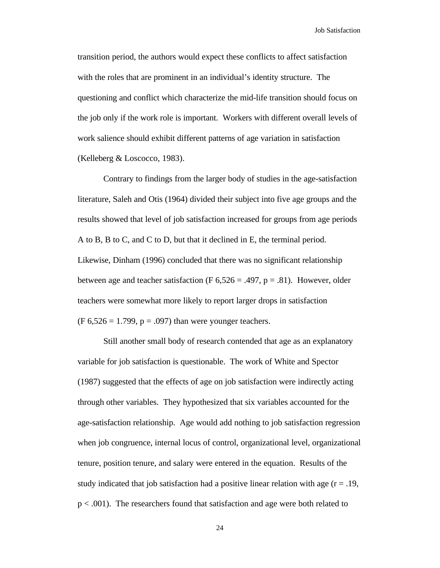transition period, the authors would expect these conflicts to affect satisfaction with the roles that are prominent in an individual's identity structure. The questioning and conflict which characterize the mid-life transition should focus on the job only if the work role is important. Workers with different overall levels of work salience should exhibit different patterns of age variation in satisfaction (Kelleberg & Loscocco, 1983).

Contrary to findings from the larger body of studies in the age-satisfaction literature, Saleh and Otis (1964) divided their subject into five age groups and the results showed that level of job satisfaction increased for groups from age periods A to B, B to C, and C to D, but that it declined in E, the terminal period. Likewise, Dinham (1996) concluded that there was no significant relationship between age and teacher satisfaction (F  $6,526 = .497$ , p = .81). However, older teachers were somewhat more likely to report larger drops in satisfaction  $(F 6,526 = 1.799, p = .097)$  than were younger teachers.

Still another small body of research contended that age as an explanatory variable for job satisfaction is questionable. The work of White and Spector (1987) suggested that the effects of age on job satisfaction were indirectly acting through other variables. They hypothesized that six variables accounted for the age-satisfaction relationship. Age would add nothing to job satisfaction regression when job congruence, internal locus of control, organizational level, organizational tenure, position tenure, and salary were entered in the equation. Results of the study indicated that job satisfaction had a positive linear relation with age  $(r = .19, )$ p < .001). The researchers found that satisfaction and age were both related to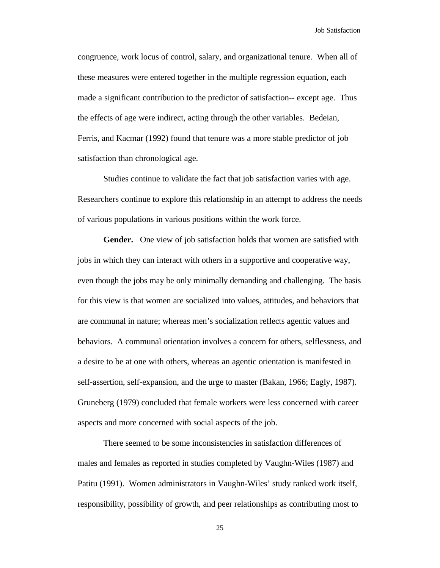congruence, work locus of control, salary, and organizational tenure. When all of these measures were entered together in the multiple regression equation, each made a significant contribution to the predictor of satisfaction-- except age. Thus the effects of age were indirect, acting through the other variables. Bedeian, Ferris, and Kacmar (1992) found that tenure was a more stable predictor of job satisfaction than chronological age.

Studies continue to validate the fact that job satisfaction varies with age. Researchers continue to explore this relationship in an attempt to address the needs of various populations in various positions within the work force.

**Gender.** One view of job satisfaction holds that women are satisfied with jobs in which they can interact with others in a supportive and cooperative way, even though the jobs may be only minimally demanding and challenging. The basis for this view is that women are socialized into values, attitudes, and behaviors that are communal in nature; whereas men's socialization reflects agentic values and behaviors. A communal orientation involves a concern for others, selflessness, and a desire to be at one with others, whereas an agentic orientation is manifested in self-assertion, self-expansion, and the urge to master (Bakan, 1966; Eagly, 1987). Gruneberg (1979) concluded that female workers were less concerned with career aspects and more concerned with social aspects of the job.

There seemed to be some inconsistencies in satisfaction differences of males and females as reported in studies completed by Vaughn-Wiles (1987) and Patitu (1991). Women administrators in Vaughn-Wiles' study ranked work itself, responsibility, possibility of growth, and peer relationships as contributing most to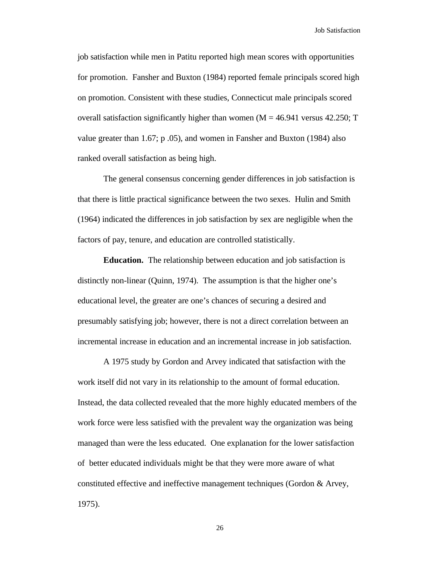job satisfaction while men in Patitu reported high mean scores with opportunities for promotion. Fansher and Buxton (1984) reported female principals scored high on promotion. Consistent with these studies, Connecticut male principals scored overall satisfaction significantly higher than women  $(M = 46.941)$  versus 42.250; T value greater than 1.67; p .05), and women in Fansher and Buxton (1984) also ranked overall satisfaction as being high.

The general consensus concerning gender differences in job satisfaction is that there is little practical significance between the two sexes. Hulin and Smith (1964) indicated the differences in job satisfaction by sex are negligible when the factors of pay, tenure, and education are controlled statistically.

**Education.** The relationship between education and job satisfaction is distinctly non-linear (Quinn, 1974). The assumption is that the higher one's educational level, the greater are one's chances of securing a desired and presumably satisfying job; however, there is not a direct correlation between an incremental increase in education and an incremental increase in job satisfaction.

A 1975 study by Gordon and Arvey indicated that satisfaction with the work itself did not vary in its relationship to the amount of formal education. Instead, the data collected revealed that the more highly educated members of the work force were less satisfied with the prevalent way the organization was being managed than were the less educated. One explanation for the lower satisfaction of better educated individuals might be that they were more aware of what constituted effective and ineffective management techniques (Gordon & Arvey, 1975).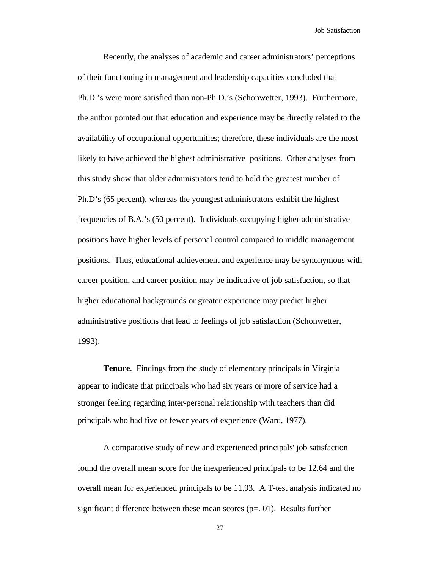Recently, the analyses of academic and career administrators' perceptions of their functioning in management and leadership capacities concluded that Ph.D.'s were more satisfied than non-Ph.D.'s (Schonwetter, 1993). Furthermore, the author pointed out that education and experience may be directly related to the availability of occupational opportunities; therefore, these individuals are the most likely to have achieved the highest administrative positions. Other analyses from this study show that older administrators tend to hold the greatest number of Ph.D's (65 percent), whereas the youngest administrators exhibit the highest frequencies of B.A.'s (50 percent). Individuals occupying higher administrative positions have higher levels of personal control compared to middle management positions. Thus, educational achievement and experience may be synonymous with career position, and career position may be indicative of job satisfaction, so that higher educational backgrounds or greater experience may predict higher administrative positions that lead to feelings of job satisfaction (Schonwetter, 1993).

**Tenure**. Findings from the study of elementary principals in Virginia appear to indicate that principals who had six years or more of service had a stronger feeling regarding inter-personal relationship with teachers than did principals who had five or fewer years of experience (Ward, 1977).

A comparative study of new and experienced principals' job satisfaction found the overall mean score for the inexperienced principals to be 12.64 and the overall mean for experienced principals to be 11.93. A T-test analysis indicated no significant difference between these mean scores  $(p=0.01)$ . Results further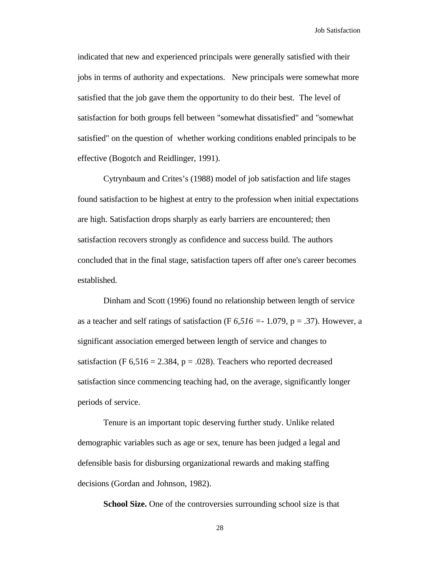indicated that new and experienced principals were generally satisfied with their jobs in terms of authority and expectations. New principals were somewhat more satisfied that the job gave them the opportunity to do their best. The level of satisfaction for both groups fell between "somewhat dissatisfied" and "somewhat satisfied" on the question of whether working conditions enabled principals to be effective (Bogotch and Reidlinger, 1991).

Cytrynbaum and Crites's (1988) model of job satisfaction and life stages found satisfaction to be highest at entry to the profession when initial expectations are high. Satisfaction drops sharply as early barriers are encountered; then satisfaction recovers strongly as confidence and success build. The authors concluded that in the final stage, satisfaction tapers off after one's career becomes established.

Dinham and Scott (1996) found no relationship between length of service as a teacher and self ratings of satisfaction (F *6,516 =*- 1.079, p = .37). However, a significant association emerged between length of service and changes to satisfaction (F  $6,516 = 2.384$ , p = .028). Teachers who reported decreased satisfaction since commencing teaching had, on the average, significantly longer periods of service.

Tenure is an important topic deserving further study. Unlike related demographic variables such as age or sex, tenure has been judged a legal and defensible basis for disbursing organizational rewards and making staffing decisions (Gordan and Johnson, 1982).

**School Size.** One of the controversies surrounding school size is that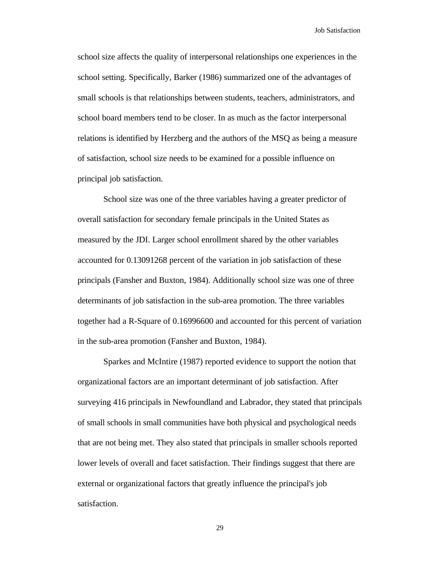school size affects the quality of interpersonal relationships one experiences in the school setting. Specifically, Barker (1986) summarized one of the advantages of small schools is that relationships between students, teachers, administrators, and school board members tend to be closer. In as much as the factor interpersonal relations is identified by Herzberg and the authors of the MSQ as being a measure of satisfaction, school size needs to be examined for a possible influence on principal job satisfaction.

School size was one of the three variables having a greater predictor of overall satisfaction for secondary female principals in the United States as measured by the JDI. Larger school enrollment shared by the other variables accounted for 0.13091268 percent of the variation in job satisfaction of these principals (Fansher and Buxton, 1984). Additionally school size was one of three determinants of job satisfaction in the sub-area promotion. The three variables together had a R-Square of 0.16996600 and accounted for this percent of variation in the sub-area promotion (Fansher and Buxton, 1984).

Sparkes and McIntire (1987) reported evidence to support the notion that organizational factors are an important determinant of job satisfaction. After surveying 416 principals in Newfoundland and Labrador, they stated that principals of small schools in small communities have both physical and psychological needs that are not being met. They also stated that principals in smaller schools reported lower levels of overall and facet satisfaction. Their findings suggest that there are external or organizational factors that greatly influence the principal's job satisfaction.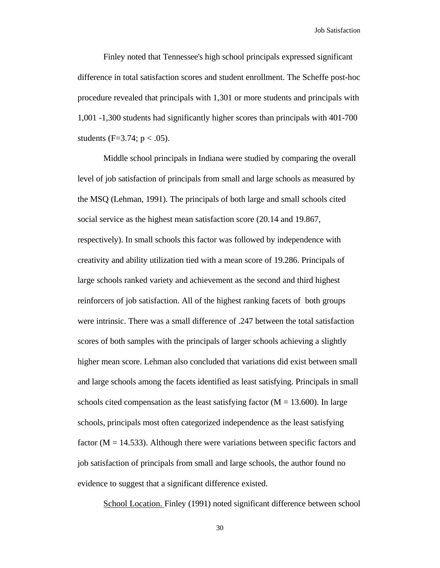Finley noted that Tennessee's high school principals expressed significant difference in total satisfaction scores and student enrollment. The Scheffe post-hoc procedure revealed that principals with 1,301 or more students and principals with 1,001 -1,300 students had significantly higher scores than principals with 401-700 students (F=3.74;  $p < .05$ ).

Middle school principals in Indiana were studied by comparing the overall level of job satisfaction of principals from small and large schools as measured by the MSQ (Lehman, 1991). The principals of both large and small schools cited social service as the highest mean satisfaction score (20.14 and 19.867, respectively). In small schools this factor was followed by independence with creativity and ability utilization tied with a mean score of 19.286. Principals of large schools ranked variety and achievement as the second and third highest reinforcers of job satisfaction. All of the highest ranking facets of both groups were intrinsic. There was a small difference of .247 between the total satisfaction scores of both samples with the principals of larger schools achieving a slightly higher mean score. Lehman also concluded that variations did exist between small and large schools among the facets identified as least satisfying. Principals in small schools cited compensation as the least satisfying factor  $(M = 13.600)$ . In large schools, principals most often categorized independence as the least satisfying factor ( $M = 14.533$ ). Although there were variations between specific factors and job satisfaction of principals from small and large schools, the author found no evidence to suggest that a significant difference existed.

School Location. Finley (1991) noted significant difference between school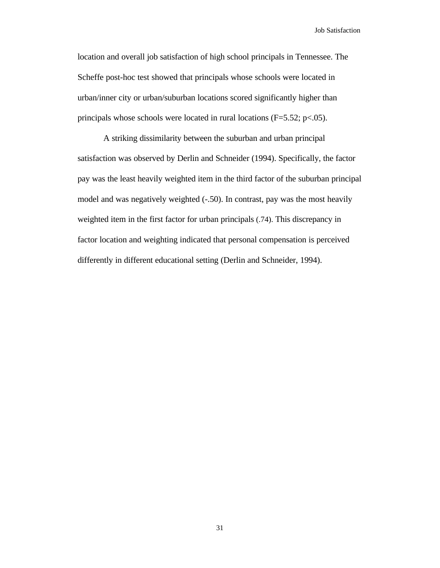location and overall job satisfaction of high school principals in Tennessee. The Scheffe post-hoc test showed that principals whose schools were located in urban/inner city or urban/suburban locations scored significantly higher than principals whose schools were located in rural locations (F=5.52; p<.05).

A striking dissimilarity between the suburban and urban principal satisfaction was observed by Derlin and Schneider (1994). Specifically, the factor pay was the least heavily weighted item in the third factor of the suburban principal model and was negatively weighted (-.50). In contrast, pay was the most heavily weighted item in the first factor for urban principals (.74). This discrepancy in factor location and weighting indicated that personal compensation is perceived differently in different educational setting (Derlin and Schneider, 1994).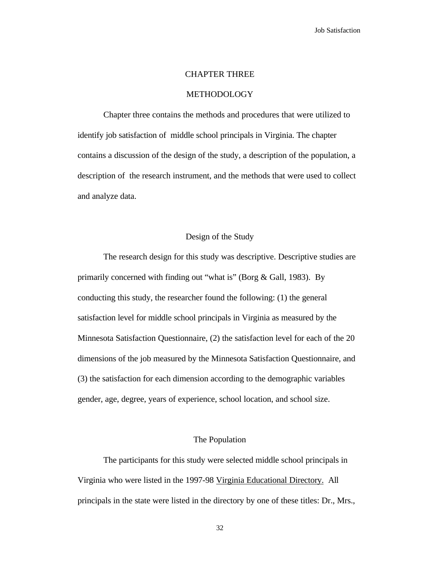#### CHAPTER THREE

#### METHODOLOGY

Chapter three contains the methods and procedures that were utilized to identify job satisfaction of middle school principals in Virginia. The chapter contains a discussion of the design of the study, a description of the population, a description of the research instrument, and the methods that were used to collect and analyze data.

# Design of the Study

The research design for this study was descriptive. Descriptive studies are primarily concerned with finding out "what is" (Borg & Gall, 1983). By conducting this study, the researcher found the following: (1) the general satisfaction level for middle school principals in Virginia as measured by the Minnesota Satisfaction Questionnaire, (2) the satisfaction level for each of the 20 dimensions of the job measured by the Minnesota Satisfaction Questionnaire, and (3) the satisfaction for each dimension according to the demographic variables gender, age, degree, years of experience, school location, and school size.

# The Population

The participants for this study were selected middle school principals in Virginia who were listed in the 1997-98 Virginia Educational Directory. All principals in the state were listed in the directory by one of these titles: Dr., Mrs.,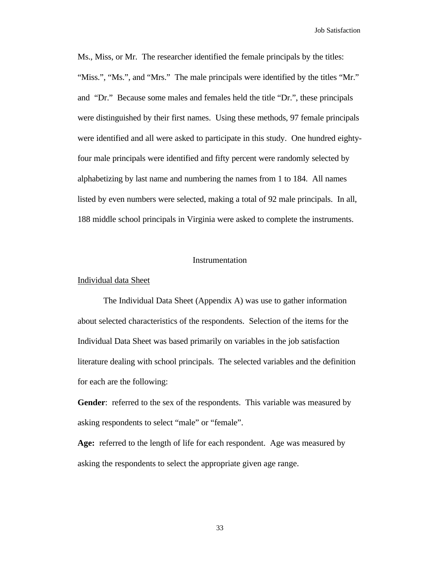Ms., Miss, or Mr. The researcher identified the female principals by the titles: "Miss.", "Ms.", and "Mrs." The male principals were identified by the titles "Mr." and "Dr." Because some males and females held the title "Dr.", these principals were distinguished by their first names. Using these methods, 97 female principals were identified and all were asked to participate in this study. One hundred eightyfour male principals were identified and fifty percent were randomly selected by alphabetizing by last name and numbering the names from 1 to 184. All names listed by even numbers were selected, making a total of 92 male principals. In all, 188 middle school principals in Virginia were asked to complete the instruments.

# Instrumentation

#### Individual data Sheet

The Individual Data Sheet (Appendix A) was use to gather information about selected characteristics of the respondents. Selection of the items for the Individual Data Sheet was based primarily on variables in the job satisfaction literature dealing with school principals. The selected variables and the definition for each are the following:

Gender: referred to the sex of the respondents. This variable was measured by asking respondents to select "male" or "female".

**Age:** referred to the length of life for each respondent. Age was measured by asking the respondents to select the appropriate given age range.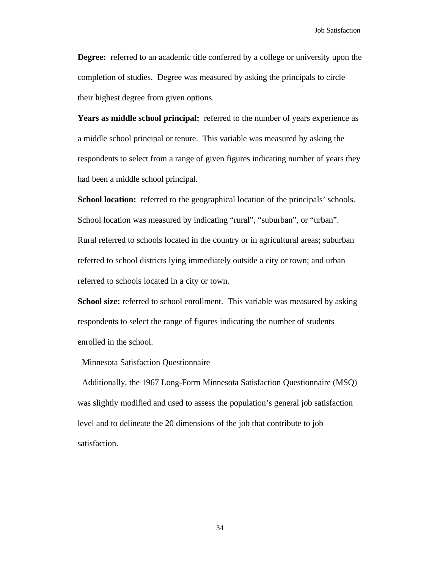**Degree:** referred to an academic title conferred by a college or university upon the completion of studies. Degree was measured by asking the principals to circle their highest degree from given options.

**Years as middle school principal:** referred to the number of years experience as a middle school principal or tenure. This variable was measured by asking the respondents to select from a range of given figures indicating number of years they had been a middle school principal.

**School location:** referred to the geographical location of the principals' schools. School location was measured by indicating "rural", "suburban", or "urban". Rural referred to schools located in the country or in agricultural areas; suburban referred to school districts lying immediately outside a city or town; and urban referred to schools located in a city or town.

**School size:** referred to school enrollment. This variable was measured by asking respondents to select the range of figures indicating the number of students enrolled in the school.

# Minnesota Satisfaction Questionnaire

 Additionally, the 1967 Long-Form Minnesota Satisfaction Questionnaire (MSQ) was slightly modified and used to assess the population's general job satisfaction level and to delineate the 20 dimensions of the job that contribute to job satisfaction.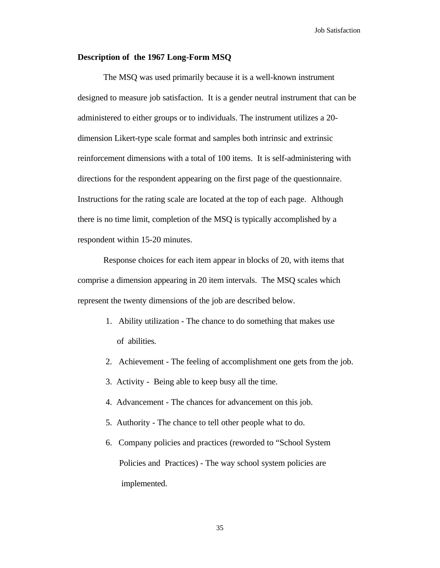# **Description of the 1967 Long-Form MSQ**

The MSQ was used primarily because it is a well-known instrument designed to measure job satisfaction. It is a gender neutral instrument that can be administered to either groups or to individuals. The instrument utilizes a 20 dimension Likert-type scale format and samples both intrinsic and extrinsic reinforcement dimensions with a total of 100 items. It is self-administering with directions for the respondent appearing on the first page of the questionnaire. Instructions for the rating scale are located at the top of each page. Although there is no time limit, completion of the MSQ is typically accomplished by a respondent within 15-20 minutes.

Response choices for each item appear in blocks of 20, with items that comprise a dimension appearing in 20 item intervals. The MSQ scales which represent the twenty dimensions of the job are described below.

- 1. Ability utilization The chance to do something that makes use of abilities.
- 2. Achievement The feeling of accomplishment one gets from the job.
- 3. Activity Being able to keep busy all the time.
- 4. Advancement The chances for advancement on this job.
- 5. Authority The chance to tell other people what to do.
- 6. Company policies and practices (reworded to "School System Policies and Practices) - The way school system policies are implemented.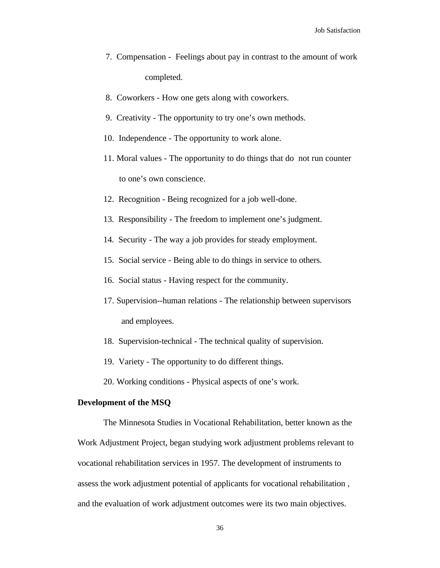- 7. Compensation Feelings about pay in contrast to the amount of work completed.
- 8. Coworkers How one gets along with coworkers.
- 9. Creativity The opportunity to try one's own methods.
- 10. Independence The opportunity to work alone.
- 11. Moral values The opportunity to do things that do not run counter to one's own conscience.
- 12. Recognition Being recognized for a job well-done.
- 13. Responsibility The freedom to implement one's judgment.
- 14. Security The way a job provides for steady employment.
- 15. Social service Being able to do things in service to others.
- 16. Social status Having respect for the community.
- 17. Supervision--human relations The relationship between supervisors and employees.
- 18. Supervision-technical The technical quality of supervision.
- 19. Variety The opportunity to do different things.

20. Working conditions - Physical aspects of one's work.

# **Development of the MSQ**

The Minnesota Studies in Vocational Rehabilitation, better known as the Work Adjustment Project, began studying work adjustment problems relevant to vocational rehabilitation services in 1957. The development of instruments to assess the work adjustment potential of applicants for vocational rehabilitation , and the evaluation of work adjustment outcomes were its two main objectives.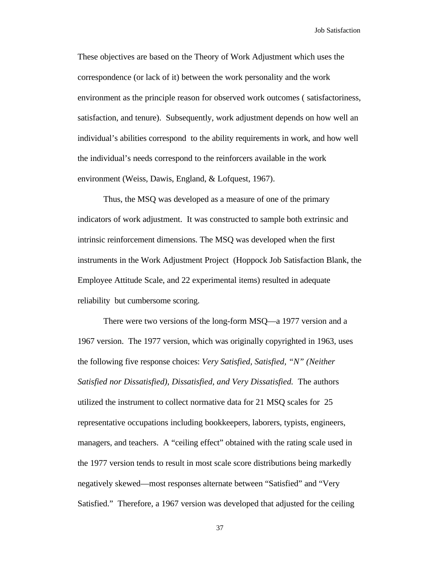These objectives are based on the Theory of Work Adjustment which uses the correspondence (or lack of it) between the work personality and the work environment as the principle reason for observed work outcomes ( satisfactoriness, satisfaction, and tenure). Subsequently, work adjustment depends on how well an individual's abilities correspond to the ability requirements in work, and how well the individual's needs correspond to the reinforcers available in the work environment (Weiss, Dawis, England, & Lofquest, 1967).

Thus, the MSQ was developed as a measure of one of the primary indicators of work adjustment. It was constructed to sample both extrinsic and intrinsic reinforcement dimensions. The MSQ was developed when the first instruments in the Work Adjustment Project (Hoppock Job Satisfaction Blank, the Employee Attitude Scale, and 22 experimental items) resulted in adequate reliability but cumbersome scoring.

There were two versions of the long-form MSQ—a 1977 version and a 1967 version. The 1977 version, which was originally copyrighted in 1963, uses the following five response choices: *Very Satisfied, Satisfied, "N" (Neither Satisfied nor Dissatisfied), Dissatisfied, and Very Dissatisfied.* The authors utilized the instrument to collect normative data for 21 MSQ scales for 25 representative occupations including bookkeepers, laborers, typists, engineers, managers, and teachers. A "ceiling effect" obtained with the rating scale used in the 1977 version tends to result in most scale score distributions being markedly negatively skewed—most responses alternate between "Satisfied" and "Very Satisfied." Therefore, a 1967 version was developed that adjusted for the ceiling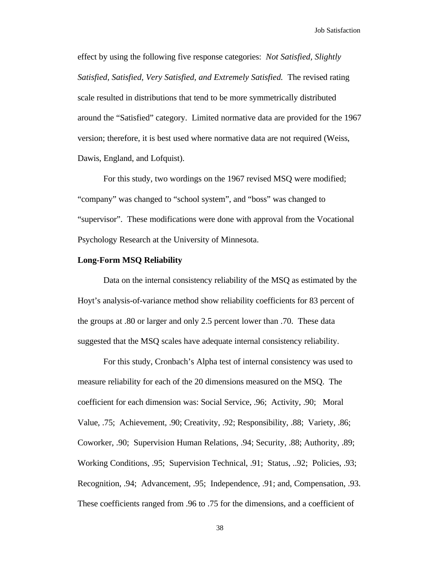effect by using the following five response categories: *Not Satisfied, Slightly Satisfied, Satisfied, Very Satisfied, and Extremely Satisfied.* The revised rating scale resulted in distributions that tend to be more symmetrically distributed around the "Satisfied" category. Limited normative data are provided for the 1967 version; therefore, it is best used where normative data are not required (Weiss, Dawis, England, and Lofquist).

For this study, two wordings on the 1967 revised MSQ were modified; "company" was changed to "school system", and "boss" was changed to "supervisor". These modifications were done with approval from the Vocational Psychology Research at the University of Minnesota.

## **Long-Form MSQ Reliability**

Data on the internal consistency reliability of the MSQ as estimated by the Hoyt's analysis-of-variance method show reliability coefficients for 83 percent of the groups at .80 or larger and only 2.5 percent lower than .70. These data suggested that the MSQ scales have adequate internal consistency reliability.

For this study, Cronbach's Alpha test of internal consistency was used to measure reliability for each of the 20 dimensions measured on the MSQ. The coefficient for each dimension was: Social Service, .96; Activity, .90; Moral Value, .75; Achievement, .90; Creativity, .92; Responsibility, .88; Variety, .86; Coworker, .90; Supervision Human Relations, .94; Security, .88; Authority, .89; Working Conditions, .95; Supervision Technical, .91; Status, ..92; Policies, .93; Recognition, .94; Advancement, .95; Independence, .91; and, Compensation, .93. These coefficients ranged from .96 to .75 for the dimensions, and a coefficient of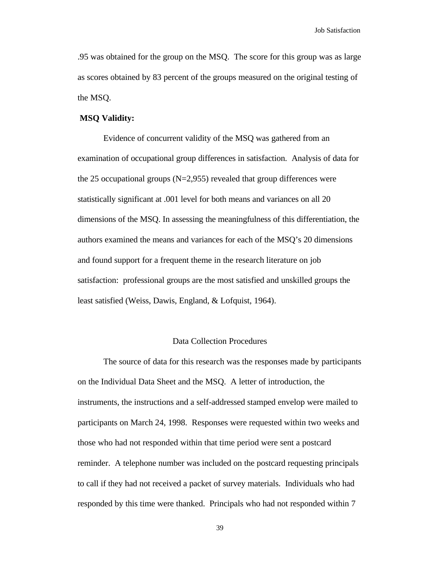.95 was obtained for the group on the MSQ. The score for this group was as large as scores obtained by 83 percent of the groups measured on the original testing of the MSQ.

# **MSQ Validity:**

Evidence of concurrent validity of the MSQ was gathered from an examination of occupational group differences in satisfaction. Analysis of data for the 25 occupational groups  $(N=2,955)$  revealed that group differences were statistically significant at .001 level for both means and variances on all 20 dimensions of the MSQ. In assessing the meaningfulness of this differentiation, the authors examined the means and variances for each of the MSQ's 20 dimensions and found support for a frequent theme in the research literature on job satisfaction: professional groups are the most satisfied and unskilled groups the least satisfied (Weiss, Dawis, England, & Lofquist, 1964).

#### Data Collection Procedures

The source of data for this research was the responses made by participants on the Individual Data Sheet and the MSQ. A letter of introduction, the instruments, the instructions and a self-addressed stamped envelop were mailed to participants on March 24, 1998. Responses were requested within two weeks and those who had not responded within that time period were sent a postcard reminder. A telephone number was included on the postcard requesting principals to call if they had not received a packet of survey materials. Individuals who had responded by this time were thanked. Principals who had not responded within 7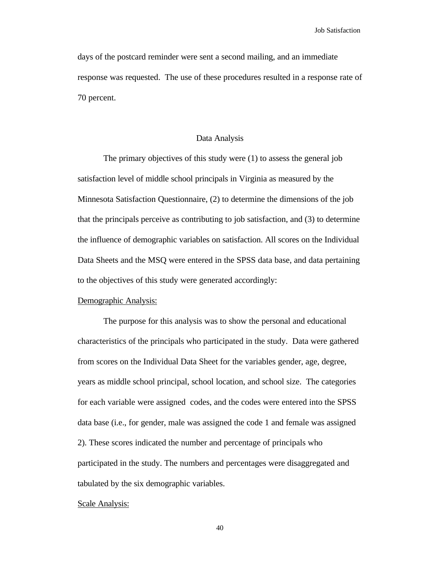days of the postcard reminder were sent a second mailing, and an immediate response was requested. The use of these procedures resulted in a response rate of 70 percent.

# Data Analysis

The primary objectives of this study were (1) to assess the general job satisfaction level of middle school principals in Virginia as measured by the Minnesota Satisfaction Questionnaire, (2) to determine the dimensions of the job that the principals perceive as contributing to job satisfaction, and (3) to determine the influence of demographic variables on satisfaction. All scores on the Individual Data Sheets and the MSQ were entered in the SPSS data base, and data pertaining to the objectives of this study were generated accordingly:

#### Demographic Analysis:

The purpose for this analysis was to show the personal and educational characteristics of the principals who participated in the study. Data were gathered from scores on the Individual Data Sheet for the variables gender, age, degree, years as middle school principal, school location, and school size. The categories for each variable were assigned codes, and the codes were entered into the SPSS data base (i.e., for gender, male was assigned the code 1 and female was assigned 2). These scores indicated the number and percentage of principals who participated in the study. The numbers and percentages were disaggregated and tabulated by the six demographic variables.

#### Scale Analysis: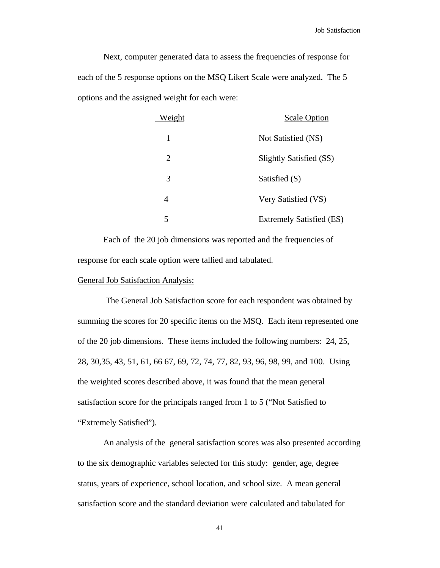Next, computer generated data to assess the frequencies of response for each of the 5 response options on the MSQ Likert Scale were analyzed. The 5 options and the assigned weight for each were:

| Weight | <b>Scale Option</b>             |
|--------|---------------------------------|
| 1      | Not Satisfied (NS)              |
| 2      | Slightly Satisfied (SS)         |
| 3      | Satisfied (S)                   |
| 4      | Very Satisfied (VS)             |
| 5      | <b>Extremely Satisfied (ES)</b> |

Each of the 20 job dimensions was reported and the frequencies of response for each scale option were tallied and tabulated.

#### General Job Satisfaction Analysis:

 The General Job Satisfaction score for each respondent was obtained by summing the scores for 20 specific items on the MSQ. Each item represented one of the 20 job dimensions. These items included the following numbers: 24, 25, 28, 30,35, 43, 51, 61, 66 67, 69, 72, 74, 77, 82, 93, 96, 98, 99, and 100. Using the weighted scores described above, it was found that the mean general satisfaction score for the principals ranged from 1 to 5 ("Not Satisfied to "Extremely Satisfied").

An analysis of the general satisfaction scores was also presented according to the six demographic variables selected for this study: gender, age, degree status, years of experience, school location, and school size. A mean general satisfaction score and the standard deviation were calculated and tabulated for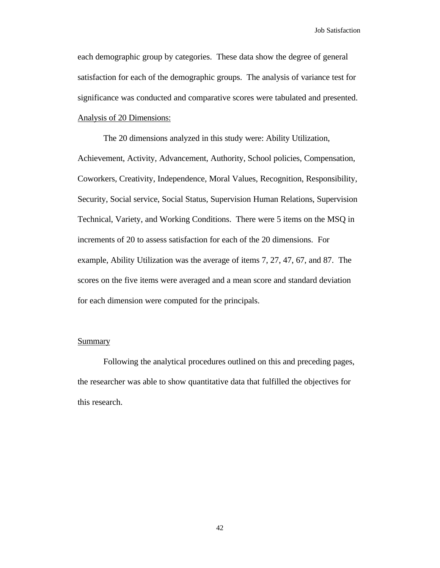each demographic group by categories. These data show the degree of general satisfaction for each of the demographic groups. The analysis of variance test for significance was conducted and comparative scores were tabulated and presented. Analysis of 20 Dimensions:

The 20 dimensions analyzed in this study were: Ability Utilization, Achievement, Activity, Advancement, Authority, School policies, Compensation, Coworkers, Creativity, Independence, Moral Values, Recognition, Responsibility, Security, Social service, Social Status, Supervision Human Relations, Supervision Technical, Variety, and Working Conditions. There were 5 items on the MSQ in increments of 20 to assess satisfaction for each of the 20 dimensions. For example, Ability Utilization was the average of items 7, 27, 47, 67, and 87. The scores on the five items were averaged and a mean score and standard deviation for each dimension were computed for the principals.

# **Summary**

Following the analytical procedures outlined on this and preceding pages, the researcher was able to show quantitative data that fulfilled the objectives for this research.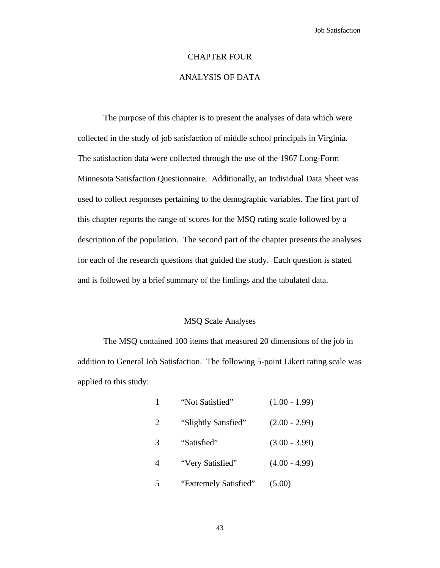#### CHAPTER FOUR

# ANALYSIS OF DATA

The purpose of this chapter is to present the analyses of data which were collected in the study of job satisfaction of middle school principals in Virginia. The satisfaction data were collected through the use of the 1967 Long-Form Minnesota Satisfaction Questionnaire. Additionally, an Individual Data Sheet was used to collect responses pertaining to the demographic variables. The first part of this chapter reports the range of scores for the MSQ rating scale followed by a description of the population. The second part of the chapter presents the analyses for each of the research questions that guided the study. Each question is stated and is followed by a brief summary of the findings and the tabulated data.

#### MSQ Scale Analyses

The MSQ contained 100 items that measured 20 dimensions of the job in addition to General Job Satisfaction. The following 5-point Likert rating scale was applied to this study:

|                | "Not Satisfied"       | $(1.00 - 1.99)$ |
|----------------|-----------------------|-----------------|
| 2              | "Slightly Satisfied"  | $(2.00 - 2.99)$ |
| 3              | "Satisfied"           | $(3.00 - 3.99)$ |
| $\overline{4}$ | "Very Satisfied"      | $(4.00 - 4.99)$ |
| 5              | "Extremely Satisfied" | (5.00)          |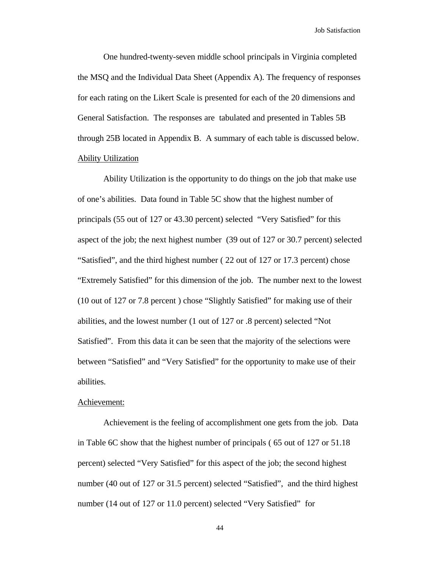One hundred-twenty-seven middle school principals in Virginia completed the MSQ and the Individual Data Sheet (Appendix A). The frequency of responses for each rating on the Likert Scale is presented for each of the 20 dimensions and General Satisfaction. The responses are tabulated and presented in Tables 5B through 25B located in Appendix B. A summary of each table is discussed below. Ability Utilization

Ability Utilization is the opportunity to do things on the job that make use of one's abilities. Data found in Table 5C show that the highest number of principals (55 out of 127 or 43.30 percent) selected "Very Satisfied" for this aspect of the job; the next highest number (39 out of 127 or 30.7 percent) selected "Satisfied", and the third highest number ( 22 out of 127 or 17.3 percent) chose "Extremely Satisfied" for this dimension of the job. The number next to the lowest (10 out of 127 or 7.8 percent ) chose "Slightly Satisfied" for making use of their abilities, and the lowest number (1 out of 127 or .8 percent) selected "Not Satisfied". From this data it can be seen that the majority of the selections were between "Satisfied" and "Very Satisfied" for the opportunity to make use of their abilities.

# Achievement:

Achievement is the feeling of accomplishment one gets from the job. Data in Table 6C show that the highest number of principals ( 65 out of 127 or 51.18 percent) selected "Very Satisfied" for this aspect of the job; the second highest number (40 out of 127 or 31.5 percent) selected "Satisfied", and the third highest number (14 out of 127 or 11.0 percent) selected "Very Satisfied" for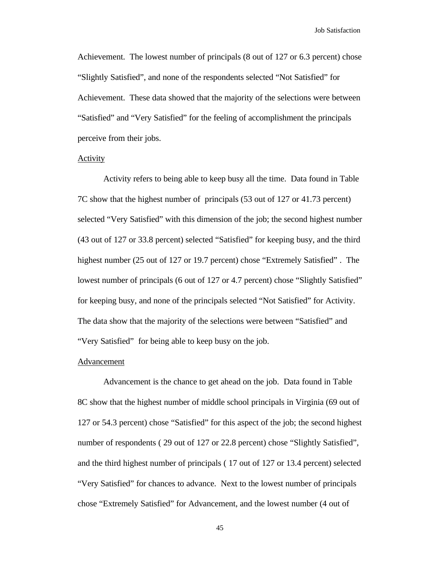Achievement. The lowest number of principals (8 out of 127 or 6.3 percent) chose "Slightly Satisfied", and none of the respondents selected "Not Satisfied" for Achievement. These data showed that the majority of the selections were between "Satisfied" and "Very Satisfied" for the feeling of accomplishment the principals perceive from their jobs.

#### Activity

Activity refers to being able to keep busy all the time. Data found in Table 7C show that the highest number of principals (53 out of 127 or 41.73 percent) selected "Very Satisfied" with this dimension of the job; the second highest number (43 out of 127 or 33.8 percent) selected "Satisfied" for keeping busy, and the third highest number (25 out of 127 or 19.7 percent) chose "Extremely Satisfied" . The lowest number of principals (6 out of 127 or 4.7 percent) chose "Slightly Satisfied" for keeping busy, and none of the principals selected "Not Satisfied" for Activity. The data show that the majority of the selections were between "Satisfied" and "Very Satisfied" for being able to keep busy on the job.

#### Advancement

Advancement is the chance to get ahead on the job. Data found in Table 8C show that the highest number of middle school principals in Virginia (69 out of 127 or 54.3 percent) chose "Satisfied" for this aspect of the job; the second highest number of respondents ( 29 out of 127 or 22.8 percent) chose "Slightly Satisfied", and the third highest number of principals ( 17 out of 127 or 13.4 percent) selected "Very Satisfied" for chances to advance. Next to the lowest number of principals chose "Extremely Satisfied" for Advancement, and the lowest number (4 out of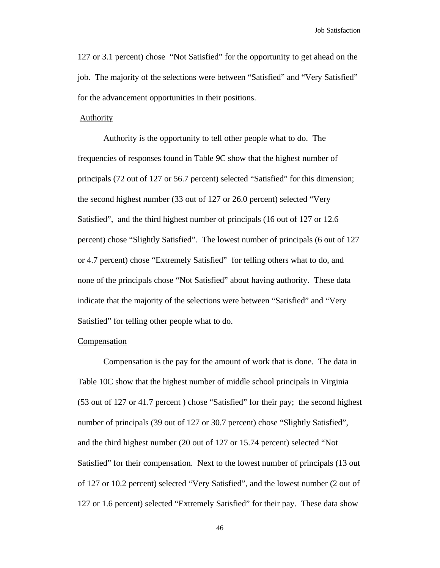127 or 3.1 percent) chose "Not Satisfied" for the opportunity to get ahead on the job. The majority of the selections were between "Satisfied" and "Very Satisfied" for the advancement opportunities in their positions.

#### **Authority**

Authority is the opportunity to tell other people what to do. The frequencies of responses found in Table 9C show that the highest number of principals (72 out of 127 or 56.7 percent) selected "Satisfied" for this dimension; the second highest number (33 out of 127 or 26.0 percent) selected "Very Satisfied", and the third highest number of principals (16 out of 127 or 12.6 percent) chose "Slightly Satisfied". The lowest number of principals (6 out of 127 or 4.7 percent) chose "Extremely Satisfied" for telling others what to do, and none of the principals chose "Not Satisfied" about having authority. These data indicate that the majority of the selections were between "Satisfied" and "Very Satisfied" for telling other people what to do.

# **Compensation**

Compensation is the pay for the amount of work that is done. The data in Table 10C show that the highest number of middle school principals in Virginia (53 out of 127 or 41.7 percent ) chose "Satisfied" for their pay; the second highest number of principals (39 out of 127 or 30.7 percent) chose "Slightly Satisfied", and the third highest number (20 out of 127 or 15.74 percent) selected "Not Satisfied" for their compensation. Next to the lowest number of principals (13 out of 127 or 10.2 percent) selected "Very Satisfied", and the lowest number (2 out of 127 or 1.6 percent) selected "Extremely Satisfied" for their pay. These data show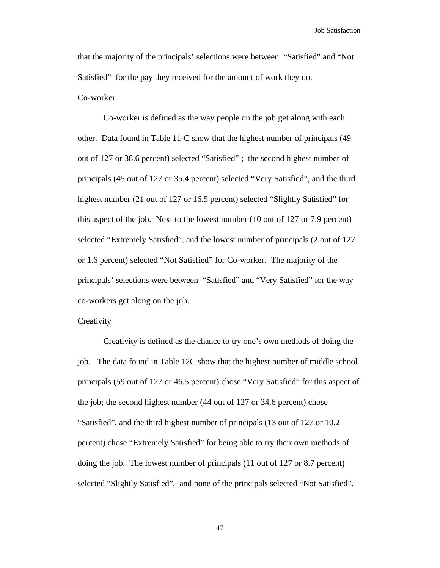that the majority of the principals' selections were between "Satisfied" and "Not Satisfied" for the pay they received for the amount of work they do.

# Co-worker

Co-worker is defined as the way people on the job get along with each other. Data found in Table 11-C show that the highest number of principals (49 out of 127 or 38.6 percent) selected "Satisfied" ; the second highest number of principals (45 out of 127 or 35.4 percent) selected "Very Satisfied", and the third highest number (21 out of 127 or 16.5 percent) selected "Slightly Satisfied" for this aspect of the job. Next to the lowest number (10 out of 127 or 7.9 percent) selected "Extremely Satisfied", and the lowest number of principals (2 out of 127 or 1.6 percent) selected "Not Satisfied" for Co-worker. The majority of the principals' selections were between "Satisfied" and "Very Satisfied" for the way co-workers get along on the job.

# **Creativity**

Creativity is defined as the chance to try one's own methods of doing the job. The data found in Table 12C show that the highest number of middle school principals (59 out of 127 or 46.5 percent) chose "Very Satisfied" for this aspect of the job; the second highest number (44 out of 127 or 34.6 percent) chose "Satisfied", and the third highest number of principals (13 out of 127 or 10.2 percent) chose "Extremely Satisfied" for being able to try their own methods of doing the job. The lowest number of principals (11 out of 127 or 8.7 percent) selected "Slightly Satisfied", and none of the principals selected "Not Satisfied".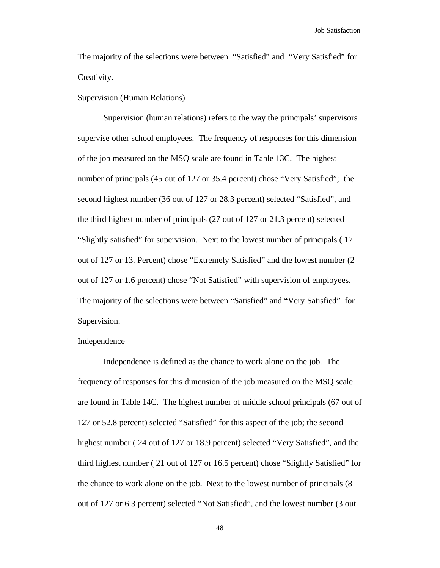The majority of the selections were between "Satisfied" and "Very Satisfied" for Creativity.

#### Supervision (Human Relations)

Supervision (human relations) refers to the way the principals' supervisors supervise other school employees. The frequency of responses for this dimension of the job measured on the MSQ scale are found in Table 13C. The highest number of principals (45 out of 127 or 35.4 percent) chose "Very Satisfied"; the second highest number (36 out of 127 or 28.3 percent) selected "Satisfied", and the third highest number of principals (27 out of 127 or 21.3 percent) selected "Slightly satisfied" for supervision. Next to the lowest number of principals ( 17 out of 127 or 13. Percent) chose "Extremely Satisfied" and the lowest number (2 out of 127 or 1.6 percent) chose "Not Satisfied" with supervision of employees. The majority of the selections were between "Satisfied" and "Very Satisfied" for Supervision.

# **Independence**

Independence is defined as the chance to work alone on the job. The frequency of responses for this dimension of the job measured on the MSQ scale are found in Table 14C. The highest number of middle school principals (67 out of 127 or 52.8 percent) selected "Satisfied" for this aspect of the job; the second highest number ( 24 out of 127 or 18.9 percent) selected "Very Satisfied", and the third highest number ( 21 out of 127 or 16.5 percent) chose "Slightly Satisfied" for the chance to work alone on the job. Next to the lowest number of principals (8 out of 127 or 6.3 percent) selected "Not Satisfied", and the lowest number (3 out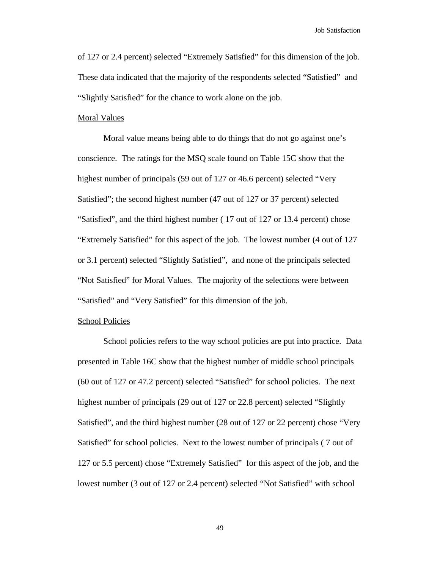of 127 or 2.4 percent) selected "Extremely Satisfied" for this dimension of the job. These data indicated that the majority of the respondents selected "Satisfied" and "Slightly Satisfied" for the chance to work alone on the job.

## Moral Values

Moral value means being able to do things that do not go against one's conscience. The ratings for the MSQ scale found on Table 15C show that the highest number of principals (59 out of 127 or 46.6 percent) selected "Very Satisfied"; the second highest number (47 out of 127 or 37 percent) selected "Satisfied", and the third highest number ( 17 out of 127 or 13.4 percent) chose "Extremely Satisfied" for this aspect of the job. The lowest number (4 out of 127 or 3.1 percent) selected "Slightly Satisfied", and none of the principals selected "Not Satisfied" for Moral Values. The majority of the selections were between "Satisfied" and "Very Satisfied" for this dimension of the job.

#### School Policies

School policies refers to the way school policies are put into practice. Data presented in Table 16C show that the highest number of middle school principals (60 out of 127 or 47.2 percent) selected "Satisfied" for school policies. The next highest number of principals (29 out of 127 or 22.8 percent) selected "Slightly Satisfied", and the third highest number (28 out of 127 or 22 percent) chose "Very Satisfied" for school policies. Next to the lowest number of principals ( 7 out of 127 or 5.5 percent) chose "Extremely Satisfied" for this aspect of the job, and the lowest number (3 out of 127 or 2.4 percent) selected "Not Satisfied" with school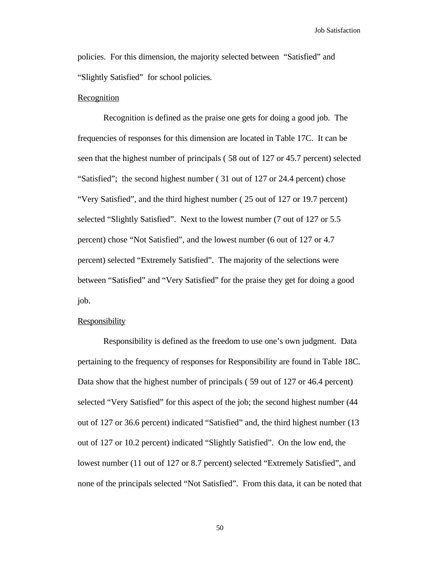policies. For this dimension, the majority selected between "Satisfied" and "Slightly Satisfied" for school policies.

#### **Recognition**

Recognition is defined as the praise one gets for doing a good job. The frequencies of responses for this dimension are located in Table 17C. It can be seen that the highest number of principals ( 58 out of 127 or 45.7 percent) selected "Satisfied"; the second highest number ( 31 out of 127 or 24.4 percent) chose "Very Satisfied", and the third highest number ( 25 out of 127 or 19.7 percent) selected "Slightly Satisfied". Next to the lowest number (7 out of 127 or 5.5 percent) chose "Not Satisfied", and the lowest number (6 out of 127 or 4.7 percent) selected "Extremely Satisfied". The majority of the selections were between "Satisfied" and "Very Satisfied" for the praise they get for doing a good job.

# Responsibility

Responsibility is defined as the freedom to use one's own judgment. Data pertaining to the frequency of responses for Responsibility are found in Table 18C. Data show that the highest number of principals ( 59 out of 127 or 46.4 percent) selected "Very Satisfied" for this aspect of the job; the second highest number (44 out of 127 or 36.6 percent) indicated "Satisfied" and, the third highest number (13 out of 127 or 10.2 percent) indicated "Slightly Satisfied". On the low end, the lowest number (11 out of 127 or 8.7 percent) selected "Extremely Satisfied", and none of the principals selected "Not Satisfied". From this data, it can be noted that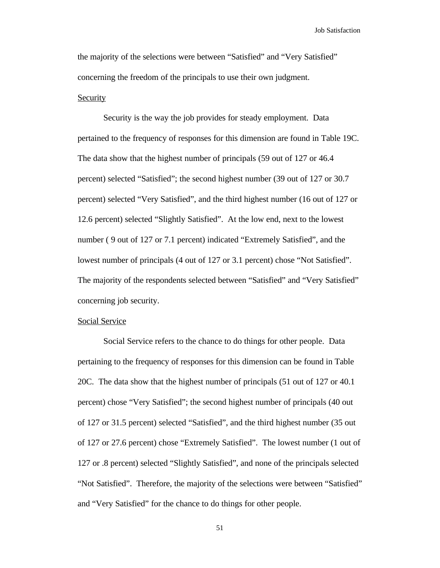the majority of the selections were between "Satisfied" and "Very Satisfied" concerning the freedom of the principals to use their own judgment. Security

Security is the way the job provides for steady employment. Data pertained to the frequency of responses for this dimension are found in Table 19C. The data show that the highest number of principals (59 out of 127 or 46.4 percent) selected "Satisfied"; the second highest number (39 out of 127 or 30.7 percent) selected "Very Satisfied", and the third highest number (16 out of 127 or 12.6 percent) selected "Slightly Satisfied". At the low end, next to the lowest number ( 9 out of 127 or 7.1 percent) indicated "Extremely Satisfied", and the lowest number of principals (4 out of 127 or 3.1 percent) chose "Not Satisfied". The majority of the respondents selected between "Satisfied" and "Very Satisfied" concerning job security.

# Social Service

Social Service refers to the chance to do things for other people. Data pertaining to the frequency of responses for this dimension can be found in Table 20C. The data show that the highest number of principals (51 out of 127 or 40.1 percent) chose "Very Satisfied"; the second highest number of principals (40 out of 127 or 31.5 percent) selected "Satisfied", and the third highest number (35 out of 127 or 27.6 percent) chose "Extremely Satisfied". The lowest number (1 out of 127 or .8 percent) selected "Slightly Satisfied", and none of the principals selected "Not Satisfied". Therefore, the majority of the selections were between "Satisfied" and "Very Satisfied" for the chance to do things for other people.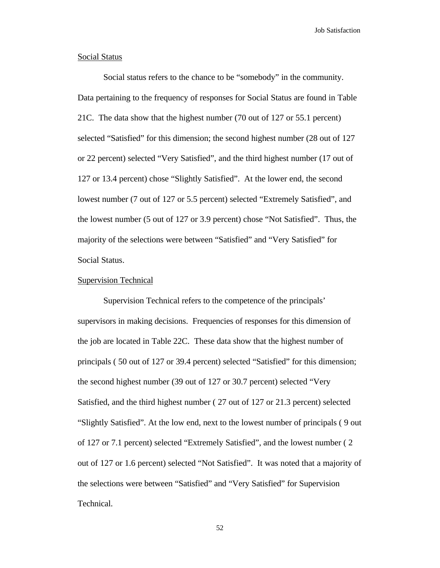#### Social Status

Social status refers to the chance to be "somebody" in the community. Data pertaining to the frequency of responses for Social Status are found in Table 21C. The data show that the highest number (70 out of 127 or 55.1 percent) selected "Satisfied" for this dimension; the second highest number (28 out of 127 or 22 percent) selected "Very Satisfied", and the third highest number (17 out of 127 or 13.4 percent) chose "Slightly Satisfied". At the lower end, the second lowest number (7 out of 127 or 5.5 percent) selected "Extremely Satisfied", and the lowest number (5 out of 127 or 3.9 percent) chose "Not Satisfied". Thus, the majority of the selections were between "Satisfied" and "Very Satisfied" for Social Status.

# Supervision Technical

Supervision Technical refers to the competence of the principals' supervisors in making decisions. Frequencies of responses for this dimension of the job are located in Table 22C. These data show that the highest number of principals ( 50 out of 127 or 39.4 percent) selected "Satisfied" for this dimension; the second highest number (39 out of 127 or 30.7 percent) selected "Very Satisfied, and the third highest number ( 27 out of 127 or 21.3 percent) selected "Slightly Satisfied". At the low end, next to the lowest number of principals ( 9 out of 127 or 7.1 percent) selected "Extremely Satisfied", and the lowest number ( 2 out of 127 or 1.6 percent) selected "Not Satisfied". It was noted that a majority of the selections were between "Satisfied" and "Very Satisfied" for Supervision Technical.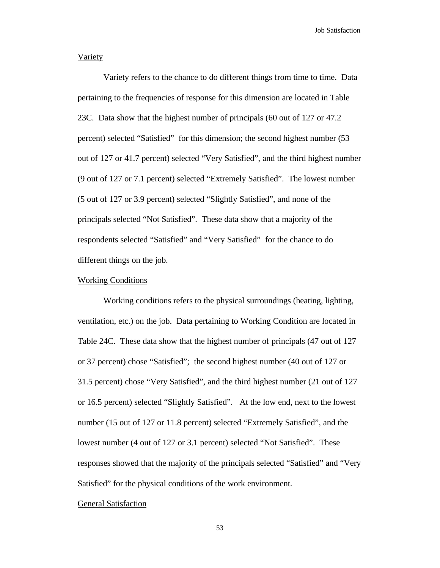# **Variety**

Variety refers to the chance to do different things from time to time. Data pertaining to the frequencies of response for this dimension are located in Table 23C. Data show that the highest number of principals (60 out of 127 or 47.2 percent) selected "Satisfied" for this dimension; the second highest number (53 out of 127 or 41.7 percent) selected "Very Satisfied", and the third highest number (9 out of 127 or 7.1 percent) selected "Extremely Satisfied". The lowest number (5 out of 127 or 3.9 percent) selected "Slightly Satisfied", and none of the principals selected "Not Satisfied". These data show that a majority of the respondents selected "Satisfied" and "Very Satisfied" for the chance to do different things on the job.

#### Working Conditions

Working conditions refers to the physical surroundings (heating, lighting, ventilation, etc.) on the job. Data pertaining to Working Condition are located in Table 24C. These data show that the highest number of principals (47 out of 127 or 37 percent) chose "Satisfied"; the second highest number (40 out of 127 or 31.5 percent) chose "Very Satisfied", and the third highest number (21 out of 127 or 16.5 percent) selected "Slightly Satisfied". At the low end, next to the lowest number (15 out of 127 or 11.8 percent) selected "Extremely Satisfied", and the lowest number (4 out of 127 or 3.1 percent) selected "Not Satisfied". These responses showed that the majority of the principals selected "Satisfied" and "Very Satisfied" for the physical conditions of the work environment.

#### General Satisfaction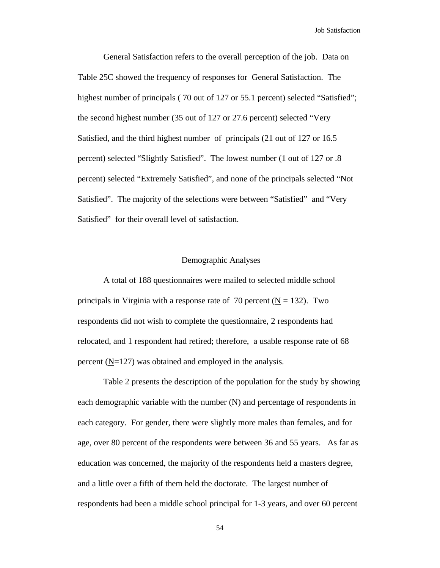General Satisfaction refers to the overall perception of the job. Data on Table 25C showed the frequency of responses for General Satisfaction. The highest number of principals (70 out of 127 or 55.1 percent) selected "Satisfied"; the second highest number (35 out of 127 or 27.6 percent) selected "Very Satisfied, and the third highest number of principals (21 out of 127 or 16.5 percent) selected "Slightly Satisfied". The lowest number (1 out of 127 or .8 percent) selected "Extremely Satisfied", and none of the principals selected "Not Satisfied". The majority of the selections were between "Satisfied" and "Very Satisfied" for their overall level of satisfaction.

# Demographic Analyses

A total of 188 questionnaires were mailed to selected middle school principals in Virginia with a response rate of 70 percent ( $N = 132$ ). Two respondents did not wish to complete the questionnaire, 2 respondents had relocated, and 1 respondent had retired; therefore, a usable response rate of 68 percent (N=127) was obtained and employed in the analysis.

Table 2 presents the description of the population for the study by showing each demographic variable with the number  $(N)$  and percentage of respondents in each category. For gender, there were slightly more males than females, and for age, over 80 percent of the respondents were between 36 and 55 years. As far as education was concerned, the majority of the respondents held a masters degree, and a little over a fifth of them held the doctorate. The largest number of respondents had been a middle school principal for 1-3 years, and over 60 percent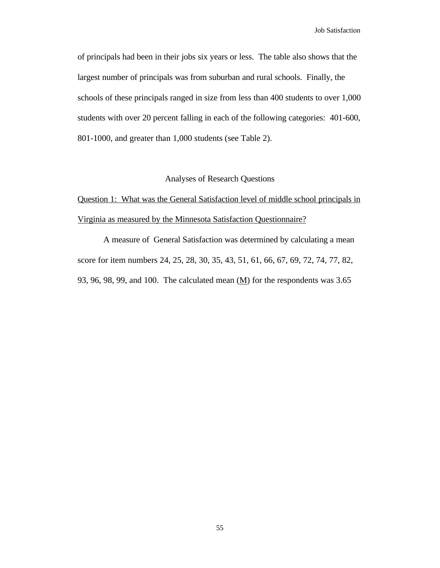of principals had been in their jobs six years or less. The table also shows that the largest number of principals was from suburban and rural schools. Finally, the schools of these principals ranged in size from less than 400 students to over 1,000 students with over 20 percent falling in each of the following categories: 401-600, 801-1000, and greater than 1,000 students (see Table 2).

# Analyses of Research Questions

Question 1: What was the General Satisfaction level of middle school principals in Virginia as measured by the Minnesota Satisfaction Questionnaire?

A measure of General Satisfaction was determined by calculating a mean score for item numbers 24, 25, 28, 30, 35, 43, 51, 61, 66, 67, 69, 72, 74, 77, 82, 93, 96, 98, 99, and 100. The calculated mean (M) for the respondents was 3.65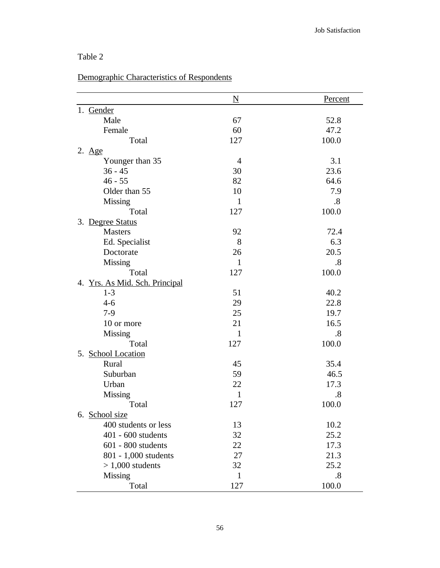| abie |  |  |  |
|------|--|--|--|
|------|--|--|--|

# Demographic Characteristics of Respondents

|                                | $\underline{\mathbf{N}}$ | Percent           |
|--------------------------------|--------------------------|-------------------|
| 1. Gender                      |                          |                   |
| Male                           | 67                       | 52.8              |
| Female                         | 60                       | 47.2              |
| Total                          | 127                      | 100.0             |
| $2. \ \underline{Age}$         |                          |                   |
| Younger than 35                | 4                        | 3.1               |
| $36 - 45$                      | 30                       | 23.6              |
| $46 - 55$                      | 82                       | 64.6              |
| Older than 55                  | 10                       | 7.9               |
| <b>Missing</b>                 | $\mathbf{1}$             | .8                |
| Total                          | 127                      | 100.0             |
| 3. Degree Status               |                          |                   |
| <b>Masters</b>                 | 92                       | 72.4              |
| Ed. Specialist                 | 8                        | 6.3               |
| Doctorate                      | 26                       | 20.5              |
| Missing                        | $\mathbf{1}$             | $\boldsymbol{.8}$ |
| Total                          | 127                      | 100.0             |
| 4. Yrs. As Mid. Sch. Principal |                          |                   |
| $1 - 3$                        | 51                       | 40.2              |
| $4 - 6$                        | 29                       | 22.8              |
| $7-9$                          | 25                       | 19.7              |
| 10 or more                     | 21                       | 16.5              |
| Missing                        | 1                        | .8                |
| Total                          | 127                      | 100.0             |
| 5. School Location             |                          |                   |
| Rural                          | 45                       | 35.4              |
| Suburban                       | 59                       | 46.5              |
| Urban                          | 22                       | 17.3              |
| Missing                        | $\mathbf{1}$             | .8                |
| Total                          | 127                      | 100.0             |
| 6. School size                 |                          |                   |
| 400 students or less           | 13                       | 10.2              |
| 401 - 600 students             | 32                       | 25.2              |
| $601 - 800$ students           | 22                       | 17.3              |
| 801 - 1,000 students           | 27                       | 21.3              |
| $> 1,000$ students             | 32                       | 25.2              |
| Missing                        | 1                        | .8                |
| Total                          | 127                      | 100.0             |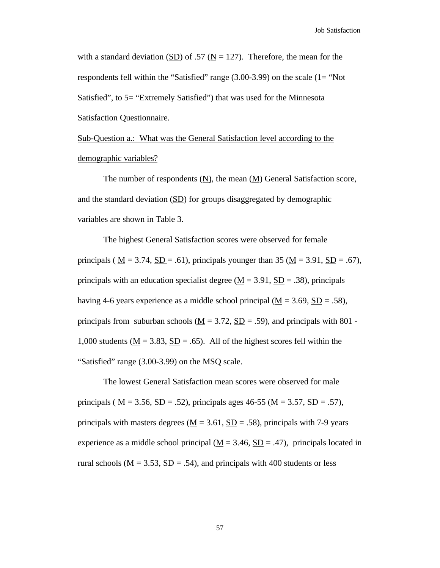with a standard deviation (SD) of .57 ( $N = 127$ ). Therefore, the mean for the respondents fell within the "Satisfied" range (3.00-3.99) on the scale (1= "Not Satisfied", to 5= "Extremely Satisfied") that was used for the Minnesota Satisfaction Questionnaire.

Sub-Question a.: What was the General Satisfaction level according to the demographic variables?

The number of respondents (N), the mean (M) General Satisfaction score, and the standard deviation (SD) for groups disaggregated by demographic variables are shown in Table 3.

The highest General Satisfaction scores were observed for female principals ( $M = 3.74$ ,  $SD = .61$ ), principals younger than 35 ( $M = 3.91$ ,  $SD = .67$ ), principals with an education specialist degree ( $M = 3.91$ ,  $SD = .38$ ), principals having 4-6 years experience as a middle school principal  $(M = 3.69, SD = .58)$ , principals from suburban schools  $(M = 3.72, SD = .59)$ , and principals with 801 -1,000 students ( $M = 3.83$ ,  $SD = .65$ ). All of the highest scores fell within the "Satisfied" range (3.00-3.99) on the MSQ scale.

The lowest General Satisfaction mean scores were observed for male principals ( $M = 3.56$ ,  $SD = .52$ ), principals ages 46-55 ( $M = 3.57$ ,  $SD = .57$ ), principals with masters degrees ( $M = 3.61$ ,  $SD = .58$ ), principals with 7-9 years experience as a middle school principal  $(M = 3.46, SD = .47)$ , principals located in rural schools ( $M = 3.53$ ,  $SD = .54$ ), and principals with 400 students or less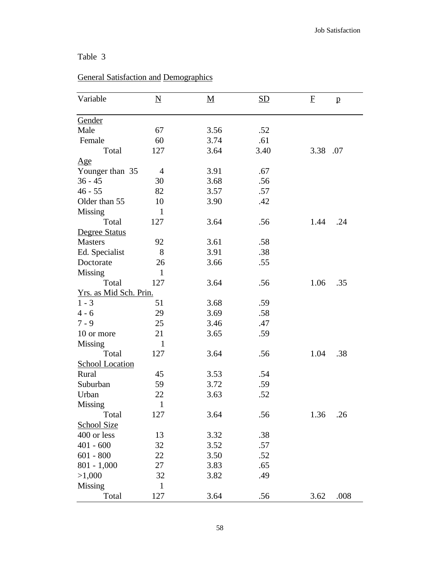# Table 3

| Variable                            | $\underline{\rm N}$ | <u>M</u> | <u>SD</u> | F    | $\mathbf{p}$ |
|-------------------------------------|---------------------|----------|-----------|------|--------------|
| <b>Gender</b>                       |                     |          |           |      |              |
| Male                                | 67                  | 3.56     | .52       |      |              |
| Female                              | 60                  | 3.74     | .61       |      |              |
| Total                               | 127                 | 3.64     | 3.40      | 3.38 | .07          |
| $\mathop{\underline{\mathrm{Age}}}$ |                     |          |           |      |              |
| Younger than 35                     | $\overline{4}$      | 3.91     | .67       |      |              |
| $36 - 45$                           | 30                  | 3.68     | .56       |      |              |
| $46 - 55$                           | 82                  | 3.57     | .57       |      |              |
| Older than 55                       | 10                  | 3.90     | .42       |      |              |
| Missing                             | $\mathbf{1}$        |          |           |      |              |
| Total                               | 127                 | 3.64     | .56       | 1.44 | .24          |
| Degree Status                       |                     |          |           |      |              |
| <b>Masters</b>                      | 92                  | 3.61     | .58       |      |              |
| Ed. Specialist                      | 8                   | 3.91     | .38       |      |              |
| Doctorate                           | 26                  | 3.66     | .55       |      |              |
| Missing                             | $\mathbf{1}$        |          |           |      |              |
| Total                               | 127                 | 3.64     | .56       | 1.06 | .35          |
| Yrs. as Mid Sch. Prin.              |                     |          |           |      |              |
| $1 - 3$                             | 51                  | 3.68     | .59       |      |              |
| $4 - 6$                             | 29                  | 3.69     | .58       |      |              |
| $7 - 9$                             | 25                  | 3.46     | .47       |      |              |
| 10 or more                          | 21                  | 3.65     | .59       |      |              |
| Missing                             | $\mathbf{1}$        |          |           |      |              |
| Total                               | 127                 | 3.64     | .56       | 1.04 | .38          |
| <b>School Location</b>              |                     |          |           |      |              |
| Rural                               | 45                  | 3.53     | .54       |      |              |
| Suburban                            | 59                  | 3.72     | .59       |      |              |
| Urban                               | 22                  | 3.63     | .52       |      |              |
| Missing                             | $\mathbf{1}$        |          |           |      |              |
| Total                               | 127                 | 3.64     | .56       | 1.36 | .26          |
| School Size                         |                     |          |           |      |              |
| 400 or less                         | 13                  | 3.32     | .38       |      |              |
| $401 - 600$                         | 32                  | 3.52     | .57       |      |              |
| $601 - 800$                         | 22                  | 3.50     | .52       |      |              |
| $801 - 1,000$                       | 27                  | 3.83     | .65       |      |              |
| >1,000                              | 32                  | 3.82     | .49       |      |              |
| Missing                             | $\mathbf{1}$        |          |           |      |              |
| Total                               | 127                 | 3.64     | .56       | 3.62 | .008         |
|                                     |                     |          |           |      |              |

# General Satisfaction and Demographics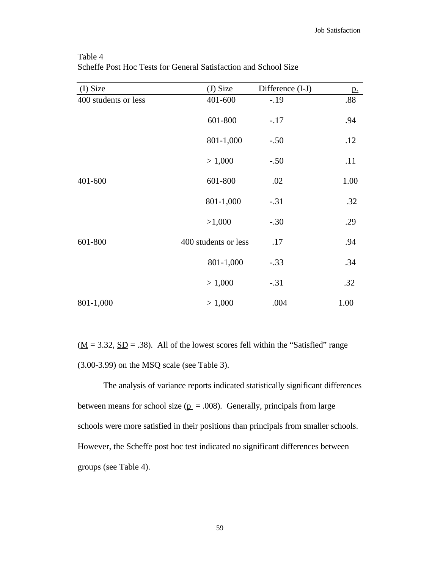| (I) Size             | $(J)$ Size           | Difference (I-J) | <u>p.</u> |
|----------------------|----------------------|------------------|-----------|
| 400 students or less | 401-600              | $-.19$           | $.88\,$   |
|                      | 601-800              | $-.17$           | .94       |
|                      | 801-1,000            | $-.50$           | .12       |
|                      | > 1,000              | $-.50$           | .11       |
| 401-600              | 601-800              | .02              | 1.00      |
|                      | 801-1,000            | $-.31$           | .32       |
|                      | >1,000               | $-.30$           | .29       |
| 601-800              | 400 students or less | .17              | .94       |
|                      | 801-1,000            | $-.33$           | .34       |
|                      | > 1,000              | $-.31$           | .32       |
| 801-1,000            | > 1,000              | .004             | 1.00      |

Table 4 Scheffe Post Hoc Tests for General Satisfaction and School Size

 $(\underline{M} = 3.32, \underline{SD} = .38)$ . All of the lowest scores fell within the "Satisfied" range (3.00-3.99) on the MSQ scale (see Table 3).

The analysis of variance reports indicated statistically significant differences between means for school size ( $p = .008$ ). Generally, principals from large schools were more satisfied in their positions than principals from smaller schools. However, the Scheffe post hoc test indicated no significant differences between groups (see Table 4).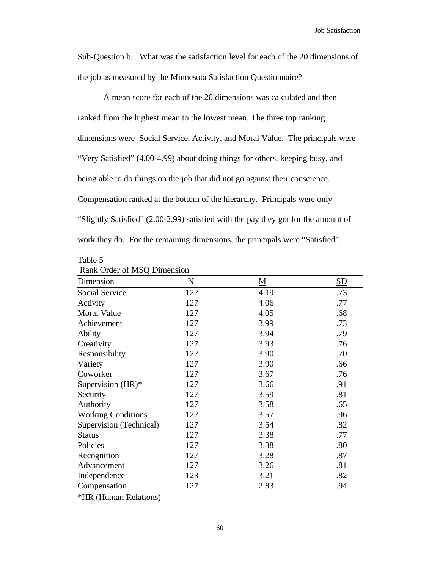Sub-Question b.: What was the satisfaction level for each of the 20 dimensions of the job as measured by the Minnesota Satisfaction Questionnaire?

A mean score for each of the 20 dimensions was calculated and then ranked from the highest mean to the lowest mean. The three top ranking dimensions were Social Service, Activity, and Moral Value. The principals were "Very Satisfied" (4.00-4.99) about doing things for others, keeping busy, and being able to do things on the job that did not go against their conscience. Compensation ranked at the bottom of the hierarchy. Principals were only "Slightly Satisfied" (2.00-2.99) satisfied with the pay they got for the amount of work they do. For the remaining dimensions, the principals were "Satisfied".

| <b>Rank Order OF MSQ DIMENSION</b> |     |          |     |  |
|------------------------------------|-----|----------|-----|--|
| Dimension                          | N   | <u>M</u> | SD  |  |
| <b>Social Service</b>              | 127 | 4.19     | .73 |  |
| Activity                           | 127 | 4.06     | .77 |  |
| Moral Value                        | 127 | 4.05     | .68 |  |
| Achievement                        | 127 | 3.99     | .73 |  |
| <b>Ability</b>                     | 127 | 3.94     | .79 |  |
| Creativity                         | 127 | 3.93     | .76 |  |
| Responsibility                     | 127 | 3.90     | .70 |  |
| Variety                            | 127 | 3.90     | .66 |  |
| Coworker                           | 127 | 3.67     | .76 |  |
| Supervision (HR)*                  | 127 | 3.66     | .91 |  |
| Security                           | 127 | 3.59     | .81 |  |
| Authority                          | 127 | 3.58     | .65 |  |
| <b>Working Conditions</b>          | 127 | 3.57     | .96 |  |
| Supervision (Technical)            | 127 | 3.54     | .82 |  |
| <b>Status</b>                      | 127 | 3.38     | .77 |  |
| Policies                           | 127 | 3.38     | .80 |  |
| Recognition                        | 127 | 3.28     | .87 |  |
| Advancement                        | 127 | 3.26     | .81 |  |
| Independence                       | 123 | 3.21     | .82 |  |
| Compensation                       | 127 | 2.83     | .94 |  |

| . |                             |
|---|-----------------------------|
|   | Rank Order of MSQ Dimension |

Table 5

\*HR (Human Relations)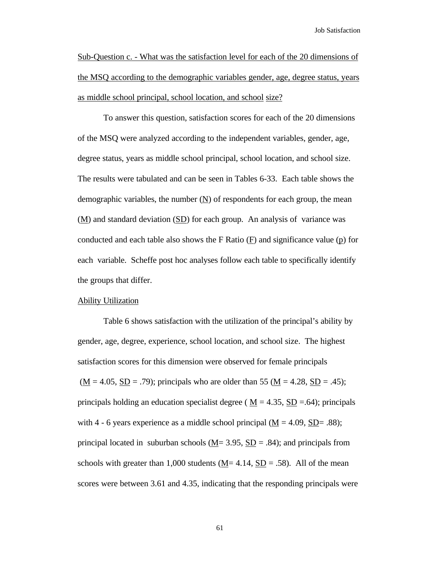Sub-Question c. - What was the satisfaction level for each of the 20 dimensions of the MSQ according to the demographic variables gender, age, degree status, years as middle school principal, school location, and school size?

To answer this question, satisfaction scores for each of the 20 dimensions of the MSQ were analyzed according to the independent variables, gender, age, degree status, years as middle school principal, school location, and school size. The results were tabulated and can be seen in Tables 6-33. Each table shows the demographic variables, the number (N) of respondents for each group, the mean  $(M)$  and standard deviation  $(SD)$  for each group. An analysis of variance was conducted and each table also shows the F Ratio  $(E)$  and significance value  $(p)$  for each variable. Scheffe post hoc analyses follow each table to specifically identify the groups that differ.

#### Ability Utilization

Table 6 shows satisfaction with the utilization of the principal's ability by gender, age, degree, experience, school location, and school size. The highest satisfaction scores for this dimension were observed for female principals  $(\underline{M} = 4.05, \underline{SD} = .79)$ ; principals who are older than 55 ( $\underline{M} = 4.28, \underline{SD} = .45$ ); principals holding an education specialist degree ( $M = 4.35$ ,  $SD = .64$ ); principals with 4 - 6 years experience as a middle school principal  $(M = 4.09, SD = .88)$ ; principal located in suburban schools ( $M = 3.95$ ,  $SD = .84$ ); and principals from schools with greater than 1,000 students ( $M = 4.14$ ,  $SD = .58$ ). All of the mean scores were between 3.61 and 4.35, indicating that the responding principals were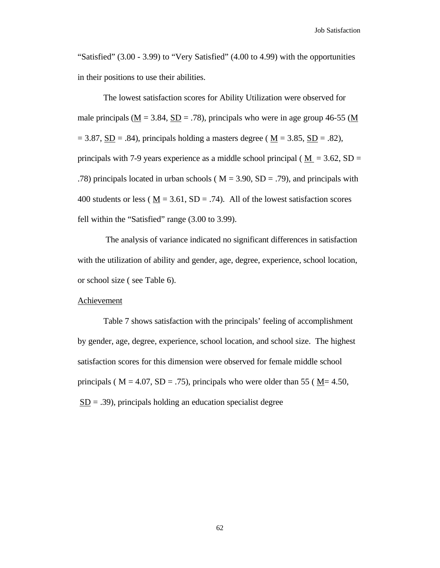"Satisfied" (3.00 - 3.99) to "Very Satisfied" (4.00 to 4.99) with the opportunities in their positions to use their abilities.

The lowest satisfaction scores for Ability Utilization were observed for male principals ( $\underline{M} = 3.84$ ,  $\underline{SD} = .78$ ), principals who were in age group 46-55 ( $\underline{M}$  $= 3.87$ ,  $\underline{SD} = .84$ ), principals holding a masters degree ( $\underline{M} = 3.85$ ,  $\underline{SD} = .82$ ), principals with 7-9 years experience as a middle school principal ( $M = 3.62$ , SD = .78) principals located in urban schools ( $M = 3.90$ ,  $SD = .79$ ), and principals with 400 students or less ( $M = 3.61$ ,  $SD = .74$ ). All of the lowest satisfaction scores fell within the "Satisfied" range (3.00 to 3.99).

 The analysis of variance indicated no significant differences in satisfaction with the utilization of ability and gender, age, degree, experience, school location, or school size ( see Table 6).

#### **Achievement**

Table 7 shows satisfaction with the principals' feeling of accomplishment by gender, age, degree, experience, school location, and school size. The highest satisfaction scores for this dimension were observed for female middle school principals ( $M = 4.07$ ,  $SD = .75$ ), principals who were older than 55 ( $M = 4.50$ ,  $SD = .39$ , principals holding an education specialist degree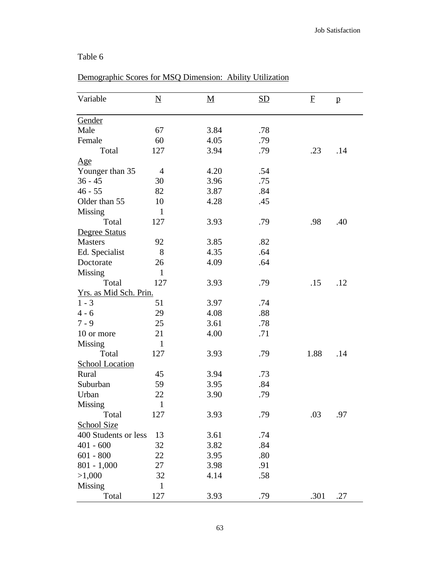# Table 6

| Variable               | $\underline{\mathbf{N}}$ | $\underline{\mathbf{M}}$ | <b>SD</b> | $\mathbf{F}$ | $\mathbf{p}$ |
|------------------------|--------------------------|--------------------------|-----------|--------------|--------------|
| Gender                 |                          |                          |           |              |              |
| Male                   | 67                       | 3.84                     | .78       |              |              |
| Female                 | 60                       | 4.05                     | .79       |              |              |
| Total                  | 127                      | 3.94                     | .79       | .23          | .14          |
| $\Delta$ ge            |                          |                          |           |              |              |
| Younger than 35        | $\overline{4}$           | 4.20                     | .54       |              |              |
| $36 - 45$              | 30                       | 3.96                     | .75       |              |              |
| $46 - 55$              | 82                       | 3.87                     | .84       |              |              |
| Older than 55          | 10                       | 4.28                     | .45       |              |              |
| Missing                | $\mathbf{1}$             |                          |           |              |              |
| Total                  | 127                      | 3.93                     | .79       | .98          | .40          |
| Degree Status          |                          |                          |           |              |              |
| <b>Masters</b>         | 92                       | 3.85                     | .82       |              |              |
| Ed. Specialist         | 8                        | 4.35                     | .64       |              |              |
| Doctorate              | 26                       | 4.09                     | .64       |              |              |
| <b>Missing</b>         | $\mathbf{1}$             |                          |           |              |              |
| Total                  | 127                      | 3.93                     | .79       | .15          | .12          |
| Yrs. as Mid Sch. Prin. |                          |                          |           |              |              |
| $1 - 3$                | 51                       | 3.97                     | .74       |              |              |
| $4 - 6$                | 29                       | 4.08                     | .88       |              |              |
| $7 - 9$                | 25                       | 3.61                     | .78       |              |              |
| 10 or more             | 21                       | 4.00                     | .71       |              |              |
| Missing                | $\mathbf{1}$             |                          |           |              |              |
| Total                  | 127                      | 3.93                     | .79       | 1.88         | .14          |
| <b>School Location</b> |                          |                          |           |              |              |
| Rural                  | 45                       | 3.94                     | .73       |              |              |
| Suburban               | 59                       | 3.95                     | .84       |              |              |
| Urban                  | 22                       | 3.90                     | .79       |              |              |
| Missing                | $\mathbf{1}$             |                          |           |              |              |
| Total                  | 127                      | 3.93                     | .79       | .03          | .97          |
| School Size            |                          |                          |           |              |              |
| 400 Students or less   | 13                       | 3.61                     | .74       |              |              |
| $401 - 600$            | 32                       | 3.82                     | .84       |              |              |
| $601 - 800$            | 22                       | 3.95                     | .80       |              |              |
| $801 - 1,000$          | 27                       | 3.98                     | .91       |              |              |
| >1,000                 | 32                       | 4.14                     | .58       |              |              |
| Missing                | $\mathbf{1}$             |                          |           |              |              |
| Total                  | 127                      | 3.93                     | .79       | .301         | .27          |

# Demographic Scores for MSQ Dimension: Ability Utilization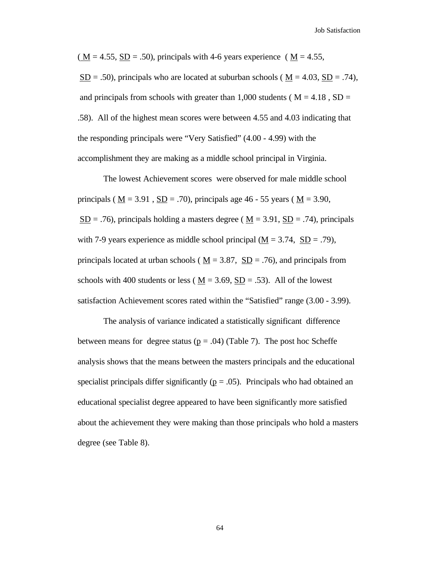$(\underline{M} = 4.55, \underline{SD} = .50)$ , principals with 4-6 years experience ( $\underline{M} = 4.55$ ,  $SD = .50$ , principals who are located at suburban schools ( $M = 4.03$ ,  $SD = .74$ ), and principals from schools with greater than 1,000 students ( $M = 4.18$ , SD = .58). All of the highest mean scores were between 4.55 and 4.03 indicating that the responding principals were "Very Satisfied" (4.00 - 4.99) with the accomplishment they are making as a middle school principal in Virginia.

The lowest Achievement scores were observed for male middle school principals ( $M = 3.91$ ,  $SD = .70$ ), principals age 46 - 55 years ( $M = 3.90$ ,  $SD = .76$ ), principals holding a masters degree ( $M = 3.91$ ,  $SD = .74$ ), principals with 7-9 years experience as middle school principal ( $\underline{M} = 3.74$ ,  $\underline{SD} = .79$ ), principals located at urban schools ( $\underline{M} = 3.87$ ,  $\underline{SD} = .76$ ), and principals from schools with 400 students or less ( $M = 3.69$ ,  $SD = .53$ ). All of the lowest satisfaction Achievement scores rated within the "Satisfied" range (3.00 - 3.99).

The analysis of variance indicated a statistically significant difference between means for degree status ( $p = .04$ ) (Table 7). The post hoc Scheffe analysis shows that the means between the masters principals and the educational specialist principals differ significantly ( $p = .05$ ). Principals who had obtained an educational specialist degree appeared to have been significantly more satisfied about the achievement they were making than those principals who hold a masters degree (see Table 8).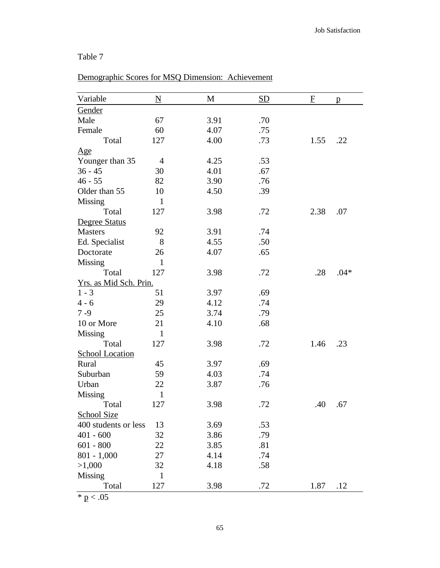# Demographic Scores for MSQ Dimension: Achievement

| Variable               | $\underline{\mathbf{N}}$ | M    | <b>SD</b> | $\mathbf{F}$ | $\mathbf{p}$ |
|------------------------|--------------------------|------|-----------|--------------|--------------|
| Gender                 |                          |      |           |              |              |
| Male                   | 67                       | 3.91 | .70       |              |              |
| Female                 | 60                       | 4.07 | .75       |              |              |
| Total                  | 127                      | 4.00 | .73       | 1.55         | .22          |
| Age                    |                          |      |           |              |              |
| Younger than 35        | $\overline{4}$           | 4.25 | .53       |              |              |
| $36 - 45$              | 30                       | 4.01 | .67       |              |              |
| $46 - 55$              | 82                       | 3.90 | .76       |              |              |
| Older than 55          | 10                       | 4.50 | .39       |              |              |
| Missing                | $\mathbf{1}$             |      |           |              |              |
| Total                  | 127                      | 3.98 | .72       | 2.38         | .07          |
| Degree Status          |                          |      |           |              |              |
| <b>Masters</b>         | 92                       | 3.91 | .74       |              |              |
| Ed. Specialist         | 8                        | 4.55 | .50       |              |              |
| Doctorate              | 26                       | 4.07 | .65       |              |              |
| Missing                | $\mathbf{1}$             |      |           |              |              |
| Total                  | 127                      | 3.98 | .72       | .28          | $.04*$       |
| Yrs. as Mid Sch. Prin. |                          |      |           |              |              |
| $1 - 3$                | 51                       | 3.97 | .69       |              |              |
| $4 - 6$                | 29                       | 4.12 | .74       |              |              |
| $7 - 9$                | 25                       | 3.74 | .79       |              |              |
| 10 or More             | 21                       | 4.10 | .68       |              |              |
| Missing                | $\mathbf{1}$             |      |           |              |              |
| Total                  | 127                      | 3.98 | .72       | 1.46         | .23          |
| <b>School Location</b> |                          |      |           |              |              |
| Rural                  | 45                       | 3.97 | .69       |              |              |
| Suburban               | 59                       | 4.03 | .74       |              |              |
| Urban                  | 22                       | 3.87 | .76       |              |              |
| <b>Missing</b>         | $\mathbf{1}$             |      |           |              |              |
| Total                  | 127                      | 3.98 | .72       | .40          | .67          |
| <b>School Size</b>     |                          |      |           |              |              |
| 400 students or less   | 13                       | 3.69 | .53       |              |              |
| $401 - 600$            | 32                       | 3.86 | .79       |              |              |
| $601 - 800$            | 22                       | 3.85 | .81       |              |              |
| $801 - 1,000$          | 27                       | 4.14 | .74       |              |              |
| >1,000                 | 32                       | 4.18 | .58       |              |              |
| Missing                | $\mathbf{1}$             |      |           |              |              |
| Total                  | 127                      | 3.98 | .72       | 1.87         | .12          |

 $\overline{\text{* p} < .05}$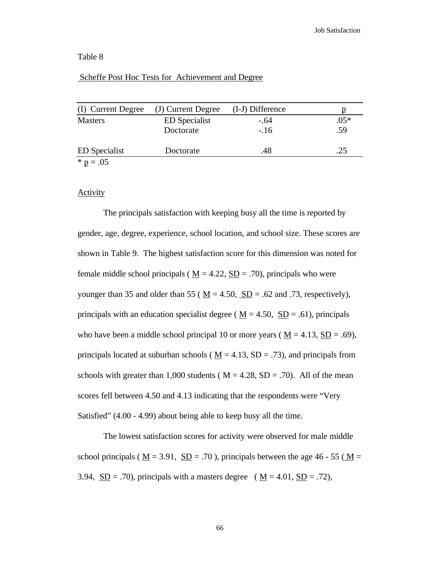### Scheffe Post Hoc Tests for Achievement and Degree

| (I) Current Degree   | (J) Current Degree   | (I-J) Difference | р      |
|----------------------|----------------------|------------------|--------|
| <b>Masters</b>       | <b>ED</b> Specialist | $-.64$           | $.05*$ |
|                      | Doctorate            | $-.16$           | .59    |
| <b>ED</b> Specialist | Doctorate            | .48              | .25    |
| $* p = .05$          |                      |                  |        |

#### **Activity**

The principals satisfaction with keeping busy all the time is reported by gender, age, degree, experience, school location, and school size. These scores are shown in Table 9. The highest satisfaction score for this dimension was noted for female middle school principals ( $M = 4.22$ ,  $SD = .70$ ), principals who were younger than 35 and older than 55 ( $M = 4.50$ ,  $SD = .62$  and .73, respectively), principals with an education specialist degree ( $\underline{M} = 4.50$ ,  $\underline{SD} = .61$ ), principals who have been a middle school principal 10 or more years ( $\underline{M} = 4.13$ ,  $\underline{SD} = .69$ ), principals located at suburban schools ( $M = 4.13$ , SD = .73), and principals from schools with greater than 1,000 students ( $M = 4.28$ , SD = .70). All of the mean scores fell between 4.50 and 4.13 indicating that the respondents were "Very Satisfied" (4.00 - 4.99) about being able to keep busy all the time.

The lowest satisfaction scores for activity were observed for male middle school principals ( $M = 3.91$ ,  $SD = .70$ ), principals between the age 46 - 55 ( $M =$ 3.94,  $SD = .70$ , principals with a masters degree ( $M = 4.01$ ,  $SD = .72$ ),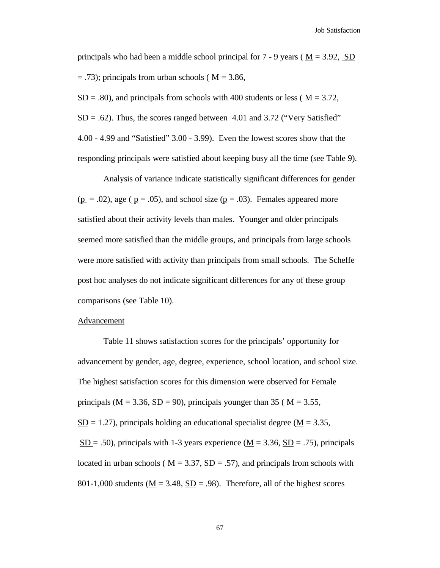Job Satisfaction

principals who had been a middle school principal for  $7 - 9$  years ( $M = 3.92$ , SD  $=$  .73); principals from urban schools ( $M = 3.86$ ,

 $SD = .80$ ), and principals from schools with 400 students or less ( $M = 3.72$ ,  $SD = .62$ ). Thus, the scores ranged between 4.01 and 3.72 ("Very Satisfied" 4.00 - 4.99 and "Satisfied" 3.00 - 3.99). Even the lowest scores show that the responding principals were satisfied about keeping busy all the time (see Table 9).

Analysis of variance indicate statistically significant differences for gender  $(p = .02)$ , age ( $p = .05$ ), and school size ( $p = .03$ ). Females appeared more satisfied about their activity levels than males. Younger and older principals seemed more satisfied than the middle groups, and principals from large schools were more satisfied with activity than principals from small schools. The Scheffe post hoc analyses do not indicate significant differences for any of these group comparisons (see Table 10).

## Advancement

 Table 11 shows satisfaction scores for the principals' opportunity for advancement by gender, age, degree, experience, school location, and school size. The highest satisfaction scores for this dimension were observed for Female principals ( $M = 3.36$ ,  $SD = 90$ ), principals younger than 35 ( $M = 3.55$ ,  $SD = 1.27$ ), principals holding an educational specialist degree (M = 3.35,  $SD = .50$ , principals with 1-3 years experience ( $M = 3.36$ ,  $SD = .75$ ), principals located in urban schools ( $M = 3.37$ ,  $SD = .57$ ), and principals from schools with 801-1,000 students ( $\underline{M} = 3.48$ ,  $\underline{SD} = .98$ ). Therefore, all of the highest scores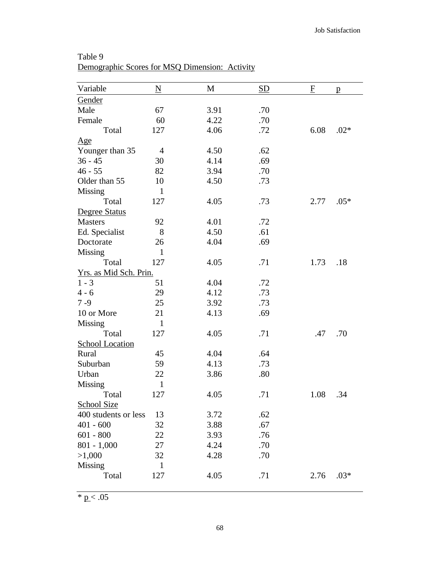| Variable               | $\underline{\mathbf{N}}$ | M    | <b>SD</b> | $\overline{F}$ | $\mathbf{p}$ |
|------------------------|--------------------------|------|-----------|----------------|--------------|
| Gender                 |                          |      |           |                |              |
| Male                   | 67                       | 3.91 | .70       |                |              |
| Female                 | 60                       | 4.22 | .70       |                |              |
| Total                  | 127                      | 4.06 | .72       | 6.08           | $.02*$       |
| Age                    |                          |      |           |                |              |
| Younger than 35        | $\overline{4}$           | 4.50 | .62       |                |              |
| $36 - 45$              | 30                       | 4.14 | .69       |                |              |
| $46 - 55$              | 82                       | 3.94 | .70       |                |              |
| Older than 55          | 10                       | 4.50 | .73       |                |              |
| Missing                | $\mathbf{1}$             |      |           |                |              |
| Total                  | 127                      | 4.05 | .73       | 2.77           | $.05*$       |
| <b>Degree Status</b>   |                          |      |           |                |              |
| <b>Masters</b>         | 92                       | 4.01 | .72       |                |              |
| Ed. Specialist         | 8                        | 4.50 | .61       |                |              |
| Doctorate              | 26                       | 4.04 | .69       |                |              |
| Missing                | $\mathbf{1}$             |      |           |                |              |
| Total                  | 127                      | 4.05 | .71       | 1.73           | .18          |
| Yrs. as Mid Sch. Prin. |                          |      |           |                |              |
| $1 - 3$                | 51                       | 4.04 | .72       |                |              |
| $4 - 6$                | 29                       | 4.12 | .73       |                |              |
| $7 - 9$                | 25                       | 3.92 | .73       |                |              |
| 10 or More             | 21                       | 4.13 | .69       |                |              |
| <b>Missing</b>         | $\mathbf{1}$             |      |           |                |              |
| Total                  | 127                      | 4.05 | .71       | .47            | .70          |
| <b>School Location</b> |                          |      |           |                |              |
| Rural                  | 45                       | 4.04 | .64       |                |              |
| Suburban               | 59                       | 4.13 | .73       |                |              |
| Urban                  | 22                       | 3.86 | .80       |                |              |
| Missing                | $\mathbf{1}$             |      |           |                |              |
| Total                  | 127                      | 4.05 | .71       | 1.08           | .34          |
| <b>School Size</b>     |                          |      |           |                |              |
| 400 students or less   | 13                       | 3.72 | .62       |                |              |
| $401 - 600$            | 32                       | 3.88 | .67       |                |              |
| $601 - 800$            | 22                       | 3.93 | .76       |                |              |
| $801 - 1,000$          | 27                       | 4.24 | .70       |                |              |
| >1,000                 | 32                       | 4.28 | .70       |                |              |
| Missing                | $\mathbf{1}$             |      |           |                |              |
| Total                  | 127                      | 4.05 | .71       | 2.76           | $.03*$       |
|                        |                          |      |           |                |              |

Table 9 Demographic Scores for MSQ Dimension: Activity

 $* p < .05$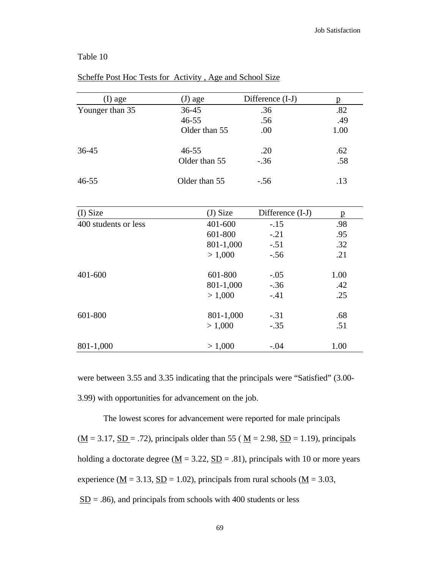| (I) age              | (J) age       | Difference (I-J) | $\mathbf{p}$ |
|----------------------|---------------|------------------|--------------|
| Younger than 35      | $36 - 45$     | .36              | .82          |
|                      | $46 - 55$     | .56              | .49          |
|                      | Older than 55 | .00              | 1.00         |
| $36 - 45$            | $46 - 55$     | .20              | .62          |
|                      | Older than 55 | $-.36$           | .58          |
| $46 - 55$            | Older than 55 | $-.56$           | .13          |
| (I) Size             | (J) Size      | Difference (I-J) | p            |
| 400 students or less | 401-600       | $-.15$           | .98          |
|                      | 601-800       | $-.21$           | .95          |
|                      | 801-1,000     | $-.51$           | .32          |
|                      | > 1,000       | $-.56$           | .21          |
| 401-600              | 601-800       | $-.05$           | 1.00         |
|                      | 801-1,000     | $-.36$           | .42          |
|                      | > 1,000       | $-.41$           | .25          |
| 601-800              | 801-1,000     | $-.31$           | .68          |
|                      | > 1,000       | $-.35$           | .51          |
| 801-1,000            | > 1,000       | $-.04$           | 1.00         |

## Scheffe Post Hoc Tests for Activity , Age and School Size

were between 3.55 and 3.35 indicating that the principals were "Satisfied" (3.00- 3.99) with opportunities for advancement on the job.

The lowest scores for advancement were reported for male principals  $(\underline{M} = 3.17, \underline{SD} = .72)$ , principals older than 55 ( $\underline{M} = 2.98, \underline{SD} = 1.19$ ), principals holding a doctorate degree ( $\underline{M} = 3.22$ ,  $\underline{SD} = .81$ ), principals with 10 or more years experience ( $\underline{M} = 3.13$ ,  $\underline{SD} = 1.02$ ), principals from rural schools ( $\underline{M} = 3.03$ ,  $SD = .86$ ), and principals from schools with 400 students or less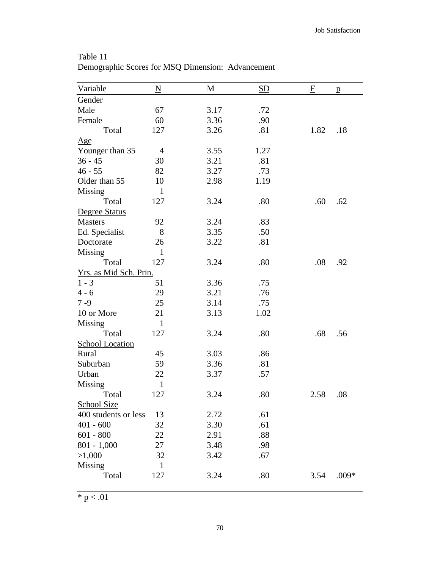| Variable               | N              | M    | <b>SD</b> | $\overline{\mathrm{E}}$ | $\mathbf{p}$ |
|------------------------|----------------|------|-----------|-------------------------|--------------|
| Gender                 |                |      |           |                         |              |
| Male                   | 67             | 3.17 | .72       |                         |              |
| Female                 | 60             | 3.36 | .90       |                         |              |
| Total                  | 127            | 3.26 | .81       | 1.82                    | .18          |
| Age                    |                |      |           |                         |              |
| Younger than 35        | $\overline{4}$ | 3.55 | 1.27      |                         |              |
| $36 - 45$              | 30             | 3.21 | .81       |                         |              |
| $46 - 55$              | 82             | 3.27 | .73       |                         |              |
| Older than 55          | 10             | 2.98 | 1.19      |                         |              |
| Missing                | $\mathbf{1}$   |      |           |                         |              |
| Total                  | 127            | 3.24 | .80       | .60                     | .62          |
| Degree Status          |                |      |           |                         |              |
| <b>Masters</b>         | 92             | 3.24 | .83       |                         |              |
| Ed. Specialist         | 8              | 3.35 | .50       |                         |              |
| Doctorate              | 26             | 3.22 | .81       |                         |              |
| <b>Missing</b>         | $\mathbf{1}$   |      |           |                         |              |
| Total                  | 127            | 3.24 | .80       | .08                     | .92          |
| Yrs. as Mid Sch. Prin. |                |      |           |                         |              |
| $1 - 3$                | 51             | 3.36 | .75       |                         |              |
| $4 - 6$                | 29             | 3.21 | .76       |                         |              |
| $7 - 9$                | 25             | 3.14 | .75       |                         |              |
| 10 or More             | 21             | 3.13 | 1.02      |                         |              |
| <b>Missing</b>         | $\mathbf{1}$   |      |           |                         |              |
| Total                  | 127            | 3.24 | .80       | .68                     | .56          |
| <b>School Location</b> |                |      |           |                         |              |
| Rural                  | 45             | 3.03 | .86       |                         |              |
| Suburban               | 59             | 3.36 | .81       |                         |              |
| Urban                  | 22             | 3.37 | .57       |                         |              |
| Missing                | $\mathbf{1}$   |      |           |                         |              |
| Total                  | 127            | 3.24 | $.80\,$   | 2.58                    | .08          |
| <b>School Size</b>     |                |      |           |                         |              |
| 400 students or less   | 13             | 2.72 | .61       |                         |              |
| $401 - 600$            | 32             | 3.30 | .61       |                         |              |
| $601 - 800$            | 22             | 2.91 | .88       |                         |              |
| $801 - 1,000$          | 27             | 3.48 | .98       |                         |              |
| >1,000                 | 32             | 3.42 | .67       |                         |              |
| Missing                | $\mathbf{1}$   |      |           |                         |              |
| Total                  | 127            | 3.24 | .80       | 3.54                    | $.009*$      |
|                        |                |      |           |                         |              |

Table 11 Demographic Scores for MSQ Dimension: Advancement

 $\frac{*}{p} < .01$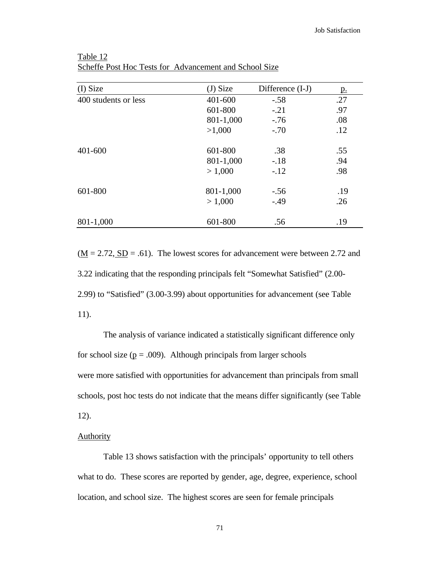| (I) Size             | $(J)$ Size | Difference (I-J) | <u>p.</u> |
|----------------------|------------|------------------|-----------|
| 400 students or less | 401-600    | $-.58$           | .27       |
|                      | 601-800    | $-.21$           | .97       |
|                      | 801-1,000  | $-.76$           | .08       |
|                      | >1,000     | $-.70$           | .12       |
| 401-600              | 601-800    | .38              | .55       |
|                      | 801-1,000  | $-.18$           | .94       |
|                      | > 1,000    | $-.12$           | .98       |
| 601-800              | 801-1,000  | $-.56$           | .19       |
|                      | > 1,000    | $-.49$           | .26       |
| 801-1,000            | 601-800    | .56              | .19       |

Table 12 Scheffe Post Hoc Tests for Advancement and School Size

 $(M = 2.72, SD = .61)$ . The lowest scores for advancement were between 2.72 and 3.22 indicating that the responding principals felt "Somewhat Satisfied" (2.00- 2.99) to "Satisfied" (3.00-3.99) about opportunities for advancement (see Table 11).

The analysis of variance indicated a statistically significant difference only for school size ( $p = .009$ ). Although principals from larger schools were more satisfied with opportunities for advancement than principals from small schools, post hoc tests do not indicate that the means differ significantly (see Table 12).

### **Authority**

Table 13 shows satisfaction with the principals' opportunity to tell others what to do. These scores are reported by gender, age, degree, experience, school location, and school size. The highest scores are seen for female principals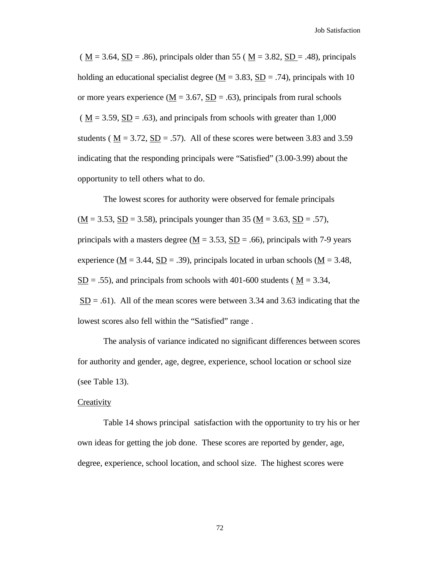$(M = 3.64, SD = .86)$ , principals older than 55 ( $M = 3.82, SD = .48$ ), principals holding an educational specialist degree ( $\underline{M} = 3.83$ ,  $\underline{SD} = .74$ ), principals with 10 or more years experience ( $M = 3.67$ ,  $SD = .63$ ), principals from rural schools  $(M = 3.59, SD = .63)$ , and principals from schools with greater than 1,000 students ( $\underline{M} = 3.72$ ,  $\underline{SD} = .57$ ). All of these scores were between 3.83 and 3.59 indicating that the responding principals were "Satisfied" (3.00-3.99) about the opportunity to tell others what to do.

The lowest scores for authority were observed for female principals  $(\underline{M} = 3.53, \underline{SD} = 3.58)$ , principals younger than 35 ( $\underline{M} = 3.63, \underline{SD} = .57$ ), principals with a masters degree ( $\underline{M} = 3.53$ ,  $\underline{SD} = .66$ ), principals with 7-9 years experience ( $\underline{M} = 3.44$ ,  $\underline{SD} = .39$ ), principals located in urban schools ( $\underline{M} = 3.48$ ,  $SD = .55$ ), and principals from schools with 401-600 students ( $M = 3.34$ ,  $SD = .61$ ). All of the mean scores were between 3.34 and 3.63 indicating that the lowest scores also fell within the "Satisfied" range .

The analysis of variance indicated no significant differences between scores for authority and gender, age, degree, experience, school location or school size (see Table 13).

### **Creativity**

Table 14 shows principal satisfaction with the opportunity to try his or her own ideas for getting the job done. These scores are reported by gender, age, degree, experience, school location, and school size. The highest scores were

72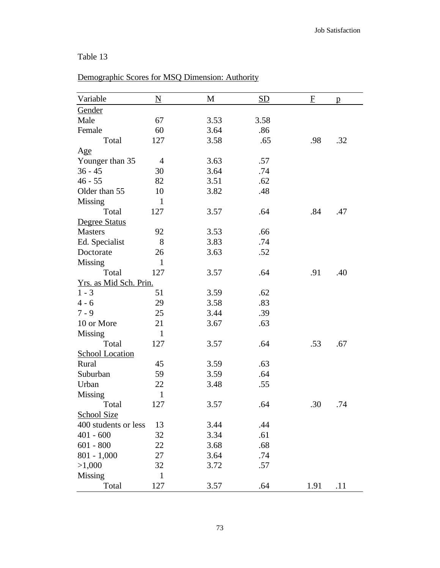# Demographic Scores for MSQ Dimension: Authority

| Variable               | $\underline{\mathbf{N}}$ | M    | <b>SD</b> | F    | p   |
|------------------------|--------------------------|------|-----------|------|-----|
| Gender                 |                          |      |           |      |     |
| Male                   | 67                       | 3.53 | 3.58      |      |     |
| Female                 | 60                       | 3.64 | .86       |      |     |
| Total                  | 127                      | 3.58 | .65       | .98  | .32 |
| Age                    |                          |      |           |      |     |
| Younger than 35        | 4                        | 3.63 | .57       |      |     |
| $36 - 45$              | 30                       | 3.64 | .74       |      |     |
| $46 - 55$              | 82                       | 3.51 | .62       |      |     |
| Older than 55          | 10                       | 3.82 | .48       |      |     |
| Missing                | $\mathbf{1}$             |      |           |      |     |
| Total                  | 127                      | 3.57 | .64       | .84  | .47 |
| Degree Status          |                          |      |           |      |     |
| <b>Masters</b>         | 92                       | 3.53 | .66       |      |     |
| Ed. Specialist         | 8                        | 3.83 | .74       |      |     |
| Doctorate              | 26                       | 3.63 | .52       |      |     |
| Missing                | $\mathbf{1}$             |      |           |      |     |
| Total                  | 127                      | 3.57 | .64       | .91  | .40 |
| Yrs. as Mid Sch. Prin. |                          |      |           |      |     |
| $1 - 3$                | 51                       | 3.59 | .62       |      |     |
| $4 - 6$                | 29                       | 3.58 | .83       |      |     |
| $7 - 9$                | 25                       | 3.44 | .39       |      |     |
| 10 or More             | 21                       | 3.67 | .63       |      |     |
| Missing                | $\mathbf{1}$             |      |           |      |     |
| Total                  | 127                      | 3.57 | .64       | .53  | .67 |
| <b>School Location</b> |                          |      |           |      |     |
| Rural                  | 45                       | 3.59 | .63       |      |     |
| Suburban               | 59                       | 3.59 | .64       |      |     |
| Urban                  | 22                       | 3.48 | .55       |      |     |
| <b>Missing</b>         | $\mathbf{1}$             |      |           |      |     |
| Total                  | 127                      | 3.57 | .64       | .30  | .74 |
| <b>School Size</b>     |                          |      |           |      |     |
| 400 students or less   | 13                       | 3.44 | .44       |      |     |
| $401 - 600$            | 32                       | 3.34 | .61       |      |     |
| $601 - 800$            | 22                       | 3.68 | .68       |      |     |
| $801 - 1,000$          | 27                       | 3.64 | .74       |      |     |
| >1,000                 | 32                       | 3.72 | .57       |      |     |
| Missing                | 1                        |      |           |      |     |
| Total                  | 127                      | 3.57 | .64       | 1.91 | .11 |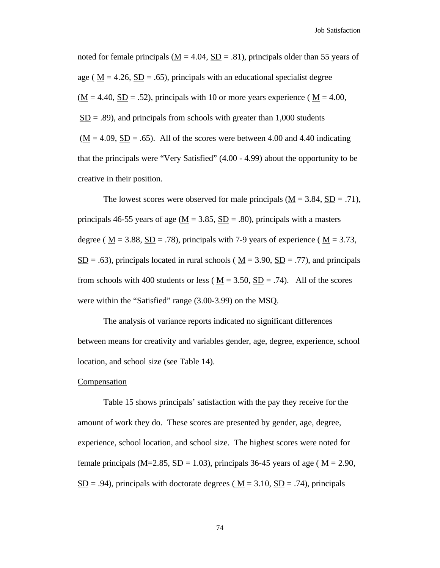Job Satisfaction

noted for female principals ( $M = 4.04$ ,  $SD = .81$ ), principals older than 55 years of age ( $M = 4.26$ ,  $SD = .65$ ), principals with an educational specialist degree  $(M = 4.40, SD = .52)$ , principals with 10 or more years experience ( $M = 4.00$ ,  $SD = .89$ ), and principals from schools with greater than 1,000 students  $(M = 4.09, SD = .65)$ . All of the scores were between 4.00 and 4.40 indicating that the principals were "Very Satisfied" (4.00 - 4.99) about the opportunity to be creative in their position.

The lowest scores were observed for male principals  $(M = 3.84, SD = .71)$ , principals 46-55 years of age ( $\underline{M} = 3.85$ ,  $\underline{SD} = .80$ ), principals with a masters degree ( $\underline{M} = 3.88$ ,  $\underline{SD} = .78$ ), principals with 7-9 years of experience ( $\underline{M} = 3.73$ ,  $S<sub>D</sub> = .63$ ), principals located in rural schools ( $M = 3.90$ ,  $S<sub>D</sub> = .77$ ), and principals from schools with 400 students or less ( $M = 3.50$ ,  $SD = .74$ ). All of the scores were within the "Satisfied" range (3.00-3.99) on the MSQ.

The analysis of variance reports indicated no significant differences between means for creativity and variables gender, age, degree, experience, school location, and school size (see Table 14).

#### **Compensation**

Table 15 shows principals' satisfaction with the pay they receive for the amount of work they do. These scores are presented by gender, age, degree, experience, school location, and school size. The highest scores were noted for female principals ( $M=2.85$ ,  $SD = 1.03$ ), principals 36-45 years of age ( $M = 2.90$ ,  $SD = .94$ ), principals with doctorate degrees ( $M = 3.10$ ,  $SD = .74$ ), principals

74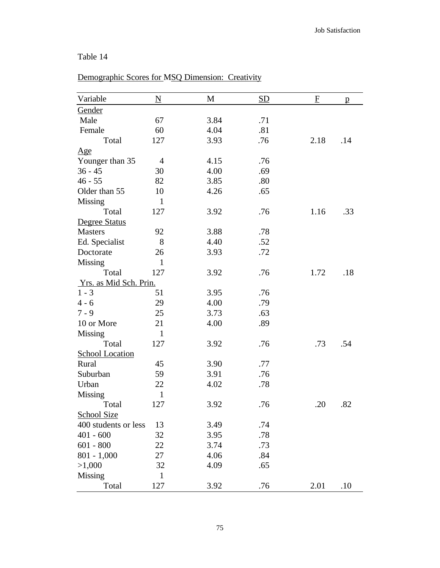# Demographic Scores for MSQ Dimension: Creativity

| Variable               | $\underline{\mathbf{N}}$ | M    | <b>SD</b> | $\boldsymbol{\mathrm{F}}$ | $\mathbf{p}$ |
|------------------------|--------------------------|------|-----------|---------------------------|--------------|
| Gender                 |                          |      |           |                           |              |
| Male                   | 67                       | 3.84 | .71       |                           |              |
| Female                 | 60                       | 4.04 | .81       |                           |              |
| Total                  | 127                      | 3.93 | .76       | 2.18                      | .14          |
| Age                    |                          |      |           |                           |              |
| Younger than 35        | $\overline{4}$           | 4.15 | .76       |                           |              |
| $36 - 45$              | 30                       | 4.00 | .69       |                           |              |
| $46 - 55$              | 82                       | 3.85 | .80       |                           |              |
| Older than 55          | 10                       | 4.26 | .65       |                           |              |
| Missing                | $\mathbf{1}$             |      |           |                           |              |
| Total                  | 127                      | 3.92 | .76       | 1.16                      | .33          |
| Degree Status          |                          |      |           |                           |              |
| <b>Masters</b>         | 92                       | 3.88 | .78       |                           |              |
| Ed. Specialist         | 8                        | 4.40 | .52       |                           |              |
| Doctorate              | 26                       | 3.93 | .72       |                           |              |
| Missing                | $\mathbf{1}$             |      |           |                           |              |
| Total                  | 127                      | 3.92 | .76       | 1.72                      | .18          |
| Yrs. as Mid Sch. Prin. |                          |      |           |                           |              |
| $1 - 3$                | 51                       | 3.95 | .76       |                           |              |
| $4 - 6$                | 29                       | 4.00 | .79       |                           |              |
| $7 - 9$                | 25                       | 3.73 | .63       |                           |              |
| 10 or More             | 21                       | 4.00 | .89       |                           |              |
| <b>Missing</b>         | $\mathbf{1}$             |      |           |                           |              |
| Total                  | 127                      | 3.92 | .76       | .73                       | .54          |
| <b>School Location</b> |                          |      |           |                           |              |
| Rural                  | 45                       | 3.90 | .77       |                           |              |
| Suburban               | 59                       | 3.91 | .76       |                           |              |
| Urban                  | 22                       | 4.02 | .78       |                           |              |
| <b>Missing</b>         | $\mathbf{1}$             |      |           |                           |              |
| Total                  | 127                      | 3.92 | .76       | .20                       | .82          |
| <b>School Size</b>     |                          |      |           |                           |              |
| 400 students or less   | 13                       | 3.49 | .74       |                           |              |
| $401 - 600$            | 32                       | 3.95 | .78       |                           |              |
| $601 - 800$            | 22                       | 3.74 | .73       |                           |              |
| $801 - 1,000$          | 27                       | 4.06 | .84       |                           |              |
| >1,000                 | 32                       | 4.09 | .65       |                           |              |
| Missing                | $\mathbf{1}$             |      |           |                           |              |
| Total                  | 127                      | 3.92 | .76       | 2.01                      | .10          |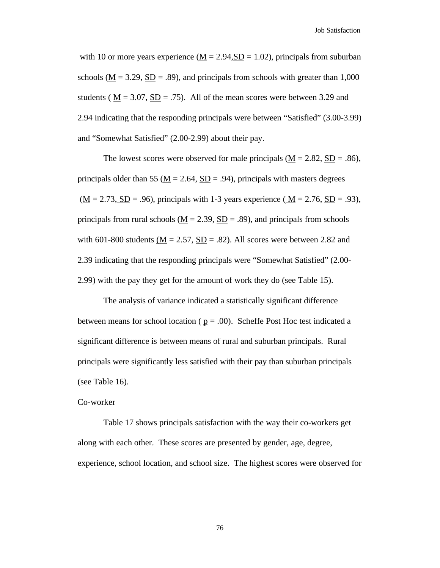with 10 or more years experience ( $\underline{M} = 2.94$ ,  $\underline{SD} = 1.02$ ), principals from suburban schools ( $\underline{M} = 3.29$ ,  $\underline{SD} = .89$ ), and principals from schools with greater than 1,000 students ( $M = 3.07$ ,  $SD = .75$ ). All of the mean scores were between 3.29 and 2.94 indicating that the responding principals were between "Satisfied" (3.00-3.99) and "Somewhat Satisfied" (2.00-2.99) about their pay.

The lowest scores were observed for male principals  $(M = 2.82, SD = .86)$ , principals older than 55 ( $M = 2.64$ ,  $SD = .94$ ), principals with masters degrees  $(M = 2.73, SD = .96)$ , principals with 1-3 years experience ( $M = 2.76, SD = .93$ ), principals from rural schools ( $\underline{M} = 2.39$ ,  $\underline{SD} = .89$ ), and principals from schools with 601-800 students  $\underline{M} = 2.57$ ,  $\underline{SD} = .82$ ). All scores were between 2.82 and 2.39 indicating that the responding principals were "Somewhat Satisfied" (2.00- 2.99) with the pay they get for the amount of work they do (see Table 15).

The analysis of variance indicated a statistically significant difference between means for school location ( $p = .00$ ). Scheffe Post Hoc test indicated a significant difference is between means of rural and suburban principals. Rural principals were significantly less satisfied with their pay than suburban principals (see Table 16).

### Co-worker

Table 17 shows principals satisfaction with the way their co-workers get along with each other. These scores are presented by gender, age, degree, experience, school location, and school size. The highest scores were observed for

76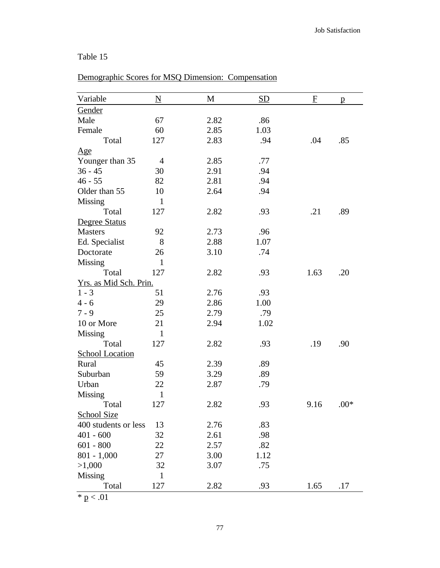## Variable  $N$  M  $S$ D  $F$  p **Gender** Male 67 2.82 .86 Female 60 2.85 1.03 Total 127 2.83 .94 .04 .85 Age Younger than 35 4 2.85 .77 36 - 45 30 2.91 .94 46 - 55 82 2.81 94 Older than 55 10 2.64 .94 Missing 1 Total 127 2.82 .93 .21 .89 Degree Status Masters 92 2.73 .96 Ed. Specialist 8 2.88 1.07 Doctorate 26 3.10 .74 Missing 1 Total 127 2.82 .93 1.63 .20 Yrs. as Mid Sch. Prin.  $1 - 3$   $51$   $2.76$   $.93$ 4 - 6 29 2.86 1.00 7 - 9 25 2.79 .79 10 or More 21 2.94 1.02 Missing 1 Total 127 2.82 .93 .19 .90 School Location Rural 45 2.39 .89 Suburban 59 3.29 .89 Urban 22 2.87 .79 Missing 1 Total  $127$   $2.82$   $.93$   $9.16$   $.00*$ School Size

|  |  |  | Demographic Scores for MSQ Dimension: Compensation |  |
|--|--|--|----------------------------------------------------|--|
|  |  |  |                                                    |  |

 $* p < .01$ 

Missing 1

77

Total 127 2.82 .93 1.65 .17

400 students or less 13 2.76 .83 401 - 600 32 2.61 .98 601 - 800 22 2.57 .82 801 - 1,000 27 3.00 1.12 >1,000 32 3.07 .75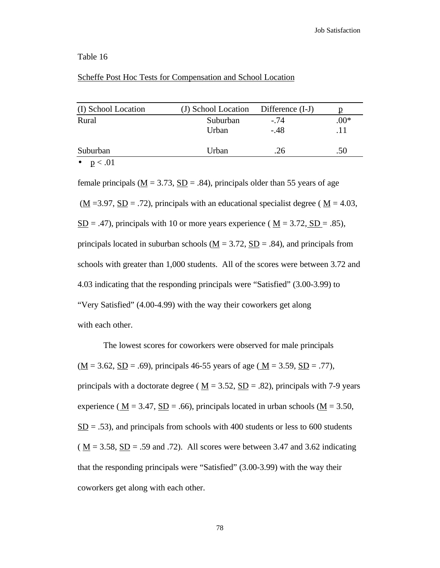### Scheffe Post Hoc Tests for Compensation and School Location

| (I) School Location | (J) School Location Difference (I-J) |        |        |
|---------------------|--------------------------------------|--------|--------|
| Rural               | Suburban                             | $-.74$ | $.00*$ |
|                     | Urban                                | $-.48$ | .11    |
| Suburban            | Urban                                | .26    | .50    |
| $\sim$ $\sim$ 01    |                                      |        |        |

•  $p < .01$ 

female principals ( $\underline{M} = 3.73$ ,  $\underline{SD} = .84$ ), principals older than 55 years of age  $(\underline{M} = 3.97, \underline{SD} = .72)$ , principals with an educational specialist degree ( $\underline{M} = 4.03$ ,  $S<sub>D</sub> = .47$ , principals with 10 or more years experience ( $M = 3.72$ ,  $S<sub>D</sub> = .85$ ), principals located in suburban schools ( $M = 3.72$ ,  $SD = .84$ ), and principals from schools with greater than 1,000 students. All of the scores were between 3.72 and 4.03 indicating that the responding principals were "Satisfied" (3.00-3.99) to "Very Satisfied" (4.00-4.99) with the way their coworkers get along with each other.

The lowest scores for coworkers were observed for male principals  $(\underline{M} = 3.62, \underline{SD} = .69)$ , principals 46-55 years of age ( $\underline{M} = 3.59, \underline{SD} = .77$ ), principals with a doctorate degree ( $\underline{M} = 3.52$ ,  $\underline{SD} = .82$ ), principals with 7-9 years experience ( $M = 3.47$ ,  $SD = .66$ ), principals located in urban schools ( $M = 3.50$ ,  $SD = .53$ ), and principals from schools with 400 students or less to 600 students  $(M = 3.58, SD = .59$  and .72). All scores were between 3.47 and 3.62 indicating that the responding principals were "Satisfied" (3.00-3.99) with the way their coworkers get along with each other.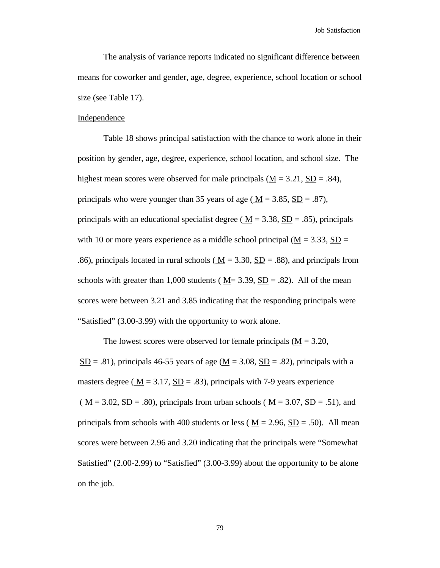The analysis of variance reports indicated no significant difference between means for coworker and gender, age, degree, experience, school location or school size (see Table 17).

#### Independence

Table 18 shows principal satisfaction with the chance to work alone in their position by gender, age, degree, experience, school location, and school size. The highest mean scores were observed for male principals  $(M = 3.21, SD = .84)$ , principals who were younger than 35 years of age ( $M = 3.85$ ,  $SD = .87$ ), principals with an educational specialist degree ( $M = 3.38$ ,  $SD = .85$ ), principals with 10 or more years experience as a middle school principal ( $M = 3.33$ ,  $SD =$ .86), principals located in rural schools ( $\underline{M} = 3.30$ ,  $\underline{SD} = .88$ ), and principals from schools with greater than 1,000 students ( $M = 3.39$ ,  $SD = .82$ ). All of the mean scores were between 3.21 and 3.85 indicating that the responding principals were "Satisfied" (3.00-3.99) with the opportunity to work alone.

The lowest scores were observed for female principals  $(M = 3.20,$  $S<sub>D</sub> = .81$ , principals 46-55 years of age ( $M = 3.08$ ,  $S<sub>D</sub> = .82$ ), principals with a masters degree ( $\underline{M} = 3.17$ ,  $\underline{SD} = .83$ ), principals with 7-9 years experience  $(\underline{M} = 3.02, \underline{SD} = .80)$ , principals from urban schools ( $\underline{M} = 3.07, \underline{SD} = .51$ ), and principals from schools with 400 students or less ( $M = 2.96$ ,  $SD = .50$ ). All mean scores were between 2.96 and 3.20 indicating that the principals were "Somewhat Satisfied" (2.00-2.99) to "Satisfied" (3.00-3.99) about the opportunity to be alone on the job.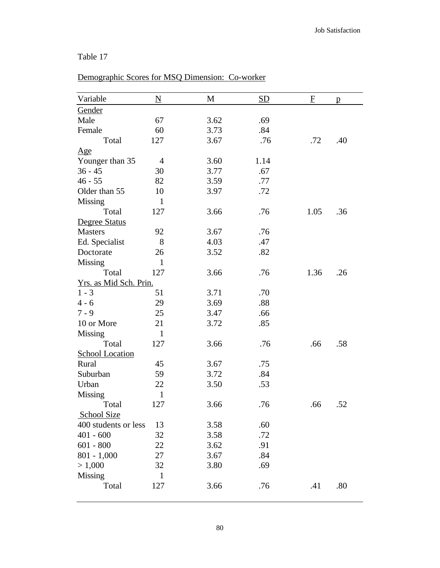# Demographic Scores for MSQ Dimension: Co-worker

| Variable               | $\underline{\rm N}$ | M    | <u>SD</u> | F    | p   |
|------------------------|---------------------|------|-----------|------|-----|
| Gender                 |                     |      |           |      |     |
| Male                   | 67                  | 3.62 | .69       |      |     |
| Female                 | 60                  | 3.73 | .84       |      |     |
| Total                  | 127                 | 3.67 | .76       | .72  | .40 |
| Age                    |                     |      |           |      |     |
| Younger than 35        | 4                   | 3.60 | 1.14      |      |     |
| $36 - 45$              | 30                  | 3.77 | .67       |      |     |
| $46 - 55$              | 82                  | 3.59 | .77       |      |     |
| Older than 55          | 10                  | 3.97 | .72       |      |     |
| Missing                | $\mathbf{1}$        |      |           |      |     |
| Total                  | 127                 | 3.66 | .76       | 1.05 | .36 |
| Degree Status          |                     |      |           |      |     |
| <b>Masters</b>         | 92                  | 3.67 | .76       |      |     |
| Ed. Specialist         | 8                   | 4.03 | .47       |      |     |
| Doctorate              | 26                  | 3.52 | .82       |      |     |
| Missing                | $\mathbf{1}$        |      |           |      |     |
| Total                  | 127                 | 3.66 | .76       | 1.36 | .26 |
| Yrs. as Mid Sch. Prin. |                     |      |           |      |     |
| $1 - 3$                | 51                  | 3.71 | .70       |      |     |
| $4 - 6$                | 29                  | 3.69 | .88       |      |     |
| $7 - 9$                | 25                  | 3.47 | .66       |      |     |
| 10 or More             | 21                  | 3.72 | .85       |      |     |
| Missing                | $\mathbf{1}$        |      |           |      |     |
| Total                  | 127                 | 3.66 | .76       | .66  | .58 |
| <b>School Location</b> |                     |      |           |      |     |
| Rural                  | 45                  | 3.67 | .75       |      |     |
| Suburban               | 59                  | 3.72 | .84       |      |     |
| Urban                  | 22                  | 3.50 | .53       |      |     |
| <b>Missing</b>         | $\mathbf{1}$        |      |           |      |     |
| Total                  | 127                 | 3.66 | .76       | .66  | .52 |
| School Size            |                     |      |           |      |     |
| 400 students or less   | 13                  | 3.58 | .60       |      |     |
| $401 - 600$            | 32                  | 3.58 | .72       |      |     |
| $601 - 800$            | 22                  | 3.62 | .91       |      |     |
| $801 - 1,000$          | 27                  | 3.67 | .84       |      |     |
| > 1,000                | 32                  | 3.80 | .69       |      |     |
| Missing                | $\mathbf{1}$        |      |           |      |     |
| Total                  | 127                 | 3.66 | .76       | .41  | .80 |
|                        |                     |      |           |      |     |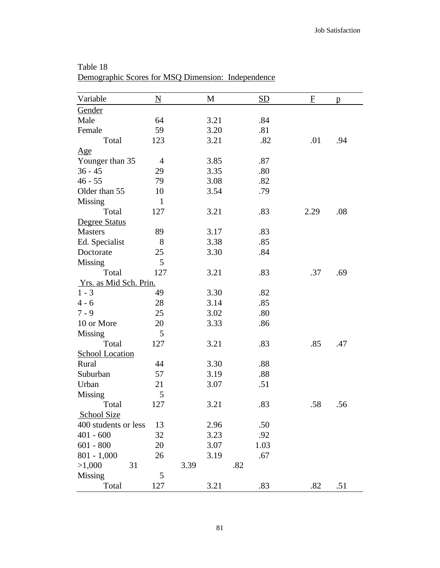| Variable               | $\underline{\mathbf{N}}$ | M    | <b>SD</b> | F    | $\mathbf{p}$ |
|------------------------|--------------------------|------|-----------|------|--------------|
| Gender                 |                          |      |           |      |              |
| Male                   | 64                       | 3.21 | .84       |      |              |
| Female                 | 59                       | 3.20 | .81       |      |              |
| Total                  | 123                      | 3.21 | .82       | .01  | .94          |
| $\underline{Age}$      |                          |      |           |      |              |
| Younger than 35        | $\overline{4}$           | 3.85 | .87       |      |              |
| $36 - 45$              | 29                       | 3.35 | .80       |      |              |
| $46 - 55$              | 79                       | 3.08 | .82       |      |              |
| Older than 55          | 10                       | 3.54 | .79       |      |              |
| Missing                | $\mathbf{1}$             |      |           |      |              |
| Total                  | 127                      | 3.21 | .83       | 2.29 | .08          |
| Degree Status          |                          |      |           |      |              |
| <b>Masters</b>         | 89                       | 3.17 | .83       |      |              |
| Ed. Specialist         | 8                        | 3.38 | .85       |      |              |
| Doctorate              | 25                       | 3.30 | .84       |      |              |
| Missing                | 5                        |      |           |      |              |
| Total                  | 127                      | 3.21 | .83       | .37  | .69          |
| Yrs. as Mid Sch. Prin. |                          |      |           |      |              |
| $1 - 3$                | 49                       | 3.30 | .82       |      |              |
| $4 - 6$                | 28                       | 3.14 | .85       |      |              |
| $7 - 9$                | 25                       | 3.02 | .80       |      |              |
| 10 or More             | 20                       | 3.33 | .86       |      |              |
| Missing                | 5                        |      |           |      |              |
| Total                  | 127                      | 3.21 | .83       | .85  | .47          |
| <b>School Location</b> |                          |      |           |      |              |
| Rural                  | 44                       | 3.30 | .88       |      |              |
| Suburban               | 57                       | 3.19 | .88       |      |              |
| Urban                  | 21                       | 3.07 | .51       |      |              |
| Missing                | 5                        |      |           |      |              |
| Total                  | 127                      | 3.21 | .83       | .58  | .56          |
| <b>School Size</b>     |                          |      |           |      |              |
| 400 students or less   | 13                       | 2.96 | .50       |      |              |
| $401 - 600$            | 32                       | 3.23 | .92       |      |              |
| $601 - 800$            | 20                       | 3.07 | 1.03      |      |              |
| $801 - 1,000$          | 26                       | 3.19 | .67       |      |              |
| >1,000                 | 31                       | 3.39 | .82       |      |              |
| Missing                | 5                        |      |           |      |              |
| Total                  | 127                      | 3.21 | .83       | .82  | .51          |

Table 18 Demographic Scores for MSQ Dimension: Independence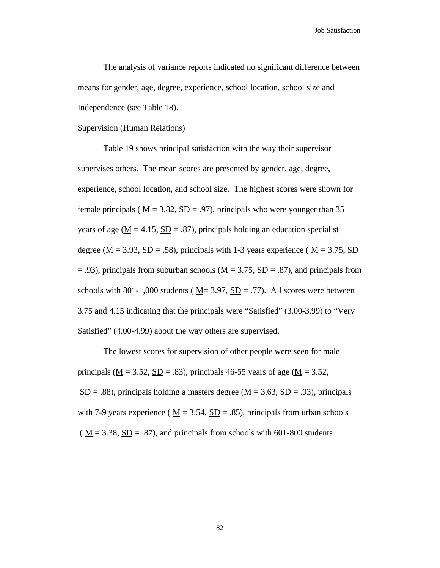Job Satisfaction

The analysis of variance reports indicated no significant difference between means for gender, age, degree, experience, school location, school size and Independence (see Table 18).

### Supervision (Human Relations)

Table 19 shows principal satisfaction with the way their supervisor supervises others. The mean scores are presented by gender, age, degree, experience, school location, and school size. The highest scores were shown for female principals ( $M = 3.82$ ,  $SD = .97$ ), principals who were younger than 35 years of age ( $M = 4.15$ ,  $SD = .87$ ), principals holding an education specialist degree ( $M = 3.93$ ,  $SD = .58$ ), principals with 1-3 years experience ( $M = 3.75$ , SD  $= .93$ ), principals from suburban schools (M  $= 3.75$ , SD  $= .87$ ), and principals from schools with 801-1,000 students ( $\underline{M}$  = 3.97,  $\underline{SD}$  = .77). All scores were between 3.75 and 4.15 indicating that the principals were "Satisfied" (3.00-3.99) to "Very Satisfied" (4.00-4.99) about the way others are supervised.

The lowest scores for supervision of other people were seen for male principals ( $M = 3.52$ ,  $SD = .83$ ), principals 46-55 years of age ( $M = 3.52$ ,  $S<sub>D</sub> = .88$ ), principals holding a masters degree (M = 3.63, SD = .93), principals with 7-9 years experience ( $M = 3.54$ ,  $SD = .85$ ), principals from urban schools ( $\underline{M}$  = 3.38,  $\underline{SD}$  = .87), and principals from schools with 601-800 students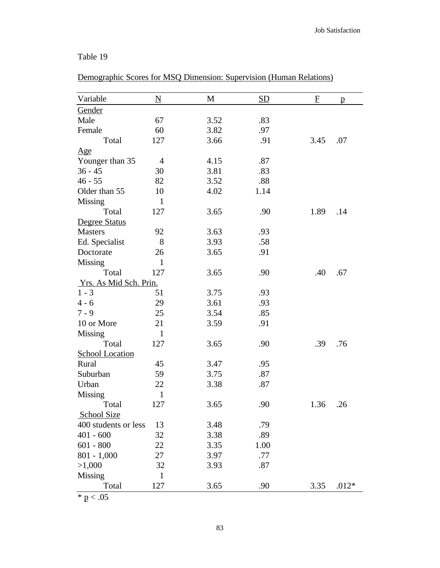| Variable               | $\underline{\mathbf{N}}$ | $\mathbf{M}$ | <b>SD</b> | F    | $\mathbf{p}$ |
|------------------------|--------------------------|--------------|-----------|------|--------------|
| Gender                 |                          |              |           |      |              |
| Male                   | 67                       | 3.52         | .83       |      |              |
| Female                 | 60                       | 3.82         | .97       |      |              |
| Total                  | 127                      | 3.66         | .91       | 3.45 | .07          |
| Age                    |                          |              |           |      |              |
| Younger than 35        | $\overline{4}$           | 4.15         | .87       |      |              |
| $36 - 45$              | 30                       | 3.81         | .83       |      |              |
| $46 - 55$              | 82                       | 3.52         | .88       |      |              |
| Older than 55          | 10                       | 4.02         | 1.14      |      |              |
| <b>Missing</b>         | $\mathbf{1}$             |              |           |      |              |
| Total                  | 127                      | 3.65         | .90       | 1.89 | .14          |
| Degree Status          |                          |              |           |      |              |
| <b>Masters</b>         | 92                       | 3.63         | .93       |      |              |
| Ed. Specialist         | 8                        | 3.93         | .58       |      |              |
| Doctorate              | 26                       | 3.65         | .91       |      |              |
| Missing                | $\mathbf{1}$             |              |           |      |              |
| Total                  | 127                      | 3.65         | .90       | .40  | .67          |
| Yrs. As Mid Sch. Prin. |                          |              |           |      |              |
| $1 - 3$                | 51                       | 3.75         | .93       |      |              |
| $4 - 6$                | 29                       | 3.61         | .93       |      |              |
| $7 - 9$                | 25                       | 3.54         | .85       |      |              |
| 10 or More             | 21                       | 3.59         | .91       |      |              |
| Missing                | $\mathbf{1}$             |              |           |      |              |
| Total                  | 127                      | 3.65         | .90       | .39  | .76          |
| <b>School Location</b> |                          |              |           |      |              |
| Rural                  | 45                       | 3.47         | .95       |      |              |
| Suburban               | 59                       | 3.75         | .87       |      |              |
| Urban                  | 22                       | 3.38         | .87       |      |              |
| <b>Missing</b>         | $\mathbf{1}$             |              |           |      |              |
| Total                  | 127                      | 3.65         | .90       | 1.36 | .26          |
| School Size            |                          |              |           |      |              |
| 400 students or less   | 13                       | 3.48         | .79       |      |              |
| $401 - 600$            | 32                       | 3.38         | .89       |      |              |
| $601 - 800$            | 22                       | 3.35         | 1.00      |      |              |
| $801 - 1,000$          | 27                       | 3.97         | .77       |      |              |
| >1,000                 | 32                       | 3.93         | .87       |      |              |
| Missing                | $\mathbf{1}$             |              |           |      |              |
| Total                  | 127                      | 3.65         | .90       | 3.35 | $.012*$      |

Demographic Scores for MSQ Dimension: Supervision (Human Relations)

 $\overline{\ast$  p  $< .05$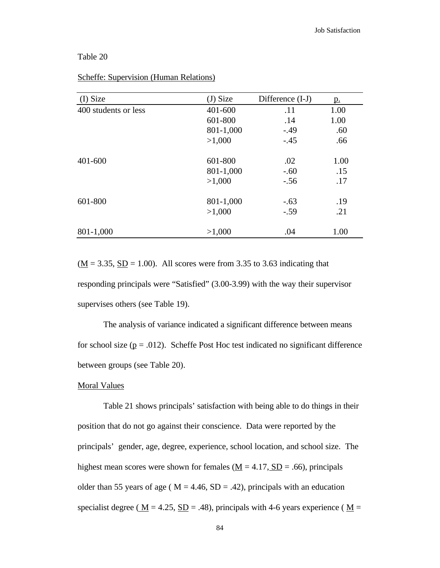| (I) Size             | $(J)$ Size | Difference (I-J) | <u>p.</u> |
|----------------------|------------|------------------|-----------|
| 400 students or less | 401-600    | .11              | 1.00      |
|                      | 601-800    | .14              | 1.00      |
|                      | 801-1,000  | $-.49$           | .60       |
|                      | >1,000     | $-.45$           | .66       |
| 401-600              | 601-800    | .02              | 1.00      |
|                      | 801-1,000  | $-.60$           | .15       |
|                      | >1,000     | $-.56$           | .17       |
| 601-800              | 801-1,000  | $-.63$           | .19       |
|                      | >1,000     | $-.59$           | .21       |
| 801-1,000            | >1,000     | .04              | 1.00      |

### Scheffe: Supervision (Human Relations)

 $(\underline{M} = 3.35, \underline{SD} = 1.00)$ . All scores were from 3.35 to 3.63 indicating that responding principals were "Satisfied" (3.00-3.99) with the way their supervisor supervises others (see Table 19).

The analysis of variance indicated a significant difference between means for school size ( $p = .012$ ). Scheffe Post Hoc test indicated no significant difference between groups (see Table 20).

#### Moral Values

Table 21 shows principals' satisfaction with being able to do things in their position that do not go against their conscience. Data were reported by the principals' gender, age, degree, experience, school location, and school size. The highest mean scores were shown for females ( $\underline{M} = 4.17$ ,  $\underline{SD} = .66$ ), principals older than 55 years of age ( $M = 4.46$ ,  $SD = .42$ ), principals with an education specialist degree ( $\underline{M}$  = 4.25,  $\underline{SD}$  = .48), principals with 4-6 years experience ( $\underline{M}$  =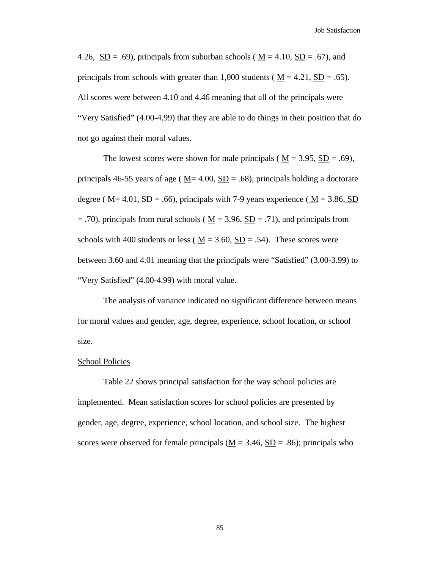Job Satisfaction

4.26,  $\underline{SD} = .69$ ), principals from suburban schools ( $\underline{M} = 4.10$ ,  $\underline{SD} = .67$ ), and principals from schools with greater than 1,000 students ( $M = 4.21$ ,  $SD = .65$ ). All scores were between 4.10 and 4.46 meaning that all of the principals were "Very Satisfied" (4.00-4.99) that they are able to do things in their position that do not go against their moral values.

The lowest scores were shown for male principals ( $M = 3.95$ ,  $SD = .69$ ), principals 46-55 years of age ( $M = 4.00$ ,  $SD = .68$ ), principals holding a doctorate degree ( $M = 4.01$ ,  $SD = .66$ ), principals with 7-9 years experience ( $M = 3.86$ , SD  $=$  .70), principals from rural schools ( $M = 3.96$ ,  $SD = .71$ ), and principals from schools with 400 students or less ( $\underline{M} = 3.60$ ,  $\underline{SD} = .54$ ). These scores were between 3.60 and 4.01 meaning that the principals were "Satisfied" (3.00-3.99) to "Very Satisfied" (4.00-4.99) with moral value.

The analysis of variance indicated no significant difference between means for moral values and gender, age, degree, experience, school location, or school size.

#### School Policies

Table 22 shows principal satisfaction for the way school policies are implemented. Mean satisfaction scores for school policies are presented by gender, age, degree, experience, school location, and school size. The highest scores were observed for female principals ( $\underline{M} = 3.46$ ,  $\underline{SD} = .86$ ); principals who

85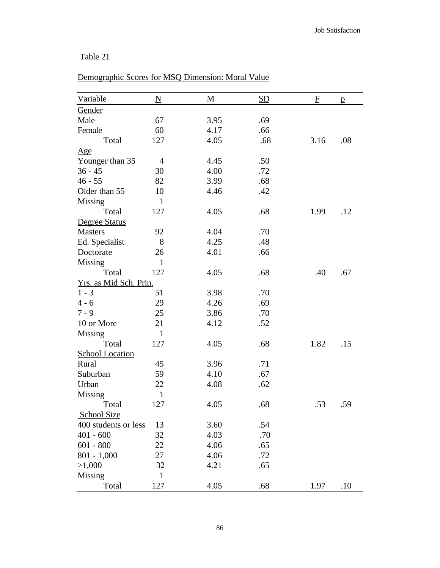# Demographic Scores for MSQ Dimension: Moral Value

| Variable               | $\underline{\mathbf{N}}$ | M    | SD  | $\mathbf{F}$ | p   |
|------------------------|--------------------------|------|-----|--------------|-----|
| Gender                 |                          |      |     |              |     |
| Male                   | 67                       | 3.95 | .69 |              |     |
| Female                 | 60                       | 4.17 | .66 |              |     |
| Total                  | 127                      | 4.05 | .68 | 3.16         | .08 |
| $\underline{Age}$      |                          |      |     |              |     |
| Younger than 35        | $\overline{4}$           | 4.45 | .50 |              |     |
| $36 - 45$              | 30                       | 4.00 | .72 |              |     |
| $46 - 55$              | 82                       | 3.99 | .68 |              |     |
| Older than 55          | 10                       | 4.46 | .42 |              |     |
| Missing                | $\mathbf{1}$             |      |     |              |     |
| Total                  | 127                      | 4.05 | .68 | 1.99         | .12 |
| Degree Status          |                          |      |     |              |     |
| <b>Masters</b>         | 92                       | 4.04 | .70 |              |     |
| Ed. Specialist         | 8                        | 4.25 | .48 |              |     |
| Doctorate              | 26                       | 4.01 | .66 |              |     |
| Missing                | $\mathbf{1}$             |      |     |              |     |
| Total                  | 127                      | 4.05 | .68 | .40          | .67 |
| Yrs. as Mid Sch. Prin. |                          |      |     |              |     |
| $1 - 3$                | 51                       | 3.98 | .70 |              |     |
| $4 - 6$                | 29                       | 4.26 | .69 |              |     |
| $7 - 9$                | 25                       | 3.86 | .70 |              |     |
| 10 or More             | 21                       | 4.12 | .52 |              |     |
| <b>Missing</b>         | $\mathbf{1}$             |      |     |              |     |
| Total                  | 127                      | 4.05 | .68 | 1.82         | .15 |
| <b>School Location</b> |                          |      |     |              |     |
| Rural                  | 45                       | 3.96 | .71 |              |     |
| Suburban               | 59                       | 4.10 | .67 |              |     |
| Urban                  | 22                       | 4.08 | .62 |              |     |
| <b>Missing</b>         | $\mathbf{1}$             |      |     |              |     |
| Total                  | 127                      | 4.05 | .68 | .53          | .59 |
| <b>School Size</b>     |                          |      |     |              |     |
| 400 students or less   | 13                       | 3.60 | .54 |              |     |
| $401 - 600$            | 32                       | 4.03 | .70 |              |     |
| $601 - 800$            | 22                       | 4.06 | .65 |              |     |
| $801 - 1,000$          | 27                       | 4.06 | .72 |              |     |
| >1,000                 | 32                       | 4.21 | .65 |              |     |
| <b>Missing</b>         | $\mathbf{1}$             |      |     |              |     |
| Total                  | 127                      | 4.05 | .68 | 1.97         | .10 |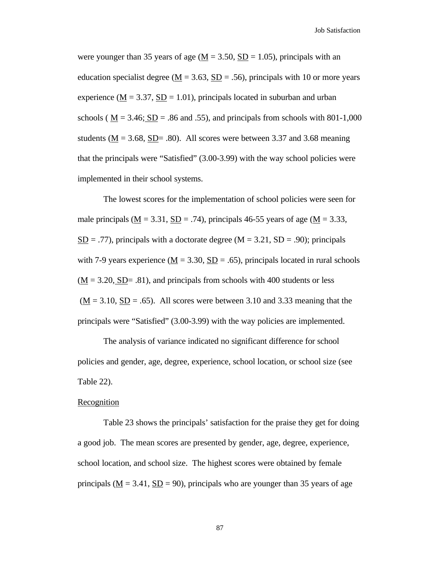Job Satisfaction

were younger than 35 years of age ( $M = 3.50$ ,  $SD = 1.05$ ), principals with an education specialist degree ( $\underline{M} = 3.63$ ,  $\underline{SD} = .56$ ), principals with 10 or more years experience ( $M = 3.37$ ,  $SD = 1.01$ ), principals located in suburban and urban schools ( $M = 3.46$ ;  $SD = .86$  and .55), and principals from schools with 801-1,000 students ( $M = 3.68$ ,  $SD = .80$ ). All scores were between 3.37 and 3.68 meaning that the principals were "Satisfied" (3.00-3.99) with the way school policies were implemented in their school systems.

The lowest scores for the implementation of school policies were seen for male principals ( $M = 3.31$ ,  $SD = .74$ ), principals 46-55 years of age ( $M = 3.33$ ,  $SD = .77$ , principals with a doctorate degree (M = 3.21, SD = .90); principals with 7-9 years experience ( $\underline{M} = 3.30$ ,  $\underline{SD} = .65$ ), principals located in rural schools  $(M = 3.20, SD = .81)$ , and principals from schools with 400 students or less  $(M = 3.10, SD = .65)$ . All scores were between 3.10 and 3.33 meaning that the principals were "Satisfied" (3.00-3.99) with the way policies are implemented.

The analysis of variance indicated no significant difference for school policies and gender, age, degree, experience, school location, or school size (see Table 22).

#### **Recognition**

Table 23 shows the principals' satisfaction for the praise they get for doing a good job. The mean scores are presented by gender, age, degree, experience, school location, and school size. The highest scores were obtained by female principals ( $\underline{M} = 3.41$ ,  $\underline{SD} = 90$ ), principals who are younger than 35 years of age

87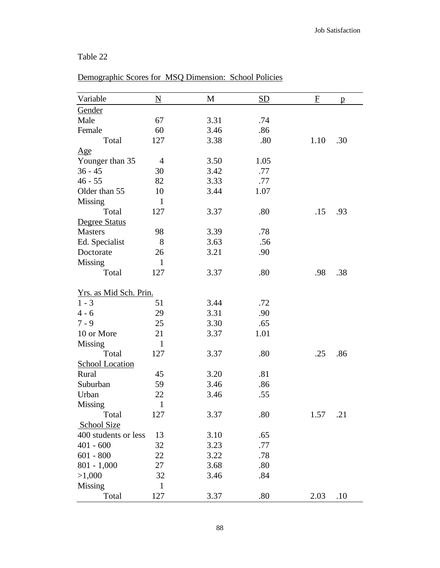| Variable               | $\underline{\mathbf{N}}$ | M    | SD   | $\mathbf{F}$ | p   |
|------------------------|--------------------------|------|------|--------------|-----|
| Gender                 |                          |      |      |              |     |
| Male                   | 67                       | 3.31 | .74  |              |     |
| Female                 | 60                       | 3.46 | .86  |              |     |
| Total                  | 127                      | 3.38 | .80  | 1.10         | .30 |
| Age                    |                          |      |      |              |     |
| Younger than 35        | $\overline{4}$           | 3.50 | 1.05 |              |     |
| $36 - 45$              | 30                       | 3.42 | .77  |              |     |
| $46 - 55$              | 82                       | 3.33 | .77  |              |     |
| Older than 55          | 10                       | 3.44 | 1.07 |              |     |
| <b>Missing</b>         | $\mathbf{1}$             |      |      |              |     |
| Total                  | 127                      | 3.37 | .80  | .15          | .93 |
| Degree Status          |                          |      |      |              |     |
| <b>Masters</b>         | 98                       | 3.39 | .78  |              |     |
| Ed. Specialist         | 8                        | 3.63 | .56  |              |     |
| Doctorate              | 26                       | 3.21 | .90  |              |     |
| Missing                | $\mathbf{1}$             |      |      |              |     |
| Total                  | 127                      | 3.37 | .80  | .98          | .38 |
| Yrs. as Mid Sch. Prin. |                          |      |      |              |     |
| $1 - 3$                | 51                       | 3.44 | .72  |              |     |
| $4 - 6$                | 29                       | 3.31 | .90  |              |     |
| $7 - 9$                | 25                       | 3.30 | .65  |              |     |
| 10 or More             | 21                       | 3.37 | 1.01 |              |     |
| <b>Missing</b>         | 1                        |      |      |              |     |
| Total                  | 127                      | 3.37 | .80  | .25          | .86 |
| <b>School Location</b> |                          |      |      |              |     |
| Rural                  | 45                       | 3.20 | .81  |              |     |
| Suburban               | 59                       | 3.46 | .86  |              |     |
| Urban                  | 22                       | 3.46 | .55  |              |     |
| Missing                | $\mathbf{1}$             |      |      |              |     |
| Total                  | 127                      | 3.37 | .80  | 1.57         | .21 |
| School Size            |                          |      |      |              |     |
| 400 students or less   | 13                       | 3.10 | .65  |              |     |
| $401 - 600$            | 32                       | 3.23 | .77  |              |     |
| $601 - 800$            | 22                       | 3.22 | .78  |              |     |
| $801 - 1,000$          | 27                       | 3.68 | .80  |              |     |
| >1,000                 | 32                       | 3.46 | .84  |              |     |
| Missing                | $\mathbf{1}$             |      |      |              |     |
| Total                  | 127                      | 3.37 | .80  | 2.03         | .10 |

# Demographic Scores for MSQ Dimension: School Policies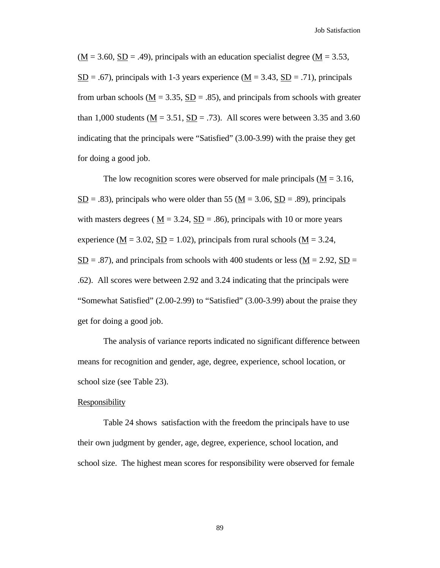$(M = 3.60, SD = .49)$ , principals with an education specialist degree  $(M = 3.53,$  $S<sub>D</sub> = .67$ , principals with 1-3 years experience ( $M = 3.43$ ,  $S<sub>D</sub> = .71$ ), principals from urban schools ( $M = 3.35$ ,  $SD = .85$ ), and principals from schools with greater than 1,000 students ( $\underline{M} = 3.51$ ,  $\underline{SD} = .73$ ). All scores were between 3.35 and 3.60 indicating that the principals were "Satisfied" (3.00-3.99) with the praise they get for doing a good job.

The low recognition scores were observed for male principals ( $M = 3.16$ ,  $SD = .83$ ), principals who were older than 55 (M = 3.06, SD = .89), principals with masters degrees ( $M = 3.24$ ,  $SD = .86$ ), principals with 10 or more years experience ( $\underline{M} = 3.02$ ,  $\underline{SD} = 1.02$ ), principals from rural schools ( $\underline{M} = 3.24$ ,  $S<sub>D</sub> = .87$ , and principals from schools with 400 students or less ( $M = 2.92$ ,  $S<sub>D</sub> =$ .62). All scores were between 2.92 and 3.24 indicating that the principals were "Somewhat Satisfied" (2.00-2.99) to "Satisfied" (3.00-3.99) about the praise they get for doing a good job.

The analysis of variance reports indicated no significant difference between means for recognition and gender, age, degree, experience, school location, or school size (see Table 23).

### **Responsibility**

Table 24 shows satisfaction with the freedom the principals have to use their own judgment by gender, age, degree, experience, school location, and school size. The highest mean scores for responsibility were observed for female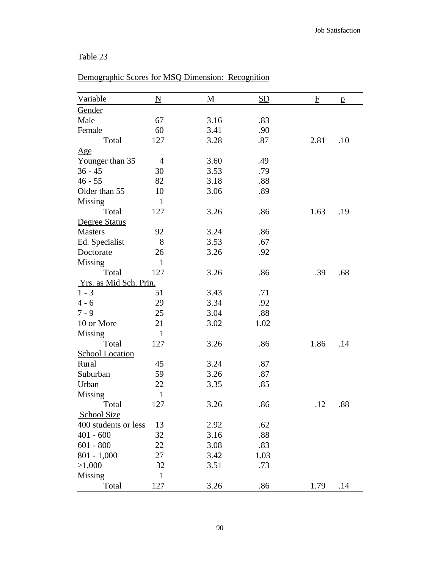# Demographic Scores for MSQ Dimension: Recognition

| Variable               | $\underline{\mathbf{N}}$ | M    | <b>SD</b> | $\mathbf F$ | $\mathbf{p}$ |
|------------------------|--------------------------|------|-----------|-------------|--------------|
| Gender                 |                          |      |           |             |              |
| Male                   | 67                       | 3.16 | .83       |             |              |
| Female                 | 60                       | 3.41 | .90       |             |              |
| Total                  | 127                      | 3.28 | .87       | 2.81        | .10          |
| $\mathbf{Age}$         |                          |      |           |             |              |
| Younger than 35        | $\overline{4}$           | 3.60 | .49       |             |              |
| $36 - 45$              | 30                       | 3.53 | .79       |             |              |
| $46 - 55$              | 82                       | 3.18 | .88       |             |              |
| Older than 55          | 10                       | 3.06 | .89       |             |              |
| Missing                | $\mathbf{1}$             |      |           |             |              |
| Total                  | 127                      | 3.26 | .86       | 1.63        | .19          |
| Degree Status          |                          |      |           |             |              |
| <b>Masters</b>         | 92                       | 3.24 | .86       |             |              |
| Ed. Specialist         | 8                        | 3.53 | .67       |             |              |
| Doctorate              | 26                       | 3.26 | .92       |             |              |
| Missing                | $\mathbf{1}$             |      |           |             |              |
| Total                  | 127                      | 3.26 | .86       | .39         | .68          |
| Yrs. as Mid Sch. Prin. |                          |      |           |             |              |
| $1 - 3$                | 51                       | 3.43 | .71       |             |              |
| $4 - 6$                | 29                       | 3.34 | .92       |             |              |
| $7 - 9$                | 25                       | 3.04 | .88       |             |              |
| 10 or More             | 21                       | 3.02 | 1.02      |             |              |
| Missing                | $\mathbf{1}$             |      |           |             |              |
| Total                  | 127                      | 3.26 | .86       | 1.86        | .14          |
| <b>School Location</b> |                          |      |           |             |              |
| Rural                  | 45                       | 3.24 | .87       |             |              |
| Suburban               | 59                       | 3.26 | .87       |             |              |
| Urban                  | 22                       | 3.35 | .85       |             |              |
| <b>Missing</b>         | $\mathbf{1}$             |      |           |             |              |
| Total                  | 127                      | 3.26 | .86       | .12         | .88          |
| <b>School Size</b>     |                          |      |           |             |              |
| 400 students or less   | 13                       | 2.92 | .62       |             |              |
| $401 - 600$            | 32                       | 3.16 | .88       |             |              |
| $601 - 800$            | 22                       | 3.08 | .83       |             |              |
| $801 - 1,000$          | 27                       | 3.42 | 1.03      |             |              |
| >1,000                 | 32                       | 3.51 | .73       |             |              |
| Missing                | $\mathbf{1}$             |      |           |             |              |
| Total                  | 127                      | 3.26 | .86       | 1.79        | .14          |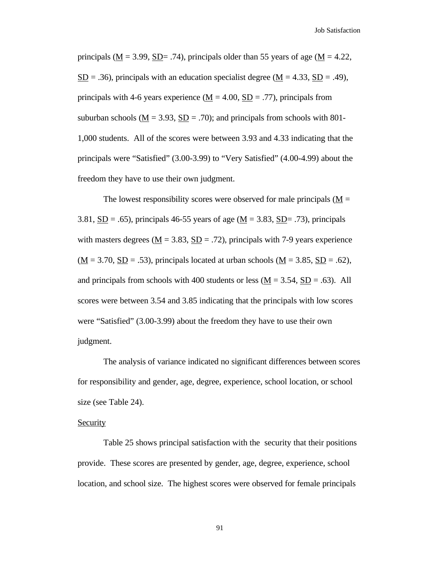principals ( $\underline{M} = 3.99$ ,  $\underline{SD} = .74$ ), principals older than 55 years of age ( $M = 4.22$ ,  $SD = .36$ ), principals with an education specialist degree (M = 4.33, SD = .49), principals with 4-6 years experience ( $M = 4.00$ ,  $SD = .77$ ), principals from suburban schools ( $\underline{M} = 3.93$ ,  $\underline{SD} = .70$ ); and principals from schools with 801-1,000 students. All of the scores were between 3.93 and 4.33 indicating that the principals were "Satisfied" (3.00-3.99) to "Very Satisfied" (4.00-4.99) about the freedom they have to use their own judgment.

The lowest responsibility scores were observed for male principals  $(M =$ 3.81,  $\underline{SD} = .65$ ), principals 46-55 years of age ( $\underline{M} = 3.83$ ,  $\underline{SD} = .73$ ), principals with masters degrees ( $\underline{M} = 3.83$ ,  $\underline{SD} = .72$ ), principals with 7-9 years experience  $(\underline{M} = 3.70, \underline{SD} = .53)$ , principals located at urban schools ( $\underline{M} = 3.85, \underline{SD} = .62$ ), and principals from schools with 400 students or less  $(M = 3.54, SD = .63)$ . All scores were between 3.54 and 3.85 indicating that the principals with low scores were "Satisfied" (3.00-3.99) about the freedom they have to use their own judgment.

The analysis of variance indicated no significant differences between scores for responsibility and gender, age, degree, experience, school location, or school size (see Table 24).

### Security

Table 25 shows principal satisfaction with the security that their positions provide. These scores are presented by gender, age, degree, experience, school location, and school size. The highest scores were observed for female principals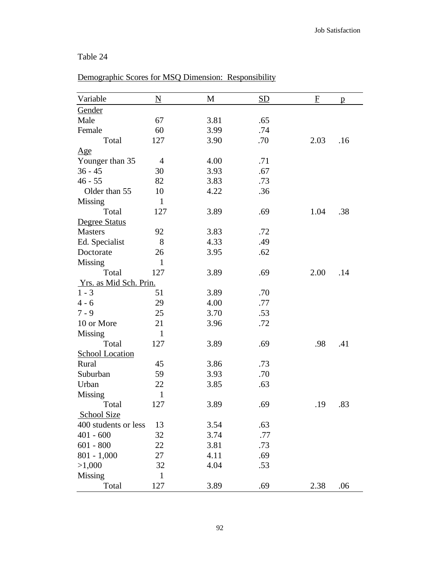## Variable  $N$  M SD F p **Gender** Male 67 3.81 .65 Female 60 3.99 .74 Total 127 3.90 .70 2.03 .16 Age Younger than 35 4 4.00 .71 36 - 45 30 3.93 .67 46 - 55 82 3.83 .73 Older than 55 10 4.22 .36 Missing 1 Total 127 3.89 .69 1.04 .38 Degree Status Masters 92 3.83 .72 Ed. Specialist 8 4.33 .49 Doctorate 26 3.95 .62 Missing 1 Total 127 3.89 .69 2.00 .14 Yrs. as Mid Sch. Prin.  $1 - 3$   $51$   $3.89$   $.70$ 4 - 6 29 4.00 .77 7 - 9 25 3.70 .53 10 or More 21 3.96 .72 Missing 1 Total 127 3.89 .69 .98 .41 School Location Rural 45 3.86 .73 Suburban 59 3.93 .70 Urban 22 3.85 .63 Missing 1 Total 127 3.89 .69 .19 .83 School Size 400 students or less 13 3.54 .63 401 - 600 32 3.74 .77 601 - 800 22 3.81 .73 801 - 1,000 27 4.11 69  $>1,000$  32 4.04 .53 Missing 1

## Demographic Scores for MSQ Dimension: Responsibility

Total 127 3.89 .69 2.38 .06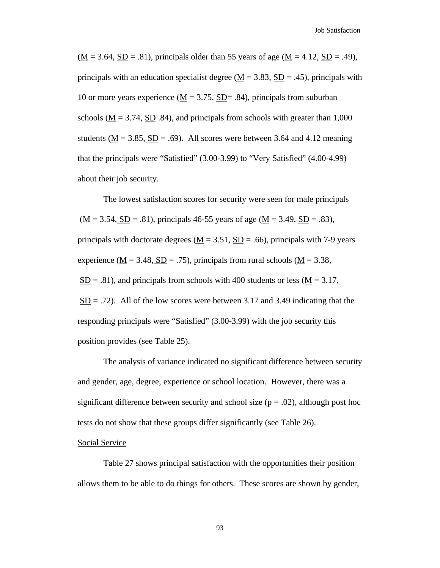$(M = 3.64, SD = .81)$ , principals older than 55 years of age  $(\underline{M} = 4.12, SD = .49)$ , principals with an education specialist degree  $(M = 3.83, SD = .45)$ , principals with 10 or more years experience ( $M = 3.75$ , SD= .84), principals from suburban schools ( $\underline{M} = 3.74$ ,  $\underline{SD}$  .84), and principals from schools with greater than 1,000 students ( $\underline{M} = 3.85$ ,  $\underline{SD} = .69$ ). All scores were between 3.64 and 4.12 meaning that the principals were "Satisfied" (3.00-3.99) to "Very Satisfied" (4.00-4.99) about their job security.

The lowest satisfaction scores for security were seen for male principals  $(M = 3.54, SD = .81)$ , principals 46-55 years of age  $(\underline{M} = 3.49, SD = .83)$ , principals with doctorate degrees ( $\underline{M} = 3.51$ ,  $\underline{SD} = .66$ ), principals with 7-9 years experience ( $\underline{M} = 3.48$ ,  $\underline{SD} = .75$ ), principals from rural schools ( $\underline{M} = 3.38$ ,  $SD = .81$ ), and principals from schools with 400 students or less ( $M = 3.17$ ,  $SD = .72$ ). All of the low scores were between 3.17 and 3.49 indicating that the responding principals were "Satisfied" (3.00-3.99) with the job security this position provides (see Table 25).

The analysis of variance indicated no significant difference between security and gender, age, degree, experience or school location. However, there was a significant difference between security and school size ( $p = .02$ ), although post hoc tests do not show that these groups differ significantly (see Table 26).

#### Social Service

Table 27 shows principal satisfaction with the opportunities their position allows them to be able to do things for others. These scores are shown by gender,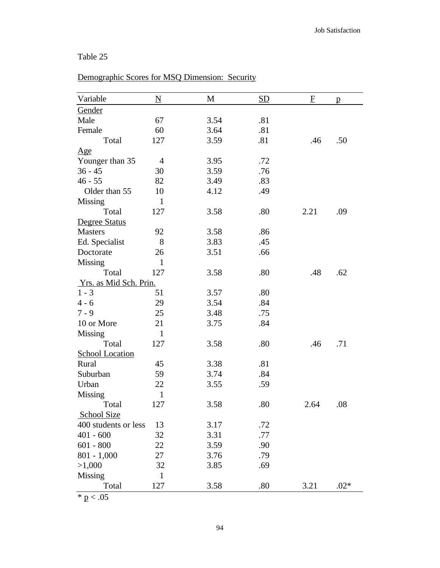# Demographic Scores for MSQ Dimension: Security

| Variable               | $\underline{\mathbf{N}}$ | M    | <b>SD</b> | $\mathbf{F}$ | p      |
|------------------------|--------------------------|------|-----------|--------------|--------|
| Gender                 |                          |      |           |              |        |
| Male                   | 67                       | 3.54 | .81       |              |        |
| Female                 | 60                       | 3.64 | .81       |              |        |
| Total                  | 127                      | 3.59 | .81       | .46          | .50    |
| Age                    |                          |      |           |              |        |
| Younger than 35        | $\overline{4}$           | 3.95 | .72       |              |        |
| $36 - 45$              | 30                       | 3.59 | .76       |              |        |
| $46 - 55$              | 82                       | 3.49 | .83       |              |        |
| Older than 55          | 10                       | 4.12 | .49       |              |        |
| Missing                | $\mathbf{1}$             |      |           |              |        |
| Total                  | 127                      | 3.58 | .80       | 2.21         | .09    |
| Degree Status          |                          |      |           |              |        |
| <b>Masters</b>         | 92                       | 3.58 | .86       |              |        |
| Ed. Specialist         | 8                        | 3.83 | .45       |              |        |
| Doctorate              | 26                       | 3.51 | .66       |              |        |
| Missing                | $\mathbf{1}$             |      |           |              |        |
| Total                  | 127                      | 3.58 | .80       | .48          | .62    |
| Yrs. as Mid Sch. Prin. |                          |      |           |              |        |
| $1 - 3$                | 51                       | 3.57 | .80       |              |        |
| $4 - 6$                | 29                       | 3.54 | .84       |              |        |
| $7 - 9$                | 25                       | 3.48 | .75       |              |        |
| 10 or More             | 21                       | 3.75 | .84       |              |        |
| Missing                | $\mathbf{1}$             |      |           |              |        |
| Total                  | 127                      | 3.58 | .80       | .46          | .71    |
| <b>School Location</b> |                          |      |           |              |        |
| Rural                  | 45                       | 3.38 | .81       |              |        |
| Suburban               | 59                       | 3.74 | .84       |              |        |
| Urban                  | 22                       | 3.55 | .59       |              |        |
| <b>Missing</b>         | $\mathbf{1}$             |      |           |              |        |
| Total                  | 127                      | 3.58 | .80       | 2.64         | .08    |
| <b>School Size</b>     |                          |      |           |              |        |
| 400 students or less   | 13                       | 3.17 | .72       |              |        |
| $401 - 600$            | 32                       | 3.31 | .77       |              |        |
| $601 - 800$            | 22                       | 3.59 | .90       |              |        |
| $801 - 1,000$          | 27                       | 3.76 | .79       |              |        |
| >1,000                 | 32                       | 3.85 | .69       |              |        |
| Missing                | $\mathbf{1}$             |      |           |              |        |
| Total                  | 127                      | 3.58 | .80       | 3.21         | $.02*$ |

 $* p < .05$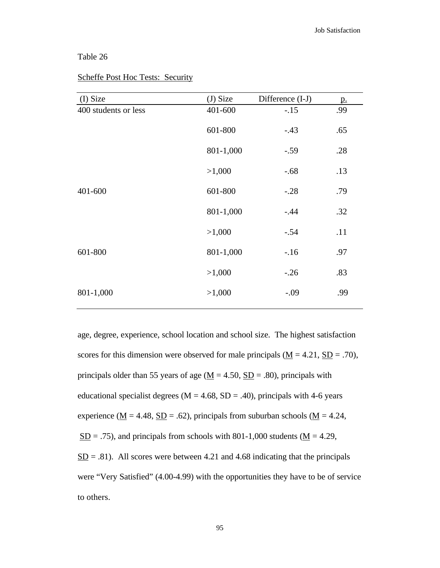| (I) Size             | (J) Size  | Difference (I-J) | <u>p.</u> |
|----------------------|-----------|------------------|-----------|
| 400 students or less | 401-600   | $-.15$           | .99       |
|                      | 601-800   | $-.43$           | .65       |
|                      | 801-1,000 | $-.59$           | .28       |
|                      | >1,000    | $-.68$           | .13       |
| 401-600              | 601-800   | $-.28$           | .79       |
|                      | 801-1,000 | $-.44$           | .32       |
|                      | >1,000    | $-.54$           | .11       |
| 601-800              | 801-1,000 | $-.16$           | .97       |
|                      | >1,000    | $-.26$           | .83       |
| 801-1,000            | >1,000    | $-.09$           | .99       |
|                      |           |                  |           |

## Scheffe Post Hoc Tests: Security

age, degree, experience, school location and school size. The highest satisfaction scores for this dimension were observed for male principals ( $\underline{M} = 4.21$ ,  $\underline{SD} = .70$ ), principals older than 55 years of age ( $\underline{M} = 4.50$ ,  $\underline{SD} = .80$ ), principals with educational specialist degrees ( $M = 4.68$ ,  $SD = .40$ ), principals with 4-6 years experience ( $\underline{M} = 4.48$ ,  $\underline{SD} = .62$ ), principals from suburban schools ( $\underline{M} = 4.24$ ,  $S<sub>D</sub> = .75$ ), and principals from schools with 801-1,000 students ( $M = 4.29$ ,  $SD = .81$ ). All scores were between 4.21 and 4.68 indicating that the principals were "Very Satisfied" (4.00-4.99) with the opportunities they have to be of service to others.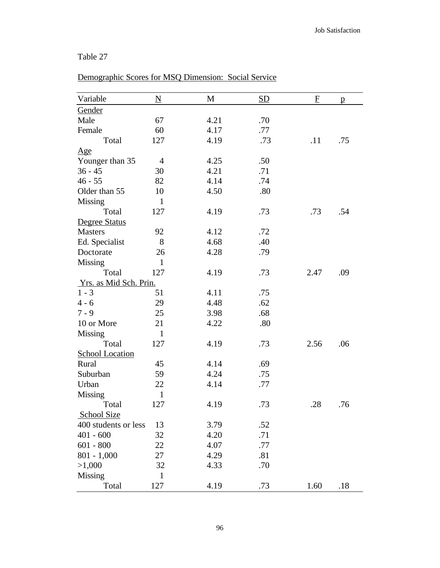| Variable               | $\underline{\mathbf{N}}$ | M    | SD  | F    | $\mathbf{p}$ |
|------------------------|--------------------------|------|-----|------|--------------|
| Gender                 |                          |      |     |      |              |
| Male                   | 67                       | 4.21 | .70 |      |              |
| Female                 | 60                       | 4.17 | .77 |      |              |
| Total                  | 127                      | 4.19 | .73 | .11  | .75          |
| $\mathbf{Age}$         |                          |      |     |      |              |
| Younger than 35        | 4                        | 4.25 | .50 |      |              |
| $36 - 45$              | 30                       | 4.21 | .71 |      |              |
| $46 - 55$              | 82                       | 4.14 | .74 |      |              |
| Older than 55          | 10                       | 4.50 | .80 |      |              |
| Missing                | $\mathbf{1}$             |      |     |      |              |
| Total                  | 127                      | 4.19 | .73 | .73  | .54          |
| Degree Status          |                          |      |     |      |              |
| <b>Masters</b>         | 92                       | 4.12 | .72 |      |              |
| Ed. Specialist         | 8                        | 4.68 | .40 |      |              |
| Doctorate              | 26                       | 4.28 | .79 |      |              |
| Missing                | $\mathbf{1}$             |      |     |      |              |
| Total                  | 127                      | 4.19 | .73 | 2.47 | .09          |
| Yrs. as Mid Sch. Prin. |                          |      |     |      |              |
| $1 - 3$                | 51                       | 4.11 | .75 |      |              |
| $4 - 6$                | 29                       | 4.48 | .62 |      |              |
| $7 - 9$                | 25                       | 3.98 | .68 |      |              |
| 10 or More             | 21                       | 4.22 | .80 |      |              |
| Missing                | $\mathbf{1}$             |      |     |      |              |
| Total                  | 127                      | 4.19 | .73 | 2.56 | .06          |
| <b>School Location</b> |                          |      |     |      |              |
| Rural                  | 45                       | 4.14 | .69 |      |              |
| Suburban               | 59                       | 4.24 | .75 |      |              |
| Urban                  | 22                       | 4.14 | .77 |      |              |
| <b>Missing</b>         | $\mathbf{1}$             |      |     |      |              |
| Total                  | 127                      | 4.19 | .73 | .28  | .76          |
| School Size            |                          |      |     |      |              |
| 400 students or less   | 13                       | 3.79 | .52 |      |              |
| $401 - 600$            | 32                       | 4.20 | .71 |      |              |
| $601 - 800$            | 22                       | 4.07 | .77 |      |              |
| $801 - 1,000$          | 27                       | 4.29 | .81 |      |              |
| >1,000                 | 32                       | 4.33 | .70 |      |              |
| Missing                | $\mathbf{1}$             |      |     |      |              |
| Total                  | 127                      | 4.19 | .73 | 1.60 | .18          |

# Demographic Scores for MSQ Dimension: Social Service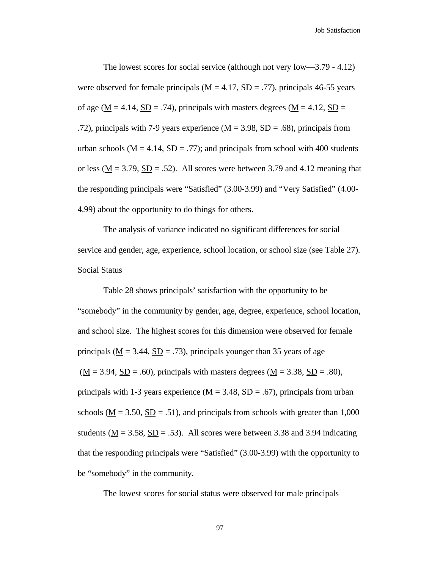The lowest scores for social service (although not very low—3.79 - 4.12) were observed for female principals ( $M = 4.17$ ,  $SD = .77$ ), principals 46-55 years of age ( $M = 4.14$ ,  $SD = .74$ ), principals with masters degrees ( $M = 4.12$ ,  $SD =$ .72), principals with 7-9 years experience ( $M = 3.98$ ,  $SD = .68$ ), principals from urban schools ( $M = 4.14$ ,  $SD = .77$ ); and principals from school with 400 students or less ( $M = 3.79$ ,  $SD = .52$ ). All scores were between 3.79 and 4.12 meaning that the responding principals were "Satisfied" (3.00-3.99) and "Very Satisfied" (4.00- 4.99) about the opportunity to do things for others.

The analysis of variance indicated no significant differences for social service and gender, age, experience, school location, or school size (see Table 27). Social Status

Table 28 shows principals' satisfaction with the opportunity to be "somebody" in the community by gender, age, degree, experience, school location, and school size. The highest scores for this dimension were observed for female principals ( $M = 3.44$ ,  $SD = .73$ ), principals younger than 35 years of age  $(\underline{M} = 3.94, \underline{SD} = .60)$ , principals with masters degrees  $(\underline{M} = 3.38, \underline{SD} = .80)$ , principals with 1-3 years experience ( $\underline{M} = 3.48$ ,  $\underline{SD} = .67$ ), principals from urban schools ( $M = 3.50$ ,  $SD = .51$ ), and principals from schools with greater than 1,000 students ( $M = 3.58$ ,  $SD = .53$ ). All scores were between 3.38 and 3.94 indicating that the responding principals were "Satisfied" (3.00-3.99) with the opportunity to be "somebody" in the community.

The lowest scores for social status were observed for male principals

97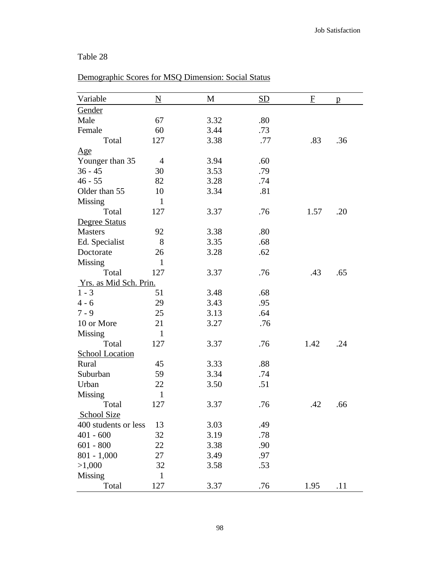# Demographic Scores for MSQ Dimension: Social Status

| Variable               | $\underline{\mathbf{N}}$ | M    | SD  | $\overline{E}$ | p   |
|------------------------|--------------------------|------|-----|----------------|-----|
| Gender                 |                          |      |     |                |     |
| Male                   | 67                       | 3.32 | .80 |                |     |
| Female                 | 60                       | 3.44 | .73 |                |     |
| Total                  | 127                      | 3.38 | .77 | .83            | .36 |
| Age                    |                          |      |     |                |     |
| Younger than 35        | $\overline{4}$           | 3.94 | .60 |                |     |
| $36 - 45$              | 30                       | 3.53 | .79 |                |     |
| $46 - 55$              | 82                       | 3.28 | .74 |                |     |
| Older than 55          | 10                       | 3.34 | .81 |                |     |
| Missing                | $\mathbf{1}$             |      |     |                |     |
| Total                  | 127                      | 3.37 | .76 | 1.57           | .20 |
| Degree Status          |                          |      |     |                |     |
| <b>Masters</b>         | 92                       | 3.38 | .80 |                |     |
| Ed. Specialist         | 8                        | 3.35 | .68 |                |     |
| Doctorate              | 26                       | 3.28 | .62 |                |     |
| Missing                | $\mathbf{1}$             |      |     |                |     |
| Total                  | 127                      | 3.37 | .76 | .43            | .65 |
| Yrs. as Mid Sch. Prin. |                          |      |     |                |     |
| $1 - 3$                | 51                       | 3.48 | .68 |                |     |
| $4 - 6$                | 29                       | 3.43 | .95 |                |     |
| $7 - 9$                | 25                       | 3.13 | .64 |                |     |
| 10 or More             | 21                       | 3.27 | .76 |                |     |
| <b>Missing</b>         | $\mathbf{1}$             |      |     |                |     |
| Total                  | 127                      | 3.37 | .76 | 1.42           | .24 |
| <b>School Location</b> |                          |      |     |                |     |
| Rural                  | 45                       | 3.33 | .88 |                |     |
| Suburban               | 59                       | 3.34 | .74 |                |     |
| Urban                  | 22                       | 3.50 | .51 |                |     |
| Missing                | $\mathbf{1}$             |      |     |                |     |
| Total                  | 127                      | 3.37 | .76 | .42            | .66 |
| <b>School Size</b>     |                          |      |     |                |     |
| 400 students or less   | 13                       | 3.03 | .49 |                |     |
| $401 - 600$            | 32                       | 3.19 | .78 |                |     |
| $601 - 800$            | 22                       | 3.38 | .90 |                |     |
| $801 - 1,000$          | 27                       | 3.49 | .97 |                |     |
| >1,000                 | 32                       | 3.58 | .53 |                |     |
| Missing                | $\mathbf{1}$             |      |     |                |     |
| Total                  | 127                      | 3.37 | .76 | 1.95           | .11 |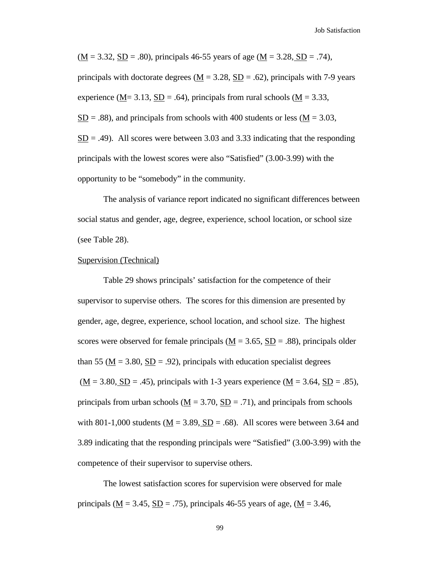$(\underline{M} = 3.32, \underline{SD} = .80)$ , principals 46-55 years of age  $(\underline{M} = 3.28, \underline{SD} = .74)$ , principals with doctorate degrees ( $\underline{M} = 3.28$ ,  $\underline{SD} = .62$ ), principals with 7-9 years experience (M= 3.13, SD = .64), principals from rural schools (M = 3.33,  $\underline{SD}$  = .88), and principals from schools with 400 students or less ( $\underline{M}$  = 3.03,  $SD = .49$ ). All scores were between 3.03 and 3.33 indicating that the responding principals with the lowest scores were also "Satisfied" (3.00-3.99) with the opportunity to be "somebody" in the community.

The analysis of variance report indicated no significant differences between social status and gender, age, degree, experience, school location, or school size (see Table 28).

#### Supervision (Technical)

Table 29 shows principals' satisfaction for the competence of their supervisor to supervise others. The scores for this dimension are presented by gender, age, degree, experience, school location, and school size. The highest scores were observed for female principals  $(M = 3.65, SD = .88)$ , principals older than 55 ( $\underline{M} = 3.80$ ,  $\underline{SD} = .92$ ), principals with education specialist degrees  $(\underline{M} = 3.80, \underline{SD} = .45)$ , principals with 1-3 years experience  $(\underline{M} = 3.64, \underline{SD} = .85)$ , principals from urban schools ( $\underline{M} = 3.70$ ,  $\underline{SD} = .71$ ), and principals from schools with 801-1,000 students ( $M = 3.89$ ,  $SD = .68$ ). All scores were between 3.64 and 3.89 indicating that the responding principals were "Satisfied" (3.00-3.99) with the competence of their supervisor to supervise others.

The lowest satisfaction scores for supervision were observed for male principals ( $\underline{M} = 3.45$ ,  $\underline{SD} = .75$ ), principals 46-55 years of age, ( $\underline{M} = 3.46$ ,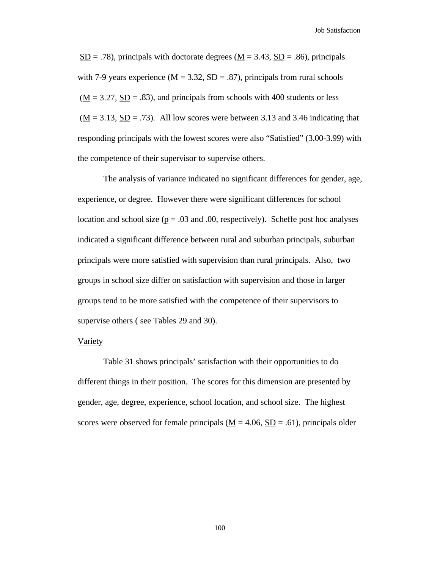Job Satisfaction

 $S<sub>D</sub> = .78$ , principals with doctorate degrees ( $M = 3.43$ ,  $S<sub>D</sub> = .86$ ), principals with 7-9 years experience ( $M = 3.32$ ,  $SD = .87$ ), principals from rural schools  $(\underline{M} = 3.27, \underline{SD} = .83)$ , and principals from schools with 400 students or less  $(\underline{M} = 3.13, \underline{SD} = .73)$ . All low scores were between 3.13 and 3.46 indicating that responding principals with the lowest scores were also "Satisfied" (3.00-3.99) with the competence of their supervisor to supervise others.

The analysis of variance indicated no significant differences for gender, age, experience, or degree. However there were significant differences for school location and school size ( $p = .03$  and .00, respectively). Scheffe post hoc analyses indicated a significant difference between rural and suburban principals, suburban principals were more satisfied with supervision than rural principals. Also, two groups in school size differ on satisfaction with supervision and those in larger groups tend to be more satisfied with the competence of their supervisors to supervise others (see Tables 29 and 30).

### Variety

Table 31 shows principals' satisfaction with their opportunities to do different things in their position. The scores for this dimension are presented by gender, age, degree, experience, school location, and school size. The highest scores were observed for female principals  $(M = 4.06, SD = .61)$ , principals older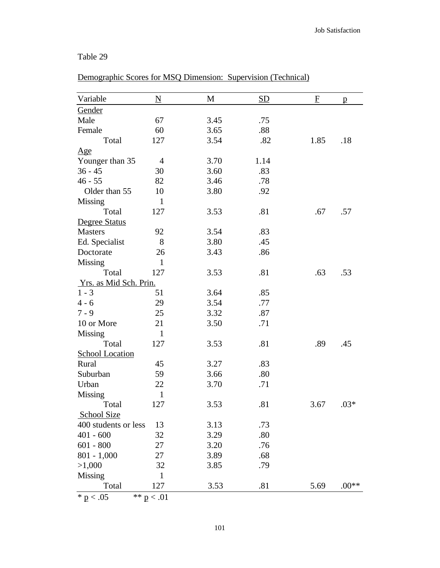### Table 29

| Variable               | $\underline{\rm N}$ | M    | <b>SD</b> | F    | $\mathbf{p}$ |
|------------------------|---------------------|------|-----------|------|--------------|
| <b>Gender</b>          |                     |      |           |      |              |
| Male                   | 67                  | 3.45 | .75       |      |              |
| Female                 | 60                  | 3.65 | .88       |      |              |
| Total                  | 127                 | 3.54 | .82       | 1.85 | .18          |
| $\mathbf{Age}$         |                     |      |           |      |              |
| Younger than 35        | $\overline{4}$      | 3.70 | 1.14      |      |              |
| $36 - 45$              | 30                  | 3.60 | .83       |      |              |
| $46 - 55$              | 82                  | 3.46 | .78       |      |              |
| Older than 55          | 10                  | 3.80 | .92       |      |              |
| Missing                | $\mathbf{1}$        |      |           |      |              |
| Total                  | 127                 | 3.53 | .81       | .67  | .57          |
| Degree Status          |                     |      |           |      |              |
| <b>Masters</b>         | 92                  | 3.54 | .83       |      |              |
| Ed. Specialist         | 8                   | 3.80 | .45       |      |              |
| Doctorate              | 26                  | 3.43 | .86       |      |              |
| <b>Missing</b>         | $\mathbf{1}$        |      |           |      |              |
| Total                  | 127                 | 3.53 | .81       | .63  | .53          |
| Yrs. as Mid Sch. Prin. |                     |      |           |      |              |
| $1 - 3$                | 51                  | 3.64 | .85       |      |              |
| $4 - 6$                | 29                  | 3.54 | .77       |      |              |
| $7 - 9$                | 25                  | 3.32 | .87       |      |              |
| 10 or More             | 21                  | 3.50 | .71       |      |              |
| Missing                | $\mathbf{1}$        |      |           |      |              |
| Total                  | 127                 | 3.53 | .81       | .89  | .45          |
| <b>School Location</b> |                     |      |           |      |              |
| Rural                  | 45                  | 3.27 | .83       |      |              |
| Suburban               | 59                  | 3.66 | .80       |      |              |
| Urban                  | 22                  | 3.70 | .71       |      |              |
| Missing                | $\mathbf{1}$        |      |           |      |              |
| Total                  | 127                 | 3.53 | .81       | 3.67 | $.03*$       |
| <b>School Size</b>     |                     |      |           |      |              |
| 400 students or less   | 13                  | 3.13 | .73       |      |              |
| $401 - 600$            | 32                  | 3.29 | .80       |      |              |
| $601 - 800$            | 27                  | 3.20 | .76       |      |              |
| $801 - 1,000$          | 27                  | 3.89 | .68       |      |              |
| >1,000                 | 32                  | 3.85 | .79       |      |              |
| Missing                | $\mathbf{1}$        |      |           |      |              |
| Total                  | 127                 | 3.53 | .81       | 5.69 | $.00**$      |

Demographic Scores for MSQ Dimension: Supervision (Technical)

\*  $p < .05$  \* \*  $p < .01$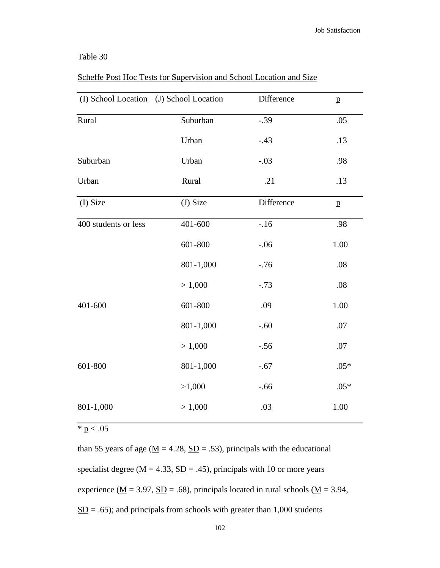### Table 30

| (I) School Location  | (J) School Location | Difference | $\mathbf{p}$ |
|----------------------|---------------------|------------|--------------|
| Rural                | Suburban            | $-.39$     | .05          |
|                      | Urban               | $-.43$     | .13          |
| Suburban             | Urban               | $-.03$     | .98          |
| Urban                | Rural               | .21        | .13          |
| (I) Size             | (J) Size            | Difference | $\mathbf{p}$ |
| 400 students or less | 401-600             | $-.16$     | .98          |
|                      | 601-800             | $-.06$     | 1.00         |
|                      | 801-1,000           | $-.76$     | .08          |
|                      | > 1,000             | $-.73$     | .08          |
| 401-600              | 601-800             | .09        | 1.00         |
|                      | 801-1,000           | $-.60$     | .07          |
|                      | > 1,000             | $-.56$     | .07          |
| 601-800              | 801-1,000           | $-.67$     | $.05*$       |
|                      | >1,000              | $-.66$     | $.05*$       |
| 801-1,000            | > 1,000             | .03        | 1.00         |
|                      |                     |            |              |

### Scheffe Post Hoc Tests for Supervision and School Location and Size

 $* p < .05$ 

than 55 years of age ( $\underline{M} = 4.28$ ,  $\underline{SD} = .53$ ), principals with the educational specialist degree ( $\underline{M} = 4.33$ ,  $\underline{SD} = .45$ ), principals with 10 or more years experience ( $\underline{M} = 3.97$ ,  $\underline{SD} = .68$ ), principals located in rural schools ( $\underline{M} = 3.94$ ,  $SD = .65$ ; and principals from schools with greater than 1,000 students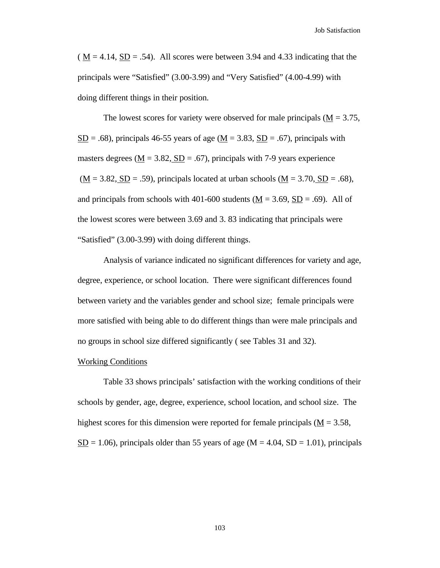$(M = 4.14, SD = .54)$ . All scores were between 3.94 and 4.33 indicating that the principals were "Satisfied" (3.00-3.99) and "Very Satisfied" (4.00-4.99) with doing different things in their position.

The lowest scores for variety were observed for male principals ( $\underline{M} = 3.75$ ,  $S<sub>D</sub> = .68$ ), principals 46-55 years of age ( $M = 3.83$ ,  $S<sub>D</sub> = .67$ ), principals with masters degrees ( $M = 3.82$ ,  $SD = .67$ ), principals with 7-9 years experience  $(M = 3.82, SD = .59)$ , principals located at urban schools  $(M = 3.70, SD = .68)$ , and principals from schools with 401-600 students ( $M = 3.69$ ,  $SD = .69$ ). All of the lowest scores were between 3.69 and 3. 83 indicating that principals were "Satisfied" (3.00-3.99) with doing different things.

Analysis of variance indicated no significant differences for variety and age, degree, experience, or school location. There were significant differences found between variety and the variables gender and school size; female principals were more satisfied with being able to do different things than were male principals and no groups in school size differed significantly ( see Tables 31 and 32).

#### Working Conditions

Table 33 shows principals' satisfaction with the working conditions of their schools by gender, age, degree, experience, school location, and school size. The highest scores for this dimension were reported for female principals  $(M = 3.58)$ ,  $SD = 1.06$ ), principals older than 55 years of age (M = 4.04, SD = 1.01), principals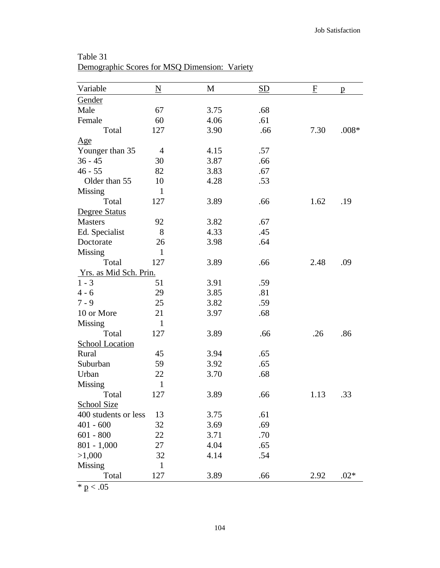| Variable               | N              | M    | SD  | F    | p       |
|------------------------|----------------|------|-----|------|---------|
| Gender                 |                |      |     |      |         |
| Male                   | 67             | 3.75 | .68 |      |         |
| Female                 | 60             | 4.06 | .61 |      |         |
| Total                  | 127            | 3.90 | .66 | 7.30 | $.008*$ |
| Age                    |                |      |     |      |         |
| Younger than 35        | $\overline{4}$ | 4.15 | .57 |      |         |
| $36 - 45$              | 30             | 3.87 | .66 |      |         |
| $46 - 55$              | 82             | 3.83 | .67 |      |         |
| Older than 55          | 10             | 4.28 | .53 |      |         |
| Missing                | $\mathbf{1}$   |      |     |      |         |
| Total                  | 127            | 3.89 | .66 | 1.62 | .19     |
| Degree Status          |                |      |     |      |         |
| <b>Masters</b>         | 92             | 3.82 | .67 |      |         |
| Ed. Specialist         | 8              | 4.33 | .45 |      |         |
| Doctorate              | 26             | 3.98 | .64 |      |         |
| Missing                | $\mathbf{1}$   |      |     |      |         |
| Total                  | 127            | 3.89 | .66 | 2.48 | .09     |
| Yrs. as Mid Sch. Prin. |                |      |     |      |         |
| $1 - 3$                | 51             | 3.91 | .59 |      |         |
| $4 - 6$                | 29             | 3.85 | .81 |      |         |
| $7 - 9$                | 25             | 3.82 | .59 |      |         |
| 10 or More             | 21             | 3.97 | .68 |      |         |
| <b>Missing</b>         | $\mathbf{1}$   |      |     |      |         |
| Total                  | 127            | 3.89 | .66 | .26  | .86     |
| <b>School Location</b> |                |      |     |      |         |
| Rural                  | 45             | 3.94 | .65 |      |         |
| Suburban               | 59             | 3.92 | .65 |      |         |
| Urban                  | 22             | 3.70 | .68 |      |         |
| Missing                | $\mathbf{1}$   |      |     |      |         |
| Total                  | 127            | 3.89 | .66 | 1.13 | .33     |
| School Size            |                |      |     |      |         |
| 400 students or less   | 13             | 3.75 | .61 |      |         |
| $401 - 600$            | 32             | 3.69 | .69 |      |         |
| $601 - 800$            | 22             | 3.71 | .70 |      |         |
| $801 - 1,000$          | 27             | 4.04 | .65 |      |         |
| >1,000                 | 32             | 4.14 | .54 |      |         |
| Missing                | $\mathbf{1}$   |      |     |      |         |
| Total                  | 127            | 3.89 | .66 | 2.92 | $.02*$  |

Table 31 Demographic Scores for MSQ Dimension: Variety

 $\overline{\text{* p} < .05}$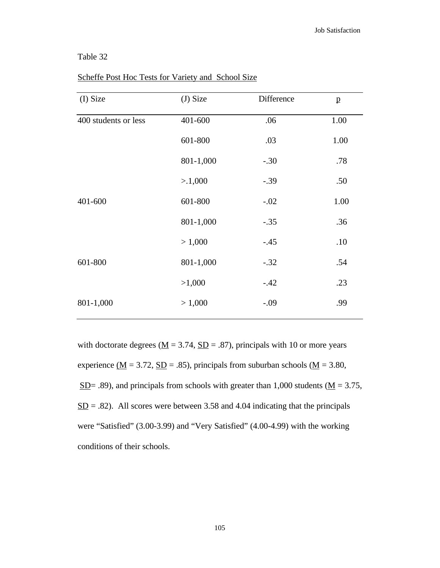### Table 32

| (I) Size             | $(J)$ Size | Difference | $\mathbf{p}$ |
|----------------------|------------|------------|--------------|
| 400 students or less | 401-600    | .06        | 1.00         |
|                      | 601-800    | .03        | 1.00         |
|                      | 801-1,000  | $-.30$     | .78          |
|                      | >1,000     | $-.39$     | .50          |
| 401-600              | 601-800    | $-.02$     | 1.00         |
|                      | 801-1,000  | $-.35$     | .36          |
|                      | > 1,000    | $-.45$     | .10          |
| 601-800              | 801-1,000  | $-.32$     | .54          |
|                      | >1,000     | $-.42$     | .23          |
| 801-1,000            | > 1,000    | $-.09$     | .99          |

Scheffe Post Hoc Tests for Variety and School Size

with doctorate degrees ( $\underline{M} = 3.74$ ,  $\underline{SD} = .87$ ), principals with 10 or more years experience  $\underline{M} = 3.72$ ,  $\underline{SD} = .85$ ), principals from suburban schools ( $\underline{M} = 3.80$ ,  $SD = .89$ ), and principals from schools with greater than 1,000 students ( $M = 3.75$ ,  $SD = .82$ ). All scores were between 3.58 and 4.04 indicating that the principals were "Satisfied" (3.00-3.99) and "Very Satisfied" (4.00-4.99) with the working conditions of their schools.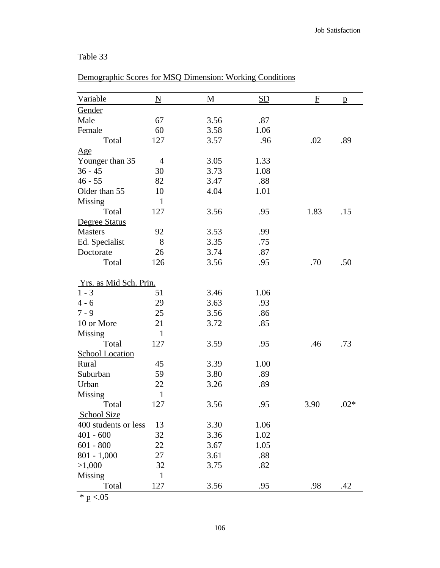### Table 33

| Variable               | $\underline{\mathbf{N}}$ | M    | SD   | $\mathbf{F}$ | p      |
|------------------------|--------------------------|------|------|--------------|--------|
| Gender                 |                          |      |      |              |        |
| Male                   | 67                       | 3.56 | .87  |              |        |
| Female                 | 60                       | 3.58 | 1.06 |              |        |
| Total                  | 127                      | 3.57 | .96  | .02          | .89    |
| <u>Age</u>             |                          |      |      |              |        |
| Younger than 35        | $\overline{4}$           | 3.05 | 1.33 |              |        |
| $36 - 45$              | 30                       | 3.73 | 1.08 |              |        |
| $46 - 55$              | 82                       | 3.47 | .88  |              |        |
| Older than 55          | 10                       | 4.04 | 1.01 |              |        |
| Missing                | $\mathbf{1}$             |      |      |              |        |
| Total                  | 127                      | 3.56 | .95  | 1.83         | .15    |
| Degree Status          |                          |      |      |              |        |
| <b>Masters</b>         | 92                       | 3.53 | .99  |              |        |
| Ed. Specialist         | 8                        | 3.35 | .75  |              |        |
| Doctorate              | 26                       | 3.74 | .87  |              |        |
| Total                  | 126                      | 3.56 | .95  | .70          | .50    |
| Yrs. as Mid Sch. Prin. |                          |      |      |              |        |
| $1 - 3$                | 51                       | 3.46 | 1.06 |              |        |
| $4 - 6$                | 29                       | 3.63 | .93  |              |        |
| $7 - 9$                | 25                       | 3.56 | .86  |              |        |
| 10 or More             | 21                       | 3.72 | .85  |              |        |
| Missing                | 1                        |      |      |              |        |
| Total                  | 127                      | 3.59 | .95  | .46          | .73    |
| <b>School Location</b> |                          |      |      |              |        |
| Rural                  | 45                       | 3.39 | 1.00 |              |        |
| Suburban               | 59                       | 3.80 | .89  |              |        |
| Urban                  | 22                       | 3.26 | .89  |              |        |
| Missing                | 1                        |      |      |              |        |
| Total                  | 127                      | 3.56 | .95  | 3.90         | $.02*$ |
| <b>School Size</b>     |                          |      |      |              |        |
| 400 students or less   | 13                       | 3.30 | 1.06 |              |        |
| $401 - 600$            | 32                       | 3.36 | 1.02 |              |        |
| $601 - 800$            | 22                       | 3.67 | 1.05 |              |        |
| $801 - 1,000$          | 27                       | 3.61 | .88  |              |        |
| >1,000                 | 32                       | 3.75 | .82  |              |        |
| Missing                | $\mathbf{1}$             |      |      |              |        |
| Total                  | 127                      | 3.56 | .95  | .98          | .42    |

# Demographic Scores for MSQ Dimension: Working Conditions

 $* p < .05$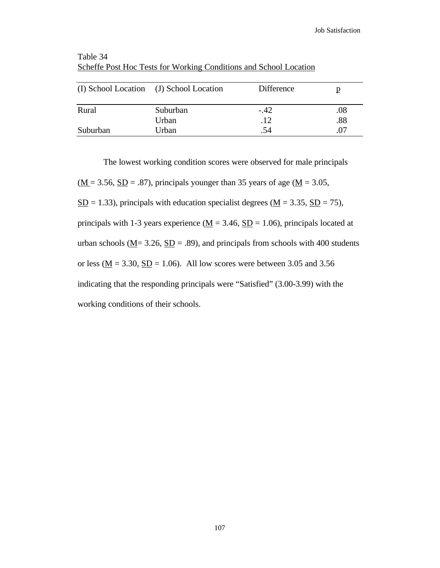|          | (I) School Location (J) School Location | <b>Difference</b> | p   |
|----------|-----------------------------------------|-------------------|-----|
| Rural    | Suburban                                | $-.42$            | .08 |
|          | Urban                                   | .12               | .88 |
| Suburban | Urban                                   | .54               | .07 |

Table 34 Scheffe Post Hoc Tests for Working Conditions and School Location

The lowest working condition scores were observed for male principals  $(\underline{M} = 3.56, \underline{SD} = .87)$ , principals younger than 35 years of age ( $\underline{M} = 3.05$ ,  $S<sub>D</sub> = 1.33$ ), principals with education specialist degrees ( $M = 3.35$ ,  $S<sub>D</sub> = 75$ ), principals with 1-3 years experience ( $\underline{M} = 3.46$ ,  $\underline{SD} = 1.06$ ), principals located at urban schools ( $\underline{M}$  = 3.26,  $\underline{SD}$  = .89), and principals from schools with 400 students or less ( $\underline{M} = 3.30$ ,  $\underline{SD} = 1.06$ ). All low scores were between 3.05 and 3.56

indicating that the responding principals were "Satisfied" (3.00-3.99) with the

working conditions of their schools.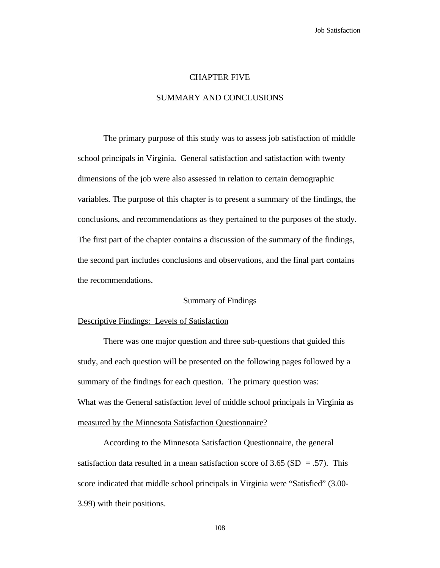#### CHAPTER FIVE

#### SUMMARY AND CONCLUSIONS

The primary purpose of this study was to assess job satisfaction of middle school principals in Virginia. General satisfaction and satisfaction with twenty dimensions of the job were also assessed in relation to certain demographic variables. The purpose of this chapter is to present a summary of the findings, the conclusions, and recommendations as they pertained to the purposes of the study. The first part of the chapter contains a discussion of the summary of the findings, the second part includes conclusions and observations, and the final part contains the recommendations.

#### Summary of Findings

#### Descriptive Findings: Levels of Satisfaction

There was one major question and three sub-questions that guided this study, and each question will be presented on the following pages followed by a summary of the findings for each question. The primary question was: What was the General satisfaction level of middle school principals in Virginia as measured by the Minnesota Satisfaction Questionnaire?

According to the Minnesota Satisfaction Questionnaire, the general satisfaction data resulted in a mean satisfaction score of 3.65 ( $SD = .57$ ). This score indicated that middle school principals in Virginia were "Satisfied" (3.00- 3.99) with their positions.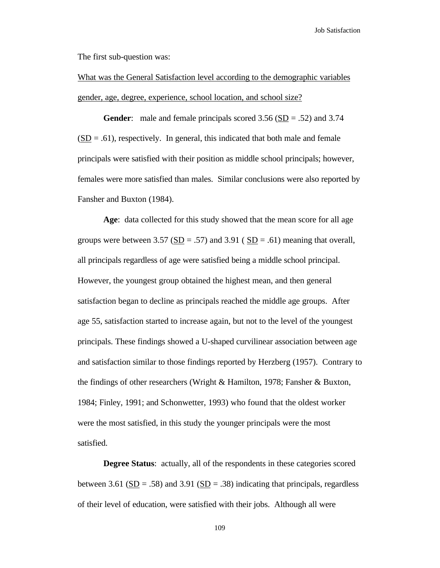The first sub-question was:

What was the General Satisfaction level according to the demographic variables gender, age, degree, experience, school location, and school size?

**Gender:** male and female principals scored  $3.56$  ( $SD = .52$ ) and  $3.74$  $(SD = .61)$ , respectively. In general, this indicated that both male and female principals were satisfied with their position as middle school principals; however, females were more satisfied than males. Similar conclusions were also reported by Fansher and Buxton (1984).

**Age**: data collected for this study showed that the mean score for all age groups were between 3.57 (SD = .57) and 3.91 (SD = .61) meaning that overall, all principals regardless of age were satisfied being a middle school principal. However, the youngest group obtained the highest mean, and then general satisfaction began to decline as principals reached the middle age groups. After age 55, satisfaction started to increase again, but not to the level of the youngest principals. These findings showed a U-shaped curvilinear association between age and satisfaction similar to those findings reported by Herzberg (1957). Contrary to the findings of other researchers (Wright & Hamilton, 1978; Fansher & Buxton, 1984; Finley, 1991; and Schonwetter, 1993) who found that the oldest worker were the most satisfied, in this study the younger principals were the most satisfied.

**Degree Status:** actually, all of the respondents in these categories scored between 3.61 ( $SD = .58$ ) and 3.91 ( $SD = .38$ ) indicating that principals, regardless of their level of education, were satisfied with their jobs. Although all were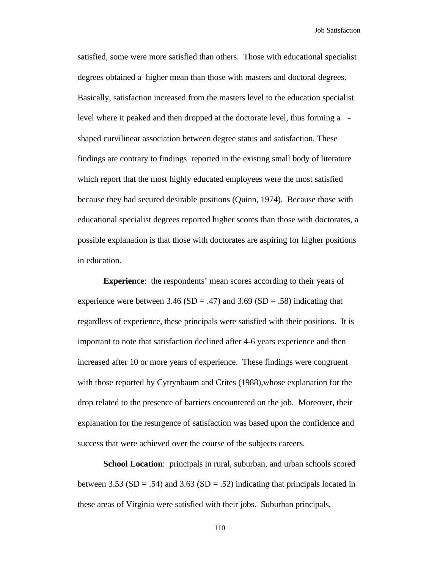satisfied, some were more satisfied than others. Those with educational specialist degrees obtained a higher mean than those with masters and doctoral degrees. Basically, satisfaction increased from the masters level to the education specialist level where it peaked and then dropped at the doctorate level, thus forming a shaped curvilinear association between degree status and satisfaction. These findings are contrary to findings reported in the existing small body of literature which report that the most highly educated employees were the most satisfied because they had secured desirable positions (Quinn, 1974). Because those with educational specialist degrees reported higher scores than those with doctorates, a possible explanation is that those with doctorates are aspiring for higher positions in education.

**Experience**: the respondents' mean scores according to their years of experience were between 3.46 ( $SD = .47$ ) and 3.69 ( $SD = .58$ ) indicating that regardless of experience, these principals were satisfied with their positions. It is important to note that satisfaction declined after 4-6 years experience and then increased after 10 or more years of experience. These findings were congruent with those reported by Cytrynbaum and Crites (1988), whose explanation for the drop related to the presence of barriers encountered on the job. Moreover, their explanation for the resurgence of satisfaction was based upon the confidence and success that were achieved over the course of the subjects careers.

**School Location**: principals in rural, suburban, and urban schools scored between 3.53 ( $SD = .54$ ) and 3.63 ( $SD = .52$ ) indicating that principals located in these areas of Virginia were satisfied with their jobs. Suburban principals,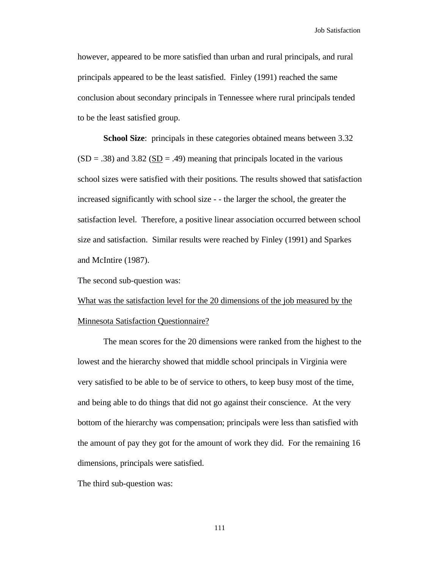however, appeared to be more satisfied than urban and rural principals, and rural principals appeared to be the least satisfied. Finley (1991) reached the same conclusion about secondary principals in Tennessee where rural principals tended to be the least satisfied group.

**School Size**: principals in these categories obtained means between 3.32  $(SD = .38)$  and 3.82  $(SD = .49)$  meaning that principals located in the various school sizes were satisfied with their positions. The results showed that satisfaction increased significantly with school size - - the larger the school, the greater the satisfaction level. Therefore, a positive linear association occurred between school size and satisfaction. Similar results were reached by Finley (1991) and Sparkes and McIntire (1987).

The second sub-question was:

What was the satisfaction level for the 20 dimensions of the job measured by the Minnesota Satisfaction Questionnaire?

The mean scores for the 20 dimensions were ranked from the highest to the lowest and the hierarchy showed that middle school principals in Virginia were very satisfied to be able to be of service to others, to keep busy most of the time, and being able to do things that did not go against their conscience. At the very bottom of the hierarchy was compensation; principals were less than satisfied with the amount of pay they got for the amount of work they did. For the remaining 16 dimensions, principals were satisfied.

The third sub-question was: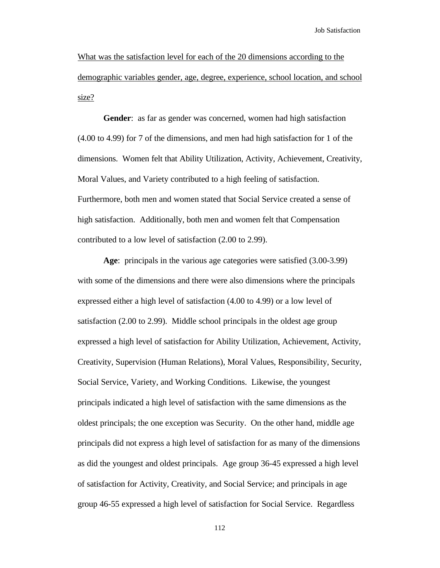What was the satisfaction level for each of the 20 dimensions according to the demographic variables gender, age, degree, experience, school location, and school size?

**Gender**: as far as gender was concerned, women had high satisfaction (4.00 to 4.99) for 7 of the dimensions, and men had high satisfaction for 1 of the dimensions. Women felt that Ability Utilization, Activity, Achievement, Creativity, Moral Values, and Variety contributed to a high feeling of satisfaction. Furthermore, both men and women stated that Social Service created a sense of high satisfaction. Additionally, both men and women felt that Compensation contributed to a low level of satisfaction (2.00 to 2.99).

**Age**: principals in the various age categories were satisfied (3.00-3.99) with some of the dimensions and there were also dimensions where the principals expressed either a high level of satisfaction (4.00 to 4.99) or a low level of satisfaction (2.00 to 2.99). Middle school principals in the oldest age group expressed a high level of satisfaction for Ability Utilization, Achievement, Activity, Creativity, Supervision (Human Relations), Moral Values, Responsibility, Security, Social Service, Variety, and Working Conditions. Likewise, the youngest principals indicated a high level of satisfaction with the same dimensions as the oldest principals; the one exception was Security. On the other hand, middle age principals did not express a high level of satisfaction for as many of the dimensions as did the youngest and oldest principals. Age group 36-45 expressed a high level of satisfaction for Activity, Creativity, and Social Service; and principals in age group 46-55 expressed a high level of satisfaction for Social Service. Regardless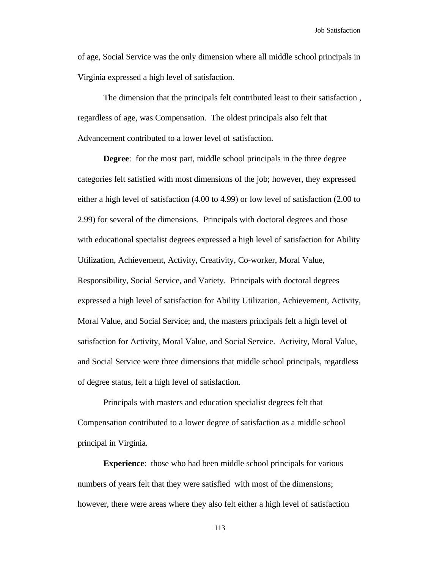of age, Social Service was the only dimension where all middle school principals in Virginia expressed a high level of satisfaction.

The dimension that the principals felt contributed least to their satisfaction , regardless of age, was Compensation. The oldest principals also felt that Advancement contributed to a lower level of satisfaction.

**Degree**: for the most part, middle school principals in the three degree categories felt satisfied with most dimensions of the job; however, they expressed either a high level of satisfaction (4.00 to 4.99) or low level of satisfaction (2.00 to 2.99) for several of the dimensions. Principals with doctoral degrees and those with educational specialist degrees expressed a high level of satisfaction for Ability Utilization, Achievement, Activity, Creativity, Co-worker, Moral Value, Responsibility, Social Service, and Variety. Principals with doctoral degrees expressed a high level of satisfaction for Ability Utilization, Achievement, Activity, Moral Value, and Social Service; and, the masters principals felt a high level of satisfaction for Activity, Moral Value, and Social Service. Activity, Moral Value, and Social Service were three dimensions that middle school principals, regardless of degree status, felt a high level of satisfaction.

Principals with masters and education specialist degrees felt that Compensation contributed to a lower degree of satisfaction as a middle school principal in Virginia.

**Experience**: those who had been middle school principals for various numbers of years felt that they were satisfied with most of the dimensions; however, there were areas where they also felt either a high level of satisfaction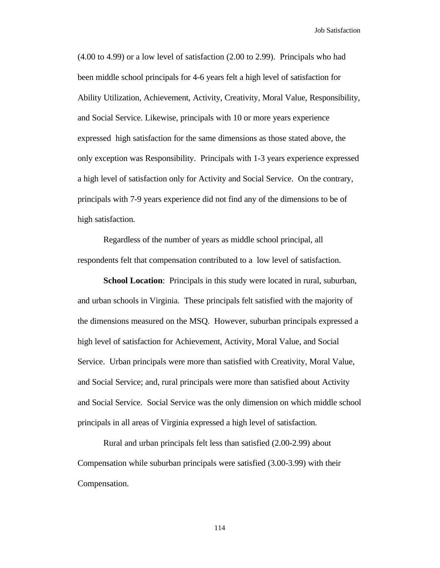(4.00 to 4.99) or a low level of satisfaction (2.00 to 2.99). Principals who had been middle school principals for 4-6 years felt a high level of satisfaction for Ability Utilization, Achievement, Activity, Creativity, Moral Value, Responsibility, and Social Service. Likewise, principals with 10 or more years experience expressed high satisfaction for the same dimensions as those stated above, the only exception was Responsibility. Principals with 1-3 years experience expressed a high level of satisfaction only for Activity and Social Service. On the contrary, principals with 7-9 years experience did not find any of the dimensions to be of high satisfaction.

Regardless of the number of years as middle school principal, all respondents felt that compensation contributed to a low level of satisfaction.

**School Location**: Principals in this study were located in rural, suburban, and urban schools in Virginia. These principals felt satisfied with the majority of the dimensions measured on the MSQ. However, suburban principals expressed a high level of satisfaction for Achievement, Activity, Moral Value, and Social Service. Urban principals were more than satisfied with Creativity, Moral Value, and Social Service; and, rural principals were more than satisfied about Activity and Social Service. Social Service was the only dimension on which middle school principals in all areas of Virginia expressed a high level of satisfaction.

Rural and urban principals felt less than satisfied (2.00-2.99) about Compensation while suburban principals were satisfied (3.00-3.99) with their Compensation.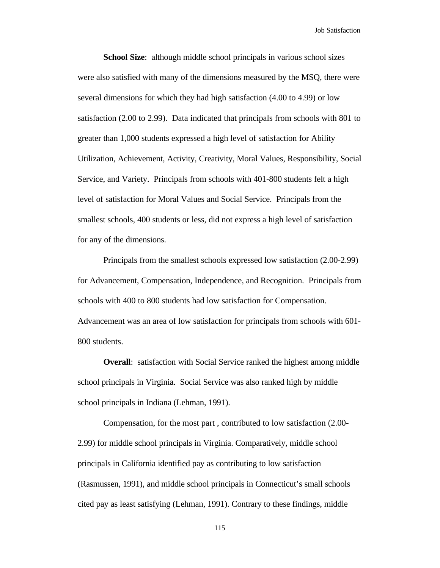**School Size**: although middle school principals in various school sizes were also satisfied with many of the dimensions measured by the MSQ, there were several dimensions for which they had high satisfaction (4.00 to 4.99) or low satisfaction (2.00 to 2.99). Data indicated that principals from schools with 801 to greater than 1,000 students expressed a high level of satisfaction for Ability Utilization, Achievement, Activity, Creativity, Moral Values, Responsibility, Social Service, and Variety. Principals from schools with 401-800 students felt a high level of satisfaction for Moral Values and Social Service. Principals from the smallest schools, 400 students or less, did not express a high level of satisfaction for any of the dimensions.

Principals from the smallest schools expressed low satisfaction (2.00-2.99) for Advancement, Compensation, Independence, and Recognition. Principals from schools with 400 to 800 students had low satisfaction for Compensation. Advancement was an area of low satisfaction for principals from schools with 601- 800 students.

**Overall:** satisfaction with Social Service ranked the highest among middle school principals in Virginia. Social Service was also ranked high by middle school principals in Indiana (Lehman, 1991).

Compensation, for the most part , contributed to low satisfaction (2.00- 2.99) for middle school principals in Virginia. Comparatively, middle school principals in California identified pay as contributing to low satisfaction (Rasmussen, 1991), and middle school principals in Connecticut's small schools cited pay as least satisfying (Lehman, 1991). Contrary to these findings, middle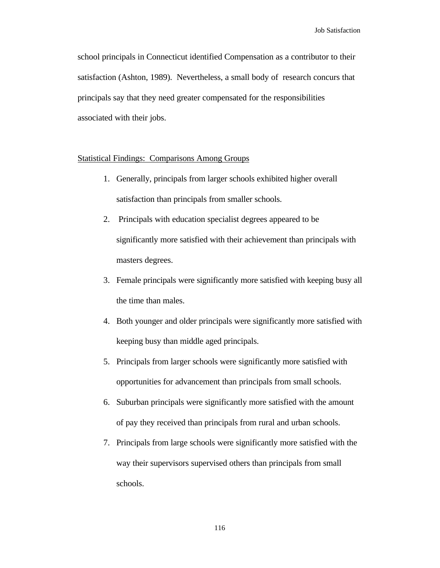school principals in Connecticut identified Compensation as a contributor to their satisfaction (Ashton, 1989). Nevertheless, a small body of research concurs that principals say that they need greater compensated for the responsibilities associated with their jobs.

#### Statistical Findings: Comparisons Among Groups

- 1. Generally, principals from larger schools exhibited higher overall satisfaction than principals from smaller schools.
- 2. Principals with education specialist degrees appeared to be significantly more satisfied with their achievement than principals with masters degrees.
- 3. Female principals were significantly more satisfied with keeping busy all the time than males.
- 4. Both younger and older principals were significantly more satisfied with keeping busy than middle aged principals.
- 5. Principals from larger schools were significantly more satisfied with opportunities for advancement than principals from small schools.
- 6. Suburban principals were significantly more satisfied with the amount of pay they received than principals from rural and urban schools.
- 7. Principals from large schools were significantly more satisfied with the way their supervisors supervised others than principals from small schools.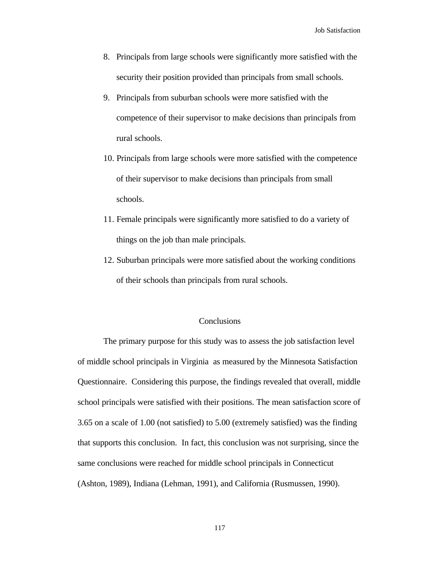- 8. Principals from large schools were significantly more satisfied with the security their position provided than principals from small schools.
- 9. Principals from suburban schools were more satisfied with the competence of their supervisor to make decisions than principals from rural schools.
- 10. Principals from large schools were more satisfied with the competence of their supervisor to make decisions than principals from small schools.
- 11. Female principals were significantly more satisfied to do a variety of things on the job than male principals.
- 12. Suburban principals were more satisfied about the working conditions of their schools than principals from rural schools.

#### **Conclusions**

The primary purpose for this study was to assess the job satisfaction level of middle school principals in Virginia as measured by the Minnesota Satisfaction Questionnaire. Considering this purpose, the findings revealed that overall, middle school principals were satisfied with their positions. The mean satisfaction score of 3.65 on a scale of 1.00 (not satisfied) to 5.00 (extremely satisfied) was the finding that supports this conclusion. In fact, this conclusion was not surprising, since the same conclusions were reached for middle school principals in Connecticut (Ashton, 1989), Indiana (Lehman, 1991), and California (Rusmussen, 1990).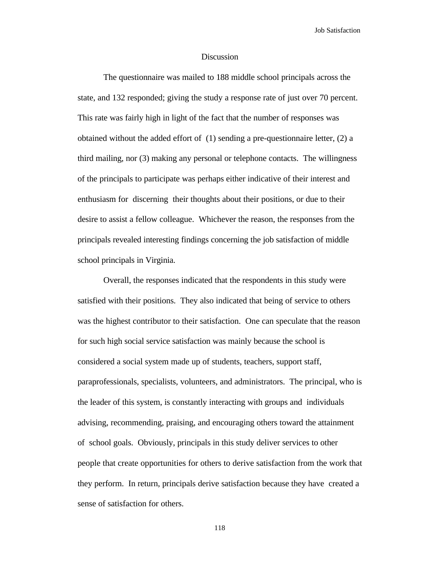#### **Discussion**

The questionnaire was mailed to 188 middle school principals across the state, and 132 responded; giving the study a response rate of just over 70 percent. This rate was fairly high in light of the fact that the number of responses was obtained without the added effort of (1) sending a pre-questionnaire letter, (2) a third mailing, nor (3) making any personal or telephone contacts. The willingness of the principals to participate was perhaps either indicative of their interest and enthusiasm for discerning their thoughts about their positions, or due to their desire to assist a fellow colleague. Whichever the reason, the responses from the principals revealed interesting findings concerning the job satisfaction of middle school principals in Virginia.

Overall, the responses indicated that the respondents in this study were satisfied with their positions. They also indicated that being of service to others was the highest contributor to their satisfaction. One can speculate that the reason for such high social service satisfaction was mainly because the school is considered a social system made up of students, teachers, support staff, paraprofessionals, specialists, volunteers, and administrators. The principal, who is the leader of this system, is constantly interacting with groups and individuals advising, recommending, praising, and encouraging others toward the attainment of school goals. Obviously, principals in this study deliver services to other people that create opportunities for others to derive satisfaction from the work that they perform. In return, principals derive satisfaction because they have created a sense of satisfaction for others.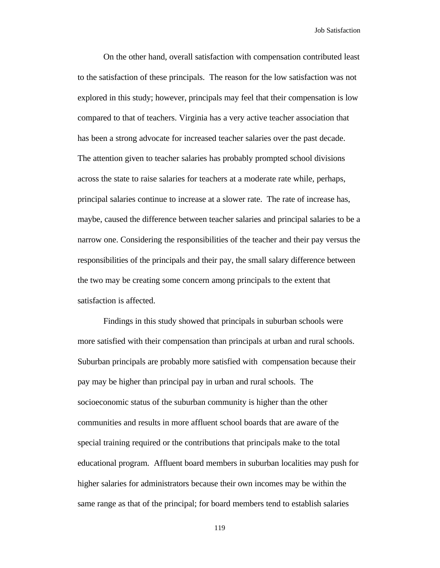On the other hand, overall satisfaction with compensation contributed least to the satisfaction of these principals. The reason for the low satisfaction was not explored in this study; however, principals may feel that their compensation is low compared to that of teachers. Virginia has a very active teacher association that has been a strong advocate for increased teacher salaries over the past decade. The attention given to teacher salaries has probably prompted school divisions across the state to raise salaries for teachers at a moderate rate while, perhaps, principal salaries continue to increase at a slower rate. The rate of increase has, maybe, caused the difference between teacher salaries and principal salaries to be a narrow one. Considering the responsibilities of the teacher and their pay versus the responsibilities of the principals and their pay, the small salary difference between the two may be creating some concern among principals to the extent that satisfaction is affected.

Findings in this study showed that principals in suburban schools were more satisfied with their compensation than principals at urban and rural schools. Suburban principals are probably more satisfied with compensation because their pay may be higher than principal pay in urban and rural schools. The socioeconomic status of the suburban community is higher than the other communities and results in more affluent school boards that are aware of the special training required or the contributions that principals make to the total educational program. Affluent board members in suburban localities may push for higher salaries for administrators because their own incomes may be within the same range as that of the principal; for board members tend to establish salaries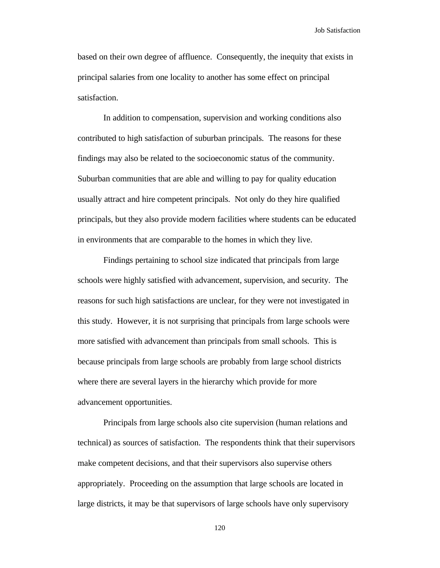based on their own degree of affluence. Consequently, the inequity that exists in principal salaries from one locality to another has some effect on principal satisfaction.

In addition to compensation, supervision and working conditions also contributed to high satisfaction of suburban principals. The reasons for these findings may also be related to the socioeconomic status of the community. Suburban communities that are able and willing to pay for quality education usually attract and hire competent principals. Not only do they hire qualified principals, but they also provide modern facilities where students can be educated in environments that are comparable to the homes in which they live.

Findings pertaining to school size indicated that principals from large schools were highly satisfied with advancement, supervision, and security. The reasons for such high satisfactions are unclear, for they were not investigated in this study. However, it is not surprising that principals from large schools were more satisfied with advancement than principals from small schools. This is because principals from large schools are probably from large school districts where there are several layers in the hierarchy which provide for more advancement opportunities.

Principals from large schools also cite supervision (human relations and technical) as sources of satisfaction. The respondents think that their supervisors make competent decisions, and that their supervisors also supervise others appropriately. Proceeding on the assumption that large schools are located in large districts, it may be that supervisors of large schools have only supervisory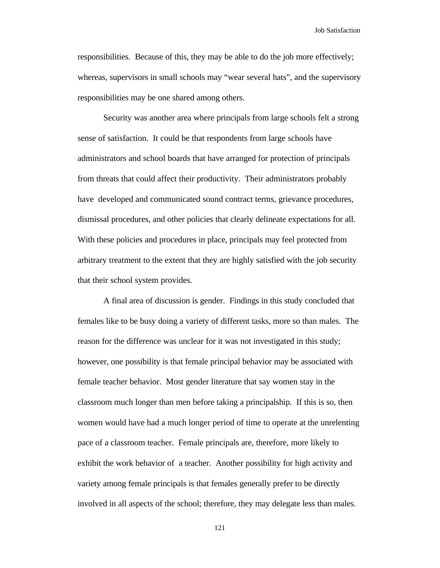responsibilities. Because of this, they may be able to do the job more effectively; whereas, supervisors in small schools may "wear several hats", and the supervisory responsibilities may be one shared among others.

Security was another area where principals from large schools felt a strong sense of satisfaction. It could be that respondents from large schools have administrators and school boards that have arranged for protection of principals from threats that could affect their productivity. Their administrators probably have developed and communicated sound contract terms, grievance procedures, dismissal procedures, and other policies that clearly delineate expectations for all. With these policies and procedures in place, principals may feel protected from arbitrary treatment to the extent that they are highly satisfied with the job security that their school system provides.

A final area of discussion is gender. Findings in this study concluded that females like to be busy doing a variety of different tasks, more so than males. The reason for the difference was unclear for it was not investigated in this study; however, one possibility is that female principal behavior may be associated with female teacher behavior. Most gender literature that say women stay in the classroom much longer than men before taking a principalship. If this is so, then women would have had a much longer period of time to operate at the unrelenting pace of a classroom teacher. Female principals are, therefore, more likely to exhibit the work behavior of a teacher. Another possibility for high activity and variety among female principals is that females generally prefer to be directly involved in all aspects of the school; therefore, they may delegate less than males.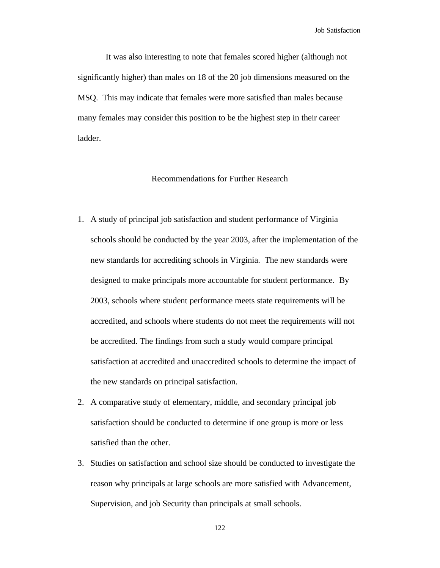It was also interesting to note that females scored higher (although not significantly higher) than males on 18 of the 20 job dimensions measured on the MSQ. This may indicate that females were more satisfied than males because many females may consider this position to be the highest step in their career ladder.

#### Recommendations for Further Research

- 1. A study of principal job satisfaction and student performance of Virginia schools should be conducted by the year 2003, after the implementation of the new standards for accrediting schools in Virginia. The new standards were designed to make principals more accountable for student performance. By 2003, schools where student performance meets state requirements will be accredited, and schools where students do not meet the requirements will not be accredited. The findings from such a study would compare principal satisfaction at accredited and unaccredited schools to determine the impact of the new standards on principal satisfaction.
- 2. A comparative study of elementary, middle, and secondary principal job satisfaction should be conducted to determine if one group is more or less satisfied than the other.
- 3. Studies on satisfaction and school size should be conducted to investigate the reason why principals at large schools are more satisfied with Advancement, Supervision, and job Security than principals at small schools.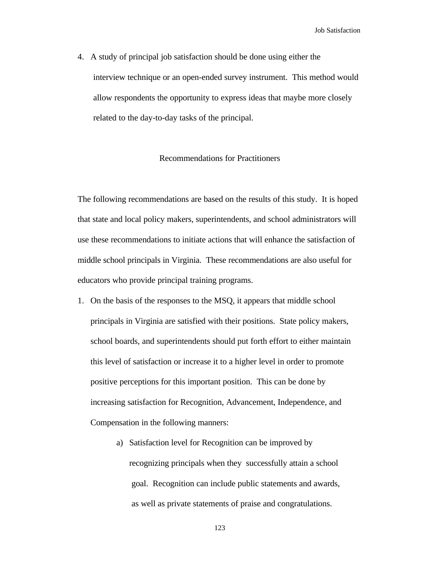4. A study of principal job satisfaction should be done using either the interview technique or an open-ended survey instrument. This method would allow respondents the opportunity to express ideas that maybe more closely related to the day-to-day tasks of the principal.

#### Recommendations for Practitioners

The following recommendations are based on the results of this study. It is hoped that state and local policy makers, superintendents, and school administrators will use these recommendations to initiate actions that will enhance the satisfaction of middle school principals in Virginia. These recommendations are also useful for educators who provide principal training programs.

- 1. On the basis of the responses to the MSQ, it appears that middle school principals in Virginia are satisfied with their positions. State policy makers, school boards, and superintendents should put forth effort to either maintain this level of satisfaction or increase it to a higher level in order to promote positive perceptions for this important position. This can be done by increasing satisfaction for Recognition, Advancement, Independence, and Compensation in the following manners:
	- a) Satisfaction level for Recognition can be improved by recognizing principals when they successfully attain a school goal. Recognition can include public statements and awards, as well as private statements of praise and congratulations.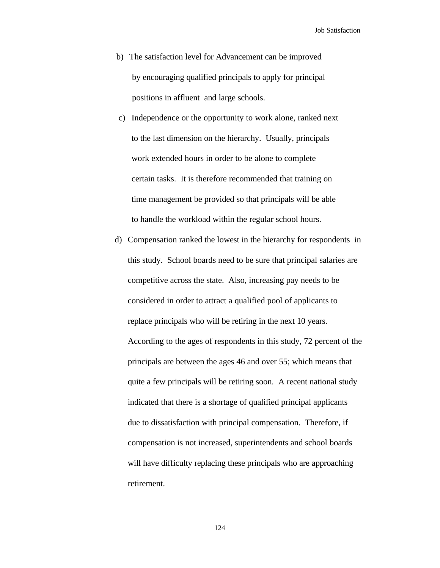- b) The satisfaction level for Advancement can be improved by encouraging qualified principals to apply for principal positions in affluent and large schools.
- c) Independence or the opportunity to work alone, ranked next to the last dimension on the hierarchy. Usually, principals work extended hours in order to be alone to complete certain tasks. It is therefore recommended that training on time management be provided so that principals will be able to handle the workload within the regular school hours.
- d) Compensation ranked the lowest in the hierarchy for respondents in this study. School boards need to be sure that principal salaries are competitive across the state. Also, increasing pay needs to be considered in order to attract a qualified pool of applicants to replace principals who will be retiring in the next 10 years. According to the ages of respondents in this study, 72 percent of the principals are between the ages 46 and over 55; which means that quite a few principals will be retiring soon. A recent national study indicated that there is a shortage of qualified principal applicants due to dissatisfaction with principal compensation. Therefore, if compensation is not increased, superintendents and school boards will have difficulty replacing these principals who are approaching retirement.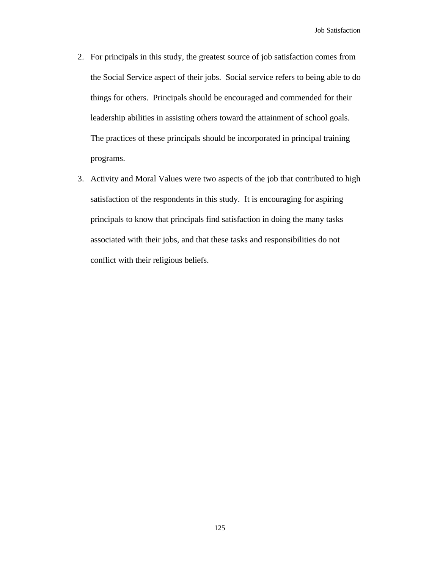- 2. For principals in this study, the greatest source of job satisfaction comes from the Social Service aspect of their jobs. Social service refers to being able to do things for others. Principals should be encouraged and commended for their leadership abilities in assisting others toward the attainment of school goals. The practices of these principals should be incorporated in principal training programs.
- 3. Activity and Moral Values were two aspects of the job that contributed to high satisfaction of the respondents in this study. It is encouraging for aspiring principals to know that principals find satisfaction in doing the many tasks associated with their jobs, and that these tasks and responsibilities do not conflict with their religious beliefs.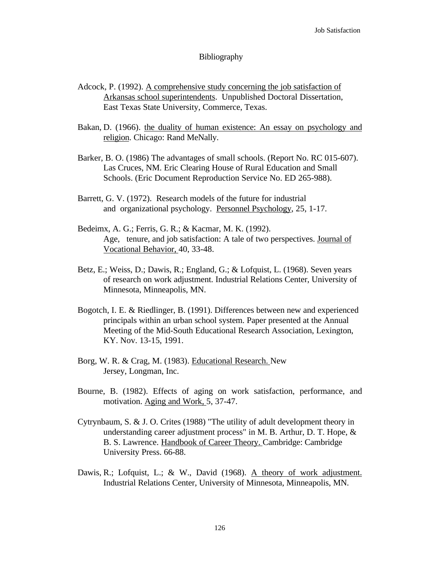#### **Bibliography**

- Adcock, P. (1992). A comprehensive study concerning the job satisfaction of Arkansas school superintendents. Unpublished Doctoral Dissertation, East Texas State University, Commerce, Texas.
- Bakan, D. (1966). the duality of human existence: An essay on psychology and religion. Chicago: Rand MeNally.
- Barker, B. O. (1986) The advantages of small schools. (Report No. RC 015-607). Las Cruces, NM. Eric Clearing House of Rural Education and Small Schools. (Eric Document Reproduction Service No. ED 265-988).
- Barrett, G. V. (1972). Research models of the future for industrial and organizational psychology. Personnel Psychology, 25, 1-17.
- Bedeimx, A. G.; Ferris, G. R.; & Kacmar, M. K. (1992). Age, tenure, and job satisfaction: A tale of two perspectives. Journal of Vocational Behavior, 40, 33-48.
- Betz, E.; Weiss, D.; Dawis, R.; England, G.; & Lofquist, L. (1968). Seven years of research on work adjustment. Industrial Relations Center, University of Minnesota, Minneapolis, MN.
- Bogotch, I. E. & Riedlinger, B. (1991). Differences between new and experienced principals within an urban school system. Paper presented at the Annual Meeting of the Mid-South Educational Research Association, Lexington, KY. Nov. 13-15, 1991.
- Borg, W. R. & Crag, M. (1983). Educational Research. New Jersey, Longman, Inc.
- Bourne, B. (1982). Effects of aging on work satisfaction, performance, and motivation. Aging and Work, 5, 37-47.
- Cytrynbaum, S. & J. O. Crites (1988) "The utility of adult development theory in understanding career adjustment process" in M. B. Arthur, D. T. Hope, & B. S. Lawrence. Handbook of Career Theory. Cambridge: Cambridge University Press. 66-88.
- Dawis, R.; Lofquist, L.; & W., David (1968). A theory of work adjustment. Industrial Relations Center, University of Minnesota, Minneapolis, MN.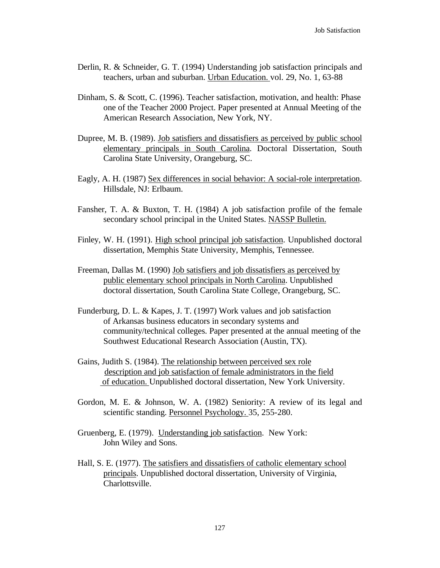- Derlin, R. & Schneider, G. T. (1994) Understanding job satisfaction principals and teachers, urban and suburban. Urban Education. vol. 29, No. 1, 63-88
- Dinham, S. & Scott, C. (1996). Teacher satisfaction, motivation, and health: Phase one of the Teacher 2000 Project. Paper presented at Annual Meeting of the American Research Association, New York, NY.
- Dupree, M. B. (1989). Job satisfiers and dissatisfiers as perceived by public school elementary principals in South Carolina. Doctoral Dissertation, South Carolina State University, Orangeburg, SC.
- Eagly, A. H. (1987) Sex differences in social behavior: A social-role interpretation. Hillsdale, NJ: Erlbaum.
- Fansher, T. A. & Buxton, T. H. (1984) A job satisfaction profile of the female secondary school principal in the United States. NASSP Bulletin.
- Finley, W. H. (1991). High school principal job satisfaction. Unpublished doctoral dissertation, Memphis State University, Memphis, Tennessee.
- Freeman, Dallas M. (1990) Job satisfiers and job dissatisfiers as perceived by public elementary school principals in North Carolina. Unpublished doctoral dissertation, South Carolina State College, Orangeburg, SC.
- Funderburg, D. L. & Kapes, J. T. (1997) Work values and job satisfaction of Arkansas business educators in secondary systems and community/technical colleges. Paper presented at the annual meeting of the Southwest Educational Research Association (Austin, TX).
- Gains, Judith S. (1984). The relationship between perceived sex role description and job satisfaction of female administrators in the field of education. Unpublished doctoral dissertation, New York University.
- Gordon, M. E. & Johnson, W. A. (1982) Seniority: A review of its legal and scientific standing. Personnel Psychology. 35, 255-280.
- Gruenberg, E. (1979). Understanding job satisfaction. New York: John Wiley and Sons.
- Hall, S. E. (1977). The satisfiers and dissatisfiers of catholic elementary school principals. Unpublished doctoral dissertation, University of Virginia, Charlottsville.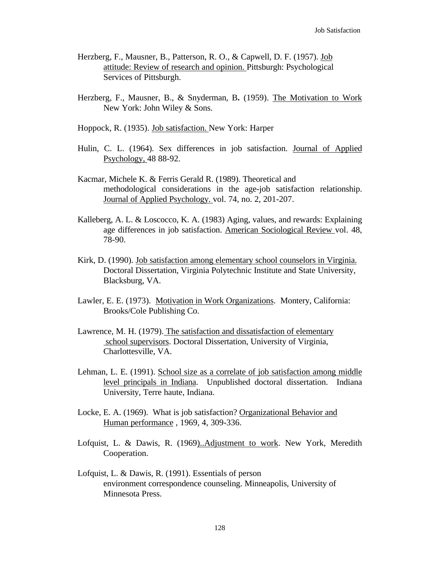- Herzberg, F., Mausner, B., Patterson, R. O., & Capwell, D. F. (1957). Job attitude: Review of research and opinion. Pittsburgh: Psychological Services of Pittsburgh.
- Herzberg, F., Mausner, B., & Snyderman, B**.** (1959). The Motivation to Work New York: John Wiley & Sons.
- Hoppock, R. (1935). Job satisfaction. New York: Harper
- Hulin, C. L. (1964). Sex differences in job satisfaction. Journal of Applied Psychology, 48 88-92.
- Kacmar, Michele K. & Ferris Gerald R. (1989). Theoretical and methodological considerations in the age-job satisfaction relationship. Journal of Applied Psychology. vol. 74, no. 2, 201-207.
- Kalleberg, A. L. & Loscocco, K. A. (1983) Aging, values, and rewards: Explaining age differences in job satisfaction. American Sociological Review vol. 48, 78-90.
- Kirk, D. (1990). Job satisfaction among elementary school counselors in Virginia. Doctoral Dissertation, Virginia Polytechnic Institute and State University, Blacksburg, VA.
- Lawler, E. E. (1973). Motivation in Work Organizations. Montery, California: Brooks/Cole Publishing Co.
- Lawrence, M. H. (1979). The satisfaction and dissatisfaction of elementary school supervisors. Doctoral Dissertation, University of Virginia, Charlottesville, VA.
- Lehman, L. E. (1991). School size as a correlate of job satisfaction among middle level principals in Indiana. Unpublished doctoral dissertation. Indiana University, Terre haute, Indiana.
- Locke, E. A. (1969). What is job satisfaction? Organizational Behavior and Human performance , 1969, 4, 309-336.
- Lofquist, L. & Dawis, R. (1969)..Adjustment to work. New York, Meredith Cooperation.
- Lofquist, L. & Dawis, R. (1991). Essentials of person environment correspondence counseling. Minneapolis, University of Minnesota Press.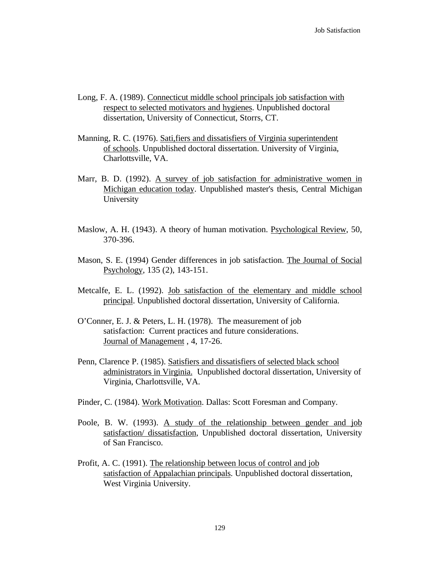- Long, F. A. (1989). Connecticut middle school principals job satisfaction with respect to selected motivators and hygienes. Unpublished doctoral dissertation, University of Connecticut, Storrs, CT.
- Manning, R. C. (1976). Sati, fiers and dissatisfiers of Virginia superintendent of schools. Unpublished doctoral dissertation. University of Virginia, Charlottsville, VA.
- Marr, B. D. (1992). A survey of job satisfaction for administrative women in Michigan education today. Unpublished master's thesis, Central Michigan University
- Maslow, A. H. (1943). A theory of human motivation. Psychological Review, 50, 370-396.
- Mason, S. E. (1994) Gender differences in job satisfaction. The Journal of Social Psychology, 135 (2), 143-151.
- Metcalfe, E. L. (1992). Job satisfaction of the elementary and middle school principal. Unpublished doctoral dissertation, University of California.
- O'Conner, E. J. & Peters, L. H. (1978). The measurement of job satisfaction: Current practices and future considerations. Journal of Management , 4, 17-26.
- Penn, Clarence P. (1985). Satisfiers and dissatisfiers of selected black school administrators in Virginia. Unpublished doctoral dissertation, University of Virginia, Charlottsville, VA.
- Pinder, C. (1984). Work Motivation. Dallas: Scott Foresman and Company.
- Poole, B. W. (1993). A study of the relationship between gender and job satisfaction/ dissatisfaction, Unpublished doctoral dissertation, University of San Francisco.
- Profit, A. C. (1991). The relationship between locus of control and job satisfaction of Appalachian principals. Unpublished doctoral dissertation, West Virginia University.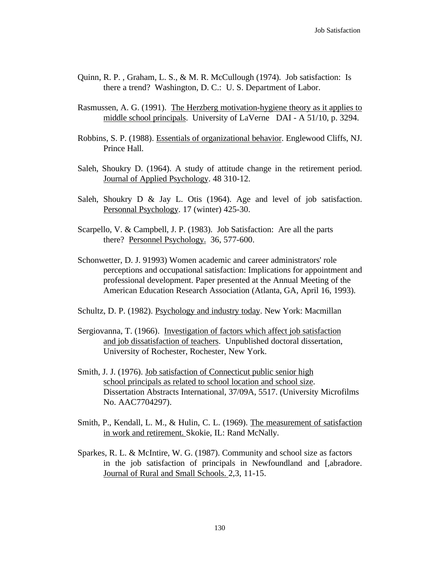- Quinn, R. P. , Graham, L. S., & M. R. McCullough (1974). Job satisfaction: Is there a trend? Washington, D. C.: U. S. Department of Labor.
- Rasmussen, A. G. (1991). The Herzberg motivation-hygiene theory as it applies to middle school principals. University of LaVerne DAI - A 51/10, p. 3294.
- Robbins, S. P. (1988). Essentials of organizational behavior. Englewood Cliffs, NJ. Prince Hall.
- Saleh, Shoukry D. (1964). A study of attitude change in the retirement period. Journal of Applied Psychology. 48 310-12.
- Saleh, Shoukry D & Jay L. Otis (1964). Age and level of job satisfaction. Personnal Psychology. 17 (winter) 425-30.
- Scarpello, V. & Campbell, J. P. (1983). Job Satisfaction: Are all the parts there? Personnel Psychology. 36, 577-600.
- Schonwetter, D. J. 91993) Women academic and career administrators' role perceptions and occupational satisfaction: Implications for appointment and professional development. Paper presented at the Annual Meeting of the American Education Research Association (Atlanta, GA, April 16, 1993).
- Schultz, D. P. (1982). Psychology and industry today. New York: Macmillan
- Sergiovanna, T. (1966). Investigation of factors which affect job satisfaction and job dissatisfaction of teachers. Unpublished doctoral dissertation, University of Rochester, Rochester, New York.
- Smith, J. J. (1976). Job satisfaction of Connecticut public senior high school principals as related to school location and school size. Dissertation Abstracts International, 37/09A, 5517. (University Microfilms No. AAC7704297).
- Smith, P., Kendall, L. M., & Hulin, C. L. (1969). The measurement of satisfaction in work and retirement. Skokie, IL: Rand McNally.
- Sparkes, R. L. & McIntire, W. G. (1987). Community and school size as factors in the job satisfaction of principals in Newfoundland and [,abradore. Journal of Rural and Small Schools. 2,3, 11-15.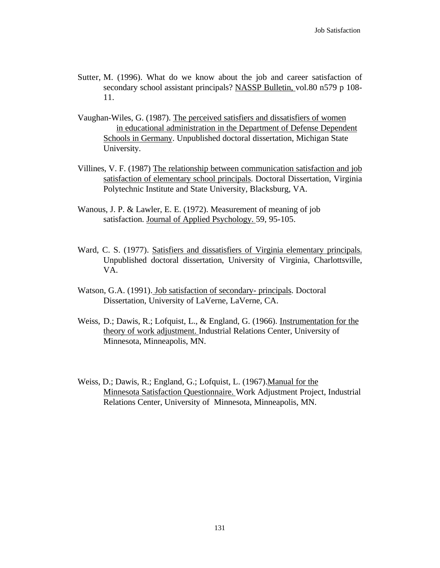- Sutter, M. (1996). What do we know about the job and career satisfaction of secondary school assistant principals? NASSP Bulletin, vol.80 n579 p 108- 11.
- Vaughan-Wiles, G. (1987). The perceived satisfiers and dissatisfiers of women in educational administration in the Department of Defense Dependent Schools in Germany. Unpublished doctoral dissertation, Michigan State University.
- Villines, V. F. (1987) The relationship between communication satisfaction and job satisfaction of elementary school principals. Doctoral Dissertation, Virginia Polytechnic Institute and State University, Blacksburg, VA.
- Wanous, J. P. & Lawler, E. E. (1972). Measurement of meaning of job satisfaction. Journal of Applied Psychology. 59, 95-105.
- Ward, C. S. (1977). Satisfiers and dissatisfiers of Virginia elementary principals. Unpublished doctoral dissertation, University of Virginia, Charlottsville, VA.
- Watson, G.A. (1991). Job satisfaction of secondary- principals. Doctoral Dissertation, University of LaVerne, LaVerne, CA.
- Weiss, D.; Dawis, R.; Lofquist, L., & England, G. (1966). Instrumentation for the theory of work adjustment. Industrial Relations Center, University of Minnesota, Minneapolis, MN.
- Weiss, D.; Dawis, R.; England, G.; Lofquist, L. (1967).Manual for the Minnesota Satisfaction Questionnaire. Work Adjustment Project, Industrial Relations Center, University of Minnesota, Minneapolis, MN.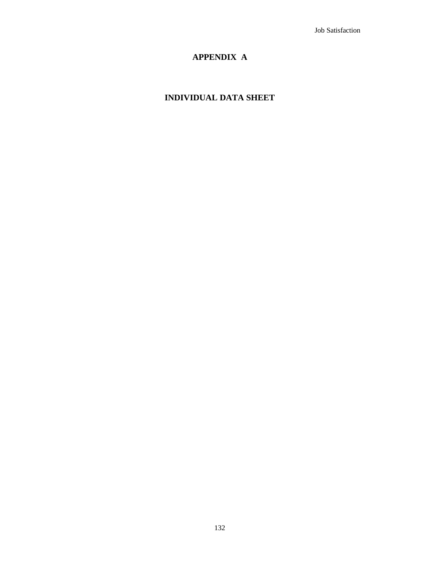## **APPENDIX A**

### **INDIVIDUAL DATA SHEET**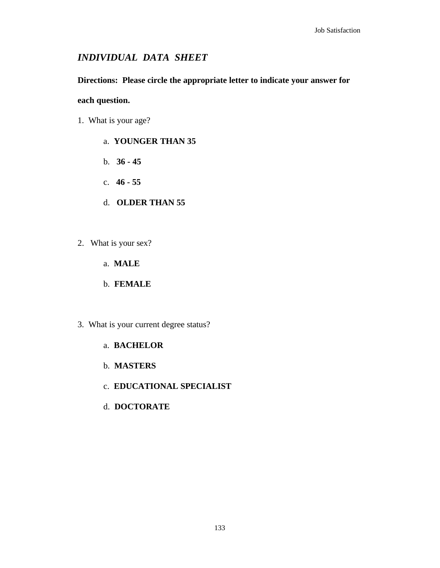## *INDIVIDUAL DATA SHEET*

### **Directions: Please circle the appropriate letter to indicate your answer for**

### **each question.**

- 1. What is your age?
	- a. **YOUNGER THAN 35**
	- b. **36 45**
	- c. **46 55**
	- d. **OLDER THAN 55**
- 2. What is your sex?
	- a. **MALE**
	- b. **FEMALE**
- 3. What is your current degree status?
	- a. **BACHELOR**
	- b. **MASTERS**
	- c. **EDUCATIONAL SPECIALIST**
	- d. **DOCTORATE**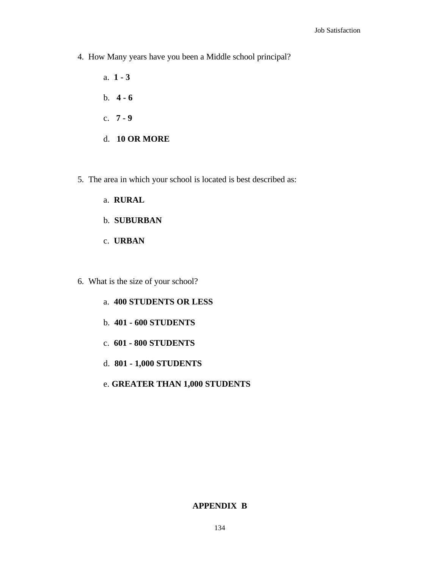- 4. How Many years have you been a Middle school principal?
	- a. **1 3** b. **4 - 6** c. **7 - 9** d. **10 OR MORE**
- 5. The area in which your school is located is best described as:
	- a. **RURAL**
	- b. **SUBURBAN**
	- c. **URBAN**
- 6. What is the size of your school?
	- a. **400 STUDENTS OR LESS**
	- b. **401 600 STUDENTS**
	- c. **601 800 STUDENTS**
	- d. **801 1,000 STUDENTS**
	- e. **GREATER THAN 1,000 STUDENTS**

#### **APPENDIX B**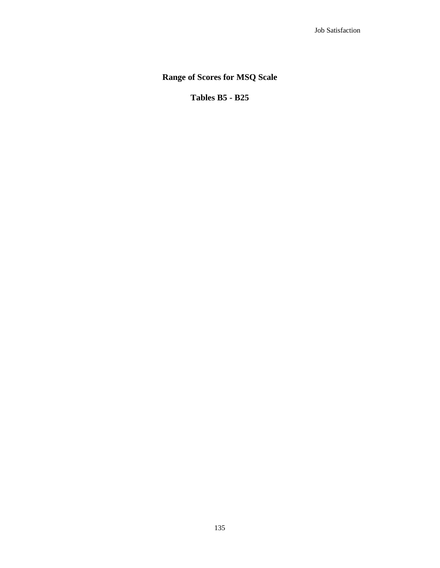## **Range of Scores for MSQ Scale**

**Tables B5 - B25**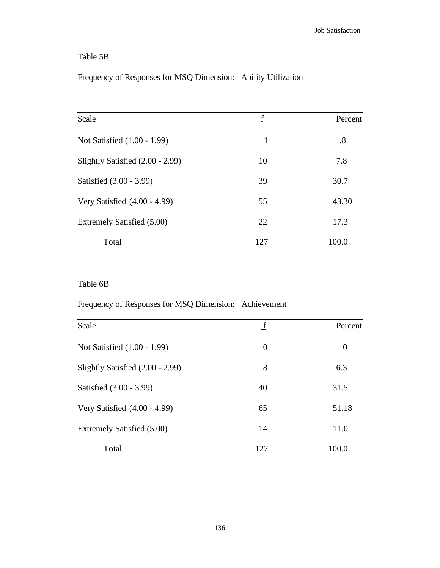## Table 5B

## Frequency of Responses for MSQ Dimension: Ability Utilization

| Scale                            | f   | Percent           |
|----------------------------------|-----|-------------------|
| Not Satisfied (1.00 - 1.99)      | 1   | $\boldsymbol{.8}$ |
| Slightly Satisfied (2.00 - 2.99) | 10  | 7.8               |
| Satisfied (3.00 - 3.99)          | 39  | 30.7              |
| Very Satisfied (4.00 - 4.99)     | 55  | 43.30             |
| Extremely Satisfied (5.00)       | 22  | 17.3              |
| Total                            | 127 | 100.0             |
|                                  |     |                   |

## Table 6B

### Frequency of Responses for MSQ Dimension: Achievement

| Scale                            | $\mathbf f$    | Percent  |
|----------------------------------|----------------|----------|
| Not Satisfied (1.00 - 1.99)      | $\overline{0}$ | $\theta$ |
| Slightly Satisfied (2.00 - 2.99) | 8              | 6.3      |
| Satisfied (3.00 - 3.99)          | 40             | 31.5     |
| Very Satisfied (4.00 - 4.99)     | 65             | 51.18    |
| Extremely Satisfied (5.00)       | 14             | 11.0     |
| Total                            | 127            | 100.0    |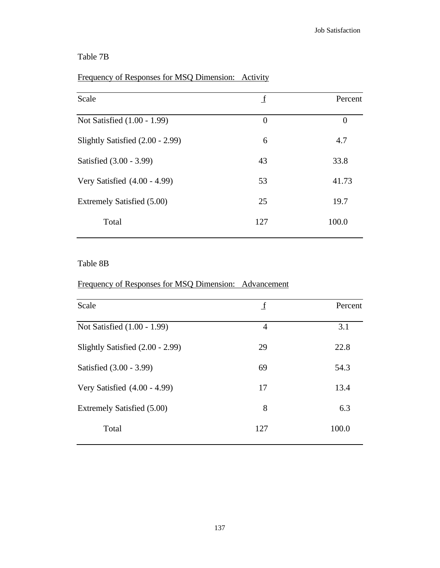## Table 7B

# Frequency of Responses for MSQ Dimension: Activity

| Scale                            | f        | Percent  |
|----------------------------------|----------|----------|
| Not Satisfied (1.00 - 1.99)      | $\theta$ | $\theta$ |
| Slightly Satisfied (2.00 - 2.99) | 6        | 4.7      |
| Satisfied (3.00 - 3.99)          | 43       | 33.8     |
| Very Satisfied (4.00 - 4.99)     | 53       | 41.73    |
| Extremely Satisfied (5.00)       | 25       | 19.7     |
| Total                            | 127      | 100.0    |

#### Table 8B

### Frequency of Responses for MSQ Dimension: Advancement

| Scale                            | $\mathbf f$    | Percent |
|----------------------------------|----------------|---------|
| Not Satisfied (1.00 - 1.99)      | $\overline{4}$ | 3.1     |
| Slightly Satisfied (2.00 - 2.99) | 29             | 22.8    |
| Satisfied (3.00 - 3.99)          | 69             | 54.3    |
| Very Satisfied (4.00 - 4.99)     | 17             | 13.4    |
| Extremely Satisfied (5.00)       | 8              | 6.3     |
| Total                            | 127            | 100.0   |
|                                  |                |         |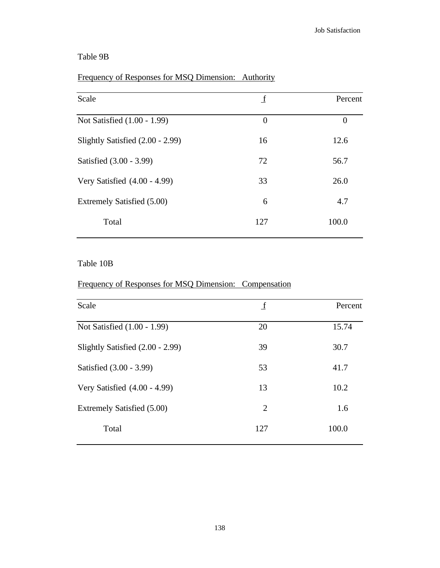### Table 9B

### Frequency of Responses for MSQ Dimension: Authority

| Scale                            | _f       | Percent  |
|----------------------------------|----------|----------|
| Not Satisfied (1.00 - 1.99)      | $\theta$ | $\theta$ |
| Slightly Satisfied (2.00 - 2.99) | 16       | 12.6     |
| Satisfied (3.00 - 3.99)          | 72       | 56.7     |
| Very Satisfied $(4.00 - 4.99)$   | 33       | 26.0     |
| Extremely Satisfied (5.00)       | 6        | 4.7      |
| Total                            | 127      | 100.0    |

#### Table 10B

### Frequency of Responses for MSQ Dimension: Compensation

| Scale                            | $\mathbf f$ | Percent |
|----------------------------------|-------------|---------|
| Not Satisfied (1.00 - 1.99)      | 20          | 15.74   |
| Slightly Satisfied (2.00 - 2.99) | 39          | 30.7    |
| Satisfied (3.00 - 3.99)          | 53          | 41.7    |
| Very Satisfied (4.00 - 4.99)     | 13          | 10.2    |
| Extremely Satisfied (5.00)       | 2           | 1.6     |
| Total                            | 127         | 100.0   |
|                                  |             |         |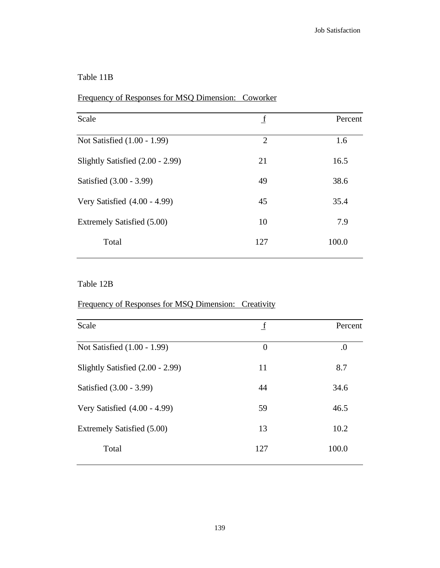### Table 11B

### Frequency of Responses for MSQ Dimension: Coworker

| Scale                            | $\mathbf f$    | Percent |
|----------------------------------|----------------|---------|
| Not Satisfied (1.00 - 1.99)      | $\overline{2}$ | 1.6     |
| Slightly Satisfied (2.00 - 2.99) | 21             | 16.5    |
| Satisfied (3.00 - 3.99)          | 49             | 38.6    |
| Very Satisfied $(4.00 - 4.99)$   | 45             | 35.4    |
| Extremely Satisfied (5.00)       | 10             | 7.9     |
| Total                            | 127            | 100.0   |
|                                  |                |         |

### Table 12B

### Frequency of Responses for MSQ Dimension: Creativity

| Scale                            | $\mathbf f$    | Percent |
|----------------------------------|----------------|---------|
| Not Satisfied (1.00 - 1.99)      | $\overline{0}$ | .0      |
| Slightly Satisfied (2.00 - 2.99) | 11             | 8.7     |
| Satisfied (3.00 - 3.99)          | 44             | 34.6    |
| Very Satisfied (4.00 - 4.99)     | 59             | 46.5    |
| Extremely Satisfied (5.00)       | 13             | 10.2    |
| Total                            | 127            | 100.0   |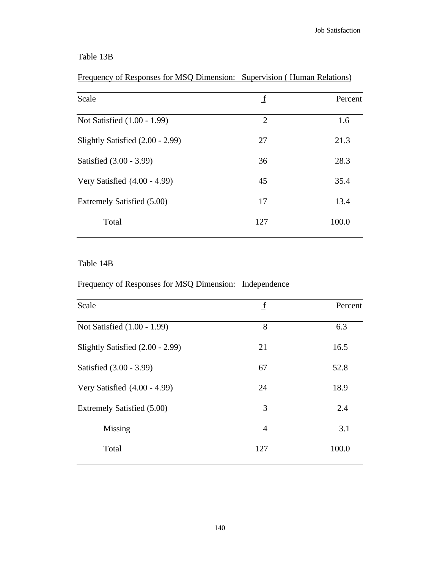## Table 13B

# Frequency of Responses for MSQ Dimension: Supervision ( Human Relations)

| Scale                            | f              | Percent |
|----------------------------------|----------------|---------|
| Not Satisfied (1.00 - 1.99)      | $\overline{2}$ | 1.6     |
| Slightly Satisfied (2.00 - 2.99) | 27             | 21.3    |
| Satisfied (3.00 - 3.99)          | 36             | 28.3    |
| Very Satisfied (4.00 - 4.99)     | 45             | 35.4    |
| Extremely Satisfied (5.00)       | 17             | 13.4    |
| Total                            | 127            | 100.0   |
|                                  |                |         |

#### Table 14B

### Frequency of Responses for MSQ Dimension: Independence

| Scale                            | $\mathbf f$    | Percent |
|----------------------------------|----------------|---------|
| Not Satisfied (1.00 - 1.99)      | 8              | 6.3     |
| Slightly Satisfied (2.00 - 2.99) | 21             | 16.5    |
| Satisfied (3.00 - 3.99)          | 67             | 52.8    |
| Very Satisfied $(4.00 - 4.99)$   | 24             | 18.9    |
| Extremely Satisfied (5.00)       | 3              | 2.4     |
| Missing                          | $\overline{4}$ | 3.1     |
| Total                            | 127            | 100.0   |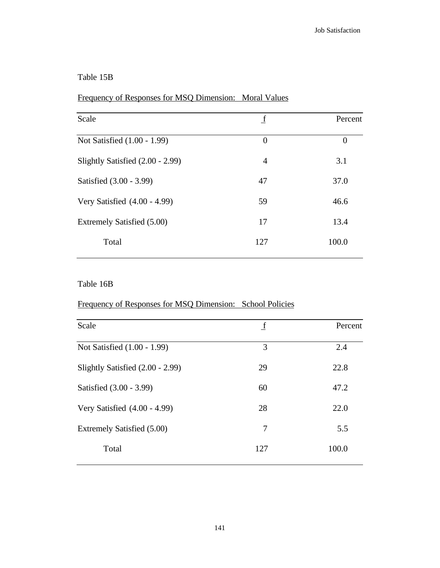### Table 15B

### Frequency of Responses for MSQ Dimension: Moral Values

| Scale                            | <u>_f</u>      | Percent        |
|----------------------------------|----------------|----------------|
| Not Satisfied (1.00 - 1.99)      | $\overline{0}$ | $\overline{0}$ |
| Slightly Satisfied (2.00 - 2.99) | 4              | 3.1            |
| Satisfied (3.00 - 3.99)          | 47             | 37.0           |
| Very Satisfied $(4.00 - 4.99)$   | 59             | 46.6           |
| Extremely Satisfied (5.00)       | 17             | 13.4           |
| Total                            | 127            | 100.0          |
|                                  |                |                |

### Table 16B

### Frequency of Responses for MSQ Dimension: School Policies

| Scale                            | $\mathbf f$ | Percent |
|----------------------------------|-------------|---------|
| Not Satisfied (1.00 - 1.99)      | 3           | 2.4     |
| Slightly Satisfied (2.00 - 2.99) | 29          | 22.8    |
| Satisfied (3.00 - 3.99)          | 60          | 47.2    |
| Very Satisfied (4.00 - 4.99)     | 28          | 22.0    |
| Extremely Satisfied (5.00)       | 7           | 5.5     |
| Total                            | 127         | 100.0   |
|                                  |             |         |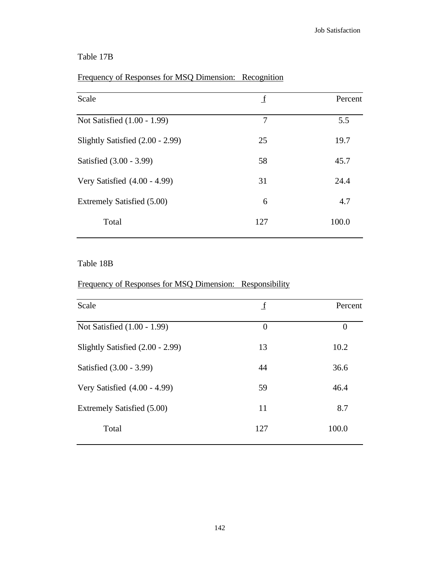## Table 17B

# Frequency of Responses for MSQ Dimension: Recognition

| Scale                            | f   | Percent |
|----------------------------------|-----|---------|
| Not Satisfied (1.00 - 1.99)      | 7   | 5.5     |
| Slightly Satisfied (2.00 - 2.99) | 25  | 19.7    |
| Satisfied (3.00 - 3.99)          | 58  | 45.7    |
| Very Satisfied (4.00 - 4.99)     | 31  | 24.4    |
| Extremely Satisfied (5.00)       | 6   | 4.7     |
| Total                            | 127 | 100.0   |

#### Table 18B

### Frequency of Responses for MSQ Dimension: Responsibility

| Scale                            | $\mathbf f$    | Percent          |
|----------------------------------|----------------|------------------|
| Not Satisfied (1.00 - 1.99)      | $\overline{0}$ | $\boldsymbol{0}$ |
| Slightly Satisfied (2.00 - 2.99) | 13             | 10.2             |
| Satisfied (3.00 - 3.99)          | 44             | 36.6             |
| Very Satisfied (4.00 - 4.99)     | 59             | 46.4             |
| Extremely Satisfied (5.00)       | 11             | 8.7              |
| Total                            | 127            | 100.0            |
|                                  |                |                  |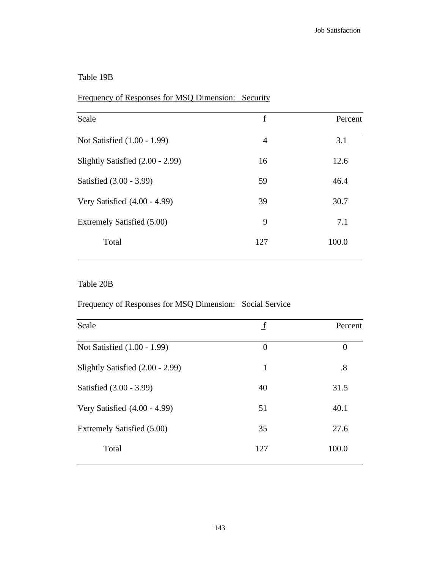### Table 19B

### Frequency of Responses for MSQ Dimension: Security

| $\mathbf f$    | Percent |
|----------------|---------|
| $\overline{4}$ | 3.1     |
| 16             | 12.6    |
| 59             | 46.4    |
| 39             | 30.7    |
| 9              | 7.1     |
| 127            | 100.0   |
|                |         |

### Table 20B

### Frequency of Responses for MSQ Dimension: Social Service

| Scale                            | $\mathbf f$    | Percent  |
|----------------------------------|----------------|----------|
| Not Satisfied (1.00 - 1.99)      | $\overline{0}$ | $\theta$ |
| Slightly Satisfied (2.00 - 2.99) | 1              | .8       |
| Satisfied (3.00 - 3.99)          | 40             | 31.5     |
| Very Satisfied (4.00 - 4.99)     | 51             | 40.1     |
| Extremely Satisfied (5.00)       | 35             | 27.6     |
| Total                            | 127            | 100.0    |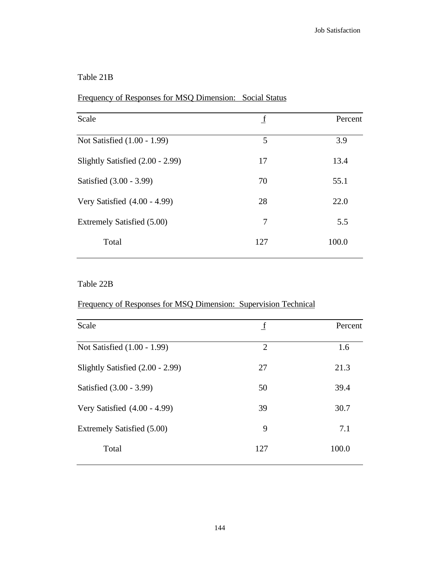### Table 21B

# Frequency of Responses for MSQ Dimension: Social Status

| Scale                            | $\mathbf f$ | Percent |
|----------------------------------|-------------|---------|
| Not Satisfied (1.00 - 1.99)      | 5           | 3.9     |
| Slightly Satisfied (2.00 - 2.99) | 17          | 13.4    |
| Satisfied (3.00 - 3.99)          | 70          | 55.1    |
| Very Satisfied $(4.00 - 4.99)$   | 28          | 22.0    |
| Extremely Satisfied (5.00)       | 7           | 5.5     |
| Total                            | 127         | 100.0   |
|                                  |             |         |

### Table 22B

### Frequency of Responses for MSQ Dimension: Supervision Technical

| Scale                            | $\mathbf f$    | Percent |
|----------------------------------|----------------|---------|
| Not Satisfied (1.00 - 1.99)      | $\overline{2}$ | 1.6     |
| Slightly Satisfied (2.00 - 2.99) | 27             | 21.3    |
| Satisfied (3.00 - 3.99)          | 50             | 39.4    |
| Very Satisfied (4.00 - 4.99)     | 39             | 30.7    |
| Extremely Satisfied (5.00)       | 9              | 7.1     |
| Total                            | 127            | 100.0   |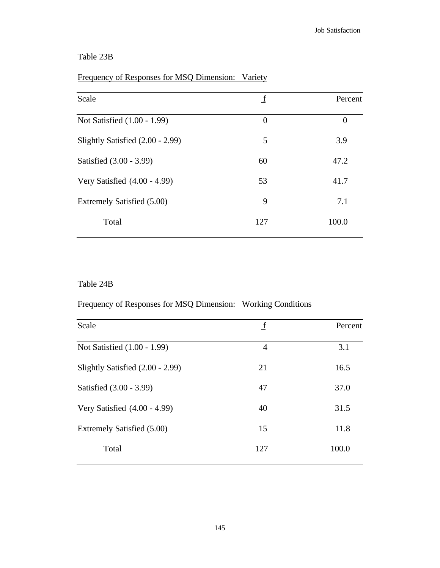## Table 23B

# Frequency of Responses for MSQ Dimension: Variety

| f        | Percent  |
|----------|----------|
| $\theta$ | $\theta$ |
| 5        | 3.9      |
| 60       | 47.2     |
| 53       | 41.7     |
| 9        | 7.1      |
| 127      | 100.0    |
|          |          |

#### Table 24B

### Frequency of Responses for MSQ Dimension: Working Conditions

| Scale                            | $\mathbf f$ | Percent |
|----------------------------------|-------------|---------|
| Not Satisfied (1.00 - 1.99)      | 4           | 3.1     |
| Slightly Satisfied (2.00 - 2.99) | 21          | 16.5    |
| Satisfied (3.00 - 3.99)          | 47          | 37.0    |
| Very Satisfied (4.00 - 4.99)     | 40          | 31.5    |
| Extremely Satisfied (5.00)       | 15          | 11.8    |
| Total                            | 127         | 100.0   |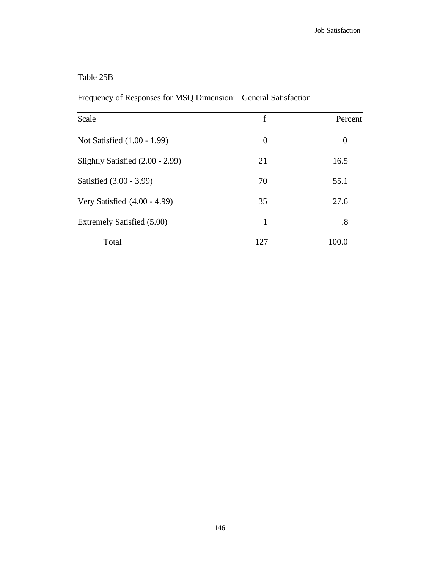### Table 25B

|  |  | Frequency of Responses for MSQ Dimension: General Satisfaction |  |
|--|--|----------------------------------------------------------------|--|
|  |  |                                                                |  |

| Scale                            | $\mathbf f$ | Percent        |
|----------------------------------|-------------|----------------|
| Not Satisfied (1.00 - 1.99)      | $\theta$    | $\overline{0}$ |
| Slightly Satisfied (2.00 - 2.99) | 21          | 16.5           |
| Satisfied (3.00 - 3.99)          | 70          | 55.1           |
| Very Satisfied $(4.00 - 4.99)$   | 35          | 27.6           |
| Extremely Satisfied (5.00)       | 1           | .8             |
| Total                            | 127         | 100.0          |